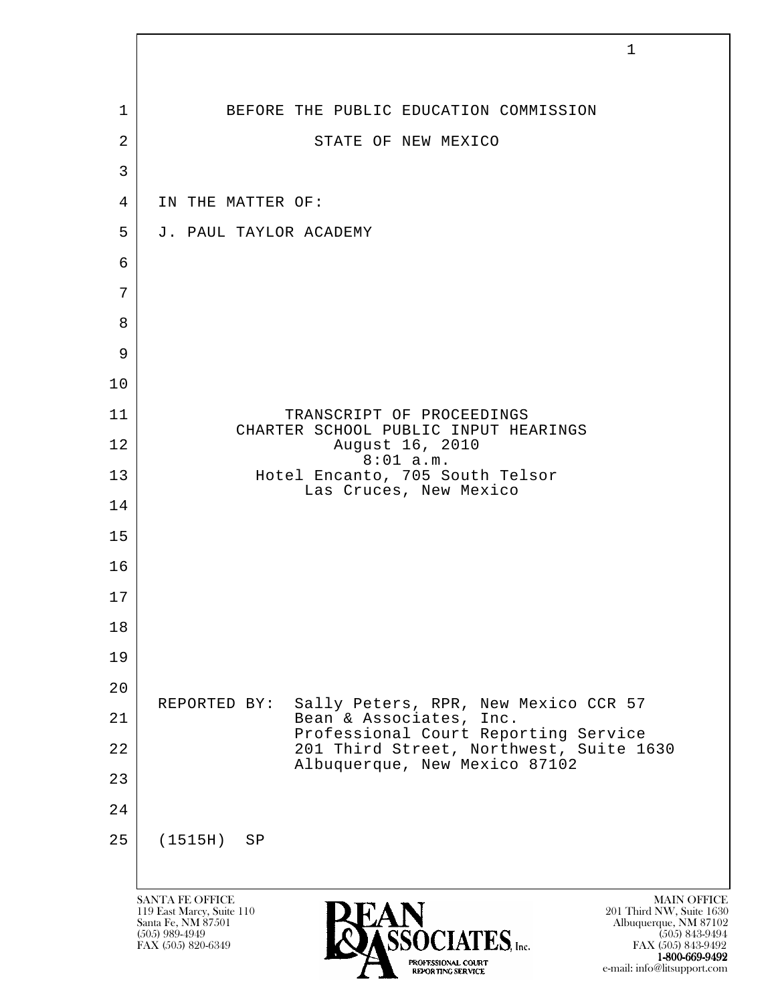|                | $\mathbf{1}$                                                                                                                                                                                                                                                              |
|----------------|---------------------------------------------------------------------------------------------------------------------------------------------------------------------------------------------------------------------------------------------------------------------------|
|                |                                                                                                                                                                                                                                                                           |
| 1              | BEFORE THE PUBLIC EDUCATION COMMISSION                                                                                                                                                                                                                                    |
| $\overline{2}$ | STATE OF NEW MEXICO                                                                                                                                                                                                                                                       |
| 3              |                                                                                                                                                                                                                                                                           |
| 4              | IN THE MATTER OF:                                                                                                                                                                                                                                                         |
| 5              | J. PAUL TAYLOR ACADEMY                                                                                                                                                                                                                                                    |
| 6<br>7         |                                                                                                                                                                                                                                                                           |
| 8              |                                                                                                                                                                                                                                                                           |
| 9              |                                                                                                                                                                                                                                                                           |
| 10             |                                                                                                                                                                                                                                                                           |
| 11             | TRANSCRIPT OF PROCEEDINGS                                                                                                                                                                                                                                                 |
| 12             | CHARTER SCHOOL PUBLIC INPUT HEARINGS<br>August 16, 2010                                                                                                                                                                                                                   |
| 13             | $8:01$ a.m.<br>Hotel Encanto, 705 South Telsor                                                                                                                                                                                                                            |
| 14             | Las Cruces, New Mexico                                                                                                                                                                                                                                                    |
| 15             |                                                                                                                                                                                                                                                                           |
| 16             |                                                                                                                                                                                                                                                                           |
| 17             |                                                                                                                                                                                                                                                                           |
| 18             |                                                                                                                                                                                                                                                                           |
| 19             |                                                                                                                                                                                                                                                                           |
| 20             | Sally Peters, RPR, New Mexico CCR 57<br>REPORTED BY:                                                                                                                                                                                                                      |
| 21             | Bean & Associates, Inc.<br>Professional Court Reporting Service                                                                                                                                                                                                           |
| 22             | 201 Third Street, Northwest, Suite 1630<br>Albuquerque, New Mexico 87102                                                                                                                                                                                                  |
| 23             |                                                                                                                                                                                                                                                                           |
| 24             |                                                                                                                                                                                                                                                                           |
| 25             | (1515H)<br>SP                                                                                                                                                                                                                                                             |
|                |                                                                                                                                                                                                                                                                           |
|                | <b>SANTA FE OFFICE</b><br><b>MAIN OFFICE</b><br>201 Third NW, Suite 1630<br>119 East Marcy, Suite 110<br>Santa Fe, NM 87501<br>Albuquerque, NM 87102<br>$(505)$ 989-4949<br>$(505)$ 843-9494<br>IATES, Inc.<br>FAX (505) 820-6349<br>FAX (505) 843-9492<br>1-800-669-9492 |

e-mail: info@litsupport.com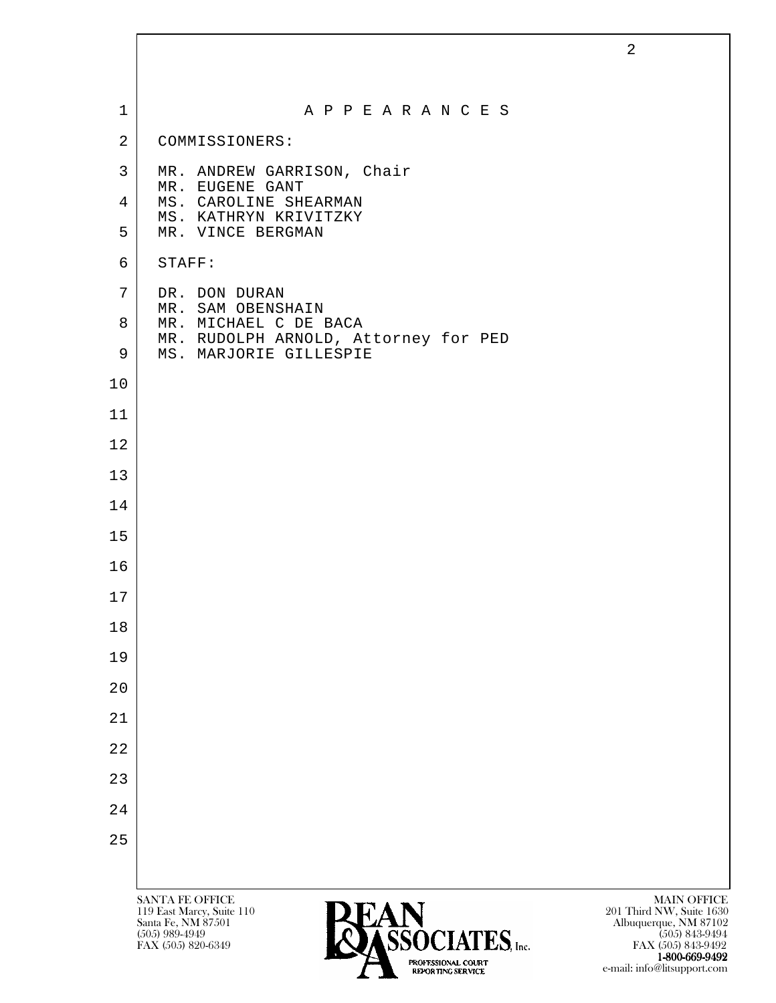| $\mathbf 1$    | A P P E A R A N C E S                                                                    |                                                                         |
|----------------|------------------------------------------------------------------------------------------|-------------------------------------------------------------------------|
| $\overline{2}$ | COMMISSIONERS:                                                                           |                                                                         |
| $\mathbf{3}$   | MR. ANDREW GARRISON, Chair                                                               |                                                                         |
| 4              | MR. EUGENE GANT<br>MS. CAROLINE SHEARMAN                                                 |                                                                         |
| 5              | MS. KATHRYN KRIVITZKY<br>MR. VINCE BERGMAN                                               |                                                                         |
| 6              | STAFF:                                                                                   |                                                                         |
| 7              | DR. DON DURAN<br>MR. SAM OBENSHAIN                                                       |                                                                         |
| 8              | MR. MICHAEL C DE BACA<br>MR. RUDOLPH ARNOLD, Attorney for PED                            |                                                                         |
| 9              | MS. MARJORIE GILLESPIE                                                                   |                                                                         |
| 10             |                                                                                          |                                                                         |
| 11             |                                                                                          |                                                                         |
| 12             |                                                                                          |                                                                         |
| 13             |                                                                                          |                                                                         |
| 14             |                                                                                          |                                                                         |
| 15             |                                                                                          |                                                                         |
| 16             |                                                                                          |                                                                         |
| 17             |                                                                                          |                                                                         |
| $1\,8$         |                                                                                          |                                                                         |
| 19             |                                                                                          |                                                                         |
| 20             |                                                                                          |                                                                         |
| 21             |                                                                                          |                                                                         |
| 22             |                                                                                          |                                                                         |
| 23             |                                                                                          |                                                                         |
| 24             |                                                                                          |                                                                         |
| 25             |                                                                                          |                                                                         |
|                |                                                                                          |                                                                         |
|                | <b>SANTA FE OFFICE</b><br><b>PEAN</b><br>119 East Marcy, Suite 110<br>Santa Fe, NM 87501 | <b>MAIN OFFICE</b><br>201 Third NW, Suite 1630<br>Albuquerque, NM 87102 |

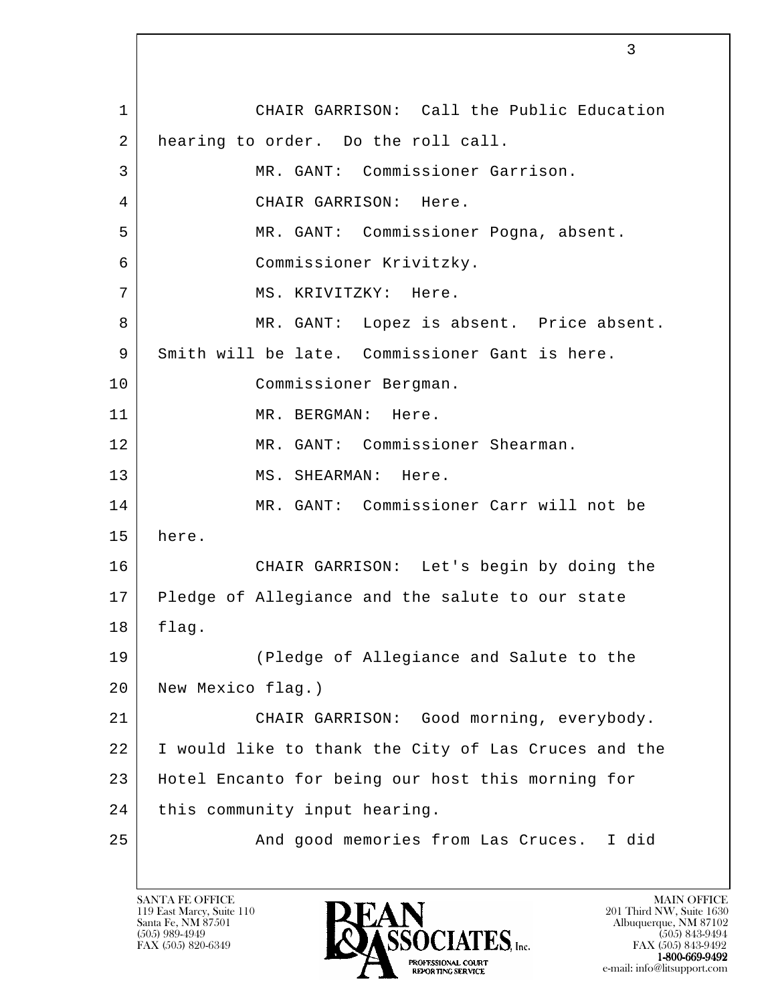l 1 CHAIR GARRISON: Call the Public Education 2 | hearing to order. Do the roll call. 3 MR. GANT: Commissioner Garrison. 4 CHAIR GARRISON: Here. 5 MR. GANT: Commissioner Pogna, absent. 6 Commissioner Krivitzky. 7 | MS. KRIVITZKY: Here. 8 MR. GANT: Lopez is absent. Price absent. 9 Smith will be late. Commissioner Gant is here. 10 Commissioner Bergman. 11 MR. BERGMAN: Here. 12 MR. GANT: Commissioner Shearman. 13 MS. SHEARMAN: Here. 14 MR. GANT: Commissioner Carr will not be 15 here. 16 CHAIR GARRISON: Let's begin by doing the 17 Pledge of Allegiance and the salute to our state 18 flag. 19 (Pledge of Allegiance and Salute to the 20 New Mexico flag.) 21 CHAIR GARRISON: Good morning, everybody. 22 I would like to thank the City of Las Cruces and the 23 Hotel Encanto for being our host this morning for 24 | this community input hearing. 25 And good memories from Las Cruces. I did

119 East Marcy, Suite 110<br>Santa Fe, NM 87501

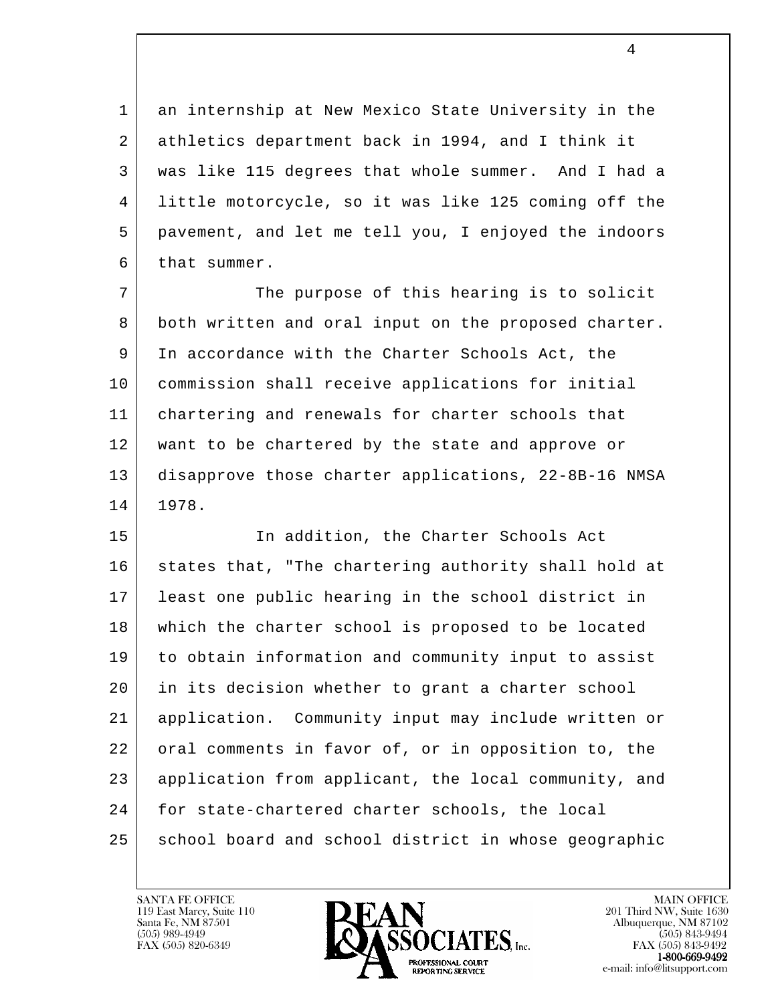1 an internship at New Mexico State University in the 2 athletics department back in 1994, and I think it 3 was like 115 degrees that whole summer. And I had a 4 little motorcycle, so it was like 125 coming off the 5 pavement, and let me tell you, I enjoyed the indoors  $6$  that summer.

7 The purpose of this hearing is to solicit 8 both written and oral input on the proposed charter. 9 In accordance with the Charter Schools Act, the 10 commission shall receive applications for initial 11 chartering and renewals for charter schools that 12 | want to be chartered by the state and approve or 13 disapprove those charter applications, 22-8B-16 NMSA 14 1978.

l 15 | The Charter Schools Act 16 states that, "The chartering authority shall hold at 17 least one public hearing in the school district in 18 which the charter school is proposed to be located 19 to obtain information and community input to assist 20 in its decision whether to grant a charter school 21 application. Community input may include written or 22 oral comments in favor of, or in opposition to, the 23 | application from applicant, the local community, and 24 for state-chartered charter schools, the local 25 | school board and school district in whose geographic



FAX (505) 843-9492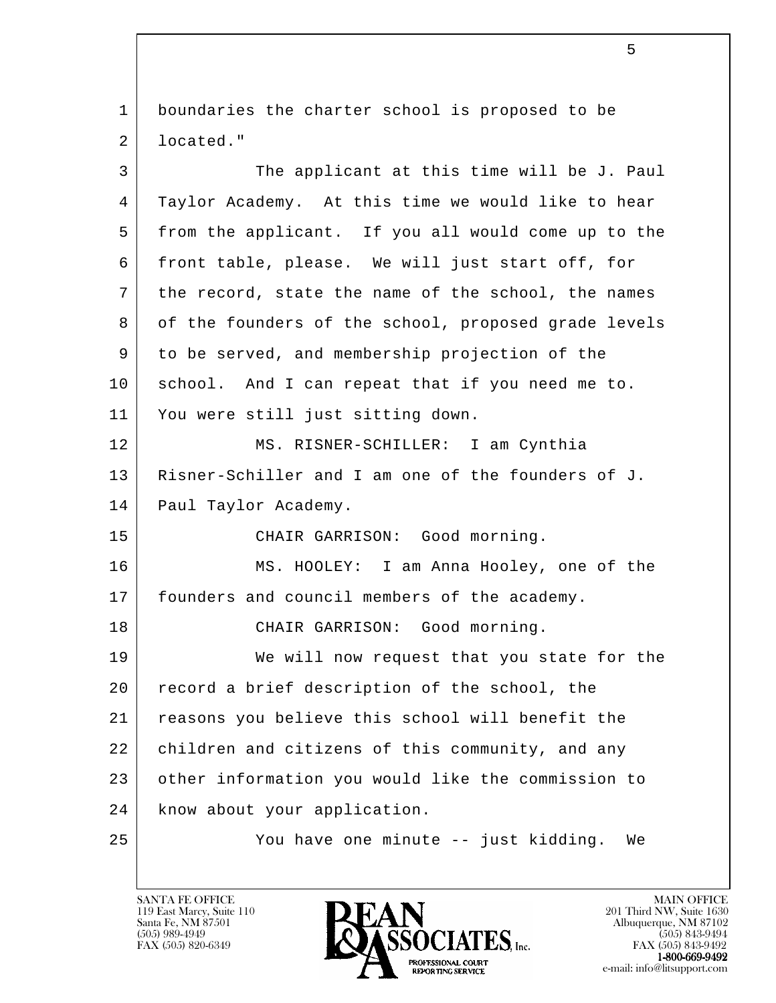1 boundaries the charter school is proposed to be 2 located."

l 3 The applicant at this time will be J. Paul 4 Taylor Academy. At this time we would like to hear 5 from the applicant. If you all would come up to the 6 front table, please. We will just start off, for 7 the record, state the name of the school, the names 8 of the founders of the school, proposed grade levels 9 to be served, and membership projection of the 10 school. And I can repeat that if you need me to. 11 You were still just sitting down. 12 MS. RISNER-SCHILLER: I am Cynthia 13 Risner-Schiller and I am one of the founders of J. 14 | Paul Taylor Academy. 15 | CHAIR GARRISON: Good morning. 16 MS. HOOLEY: I am Anna Hooley, one of the 17 founders and council members of the academy. 18 CHAIR GARRISON: Good morning. 19 We will now request that you state for the 20 record a brief description of the school, the 21 reasons you believe this school will benefit the 22 children and citizens of this community, and any 23 other information you would like the commission to 24 know about your application. 25 You have one minute -- just kidding. We

119 East Marcy, Suite 110<br>Santa Fe, NM 87501

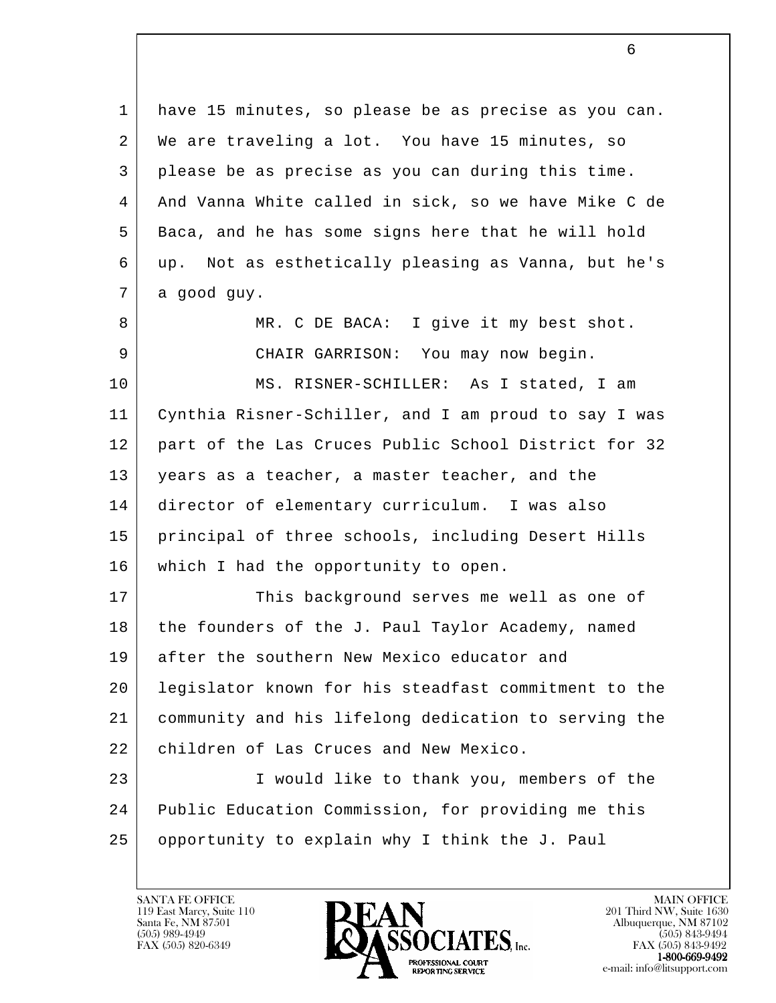| 1  | have 15 minutes, so please be as precise as you can. |
|----|------------------------------------------------------|
| 2  | We are traveling a lot. You have 15 minutes, so      |
| 3  | please be as precise as you can during this time.    |
| 4  | And Vanna White called in sick, so we have Mike C de |
| 5  | Baca, and he has some signs here that he will hold   |
| 6  | up. Not as esthetically pleasing as Vanna, but he's  |
| 7  | a good guy.                                          |
| 8  | MR. C DE BACA: I give it my best shot.               |
| 9  | CHAIR GARRISON: You may now begin.                   |
| 10 | MS. RISNER-SCHILLER: As I stated, I am               |
| 11 | Cynthia Risner-Schiller, and I am proud to say I was |
| 12 | part of the Las Cruces Public School District for 32 |
| 13 | years as a teacher, a master teacher, and the        |
| 14 | director of elementary curriculum. I was also        |
| 15 | principal of three schools, including Desert Hills   |
| 16 | which I had the opportunity to open.                 |
| 17 | This background serves me well as one of             |
| 18 | the founders of the J. Paul Taylor Academy, named    |
| 19 | after the southern New Mexico educator and           |
| 20 | legislator known for his steadfast commitment to the |
| 21 | community and his lifelong dedication to serving the |
| 22 | children of Las Cruces and New Mexico.               |
| 23 | I would like to thank you, members of the            |
| 24 | Public Education Commission, for providing me this   |
| 25 | opportunity to explain why I think the J. Paul       |
|    |                                                      |

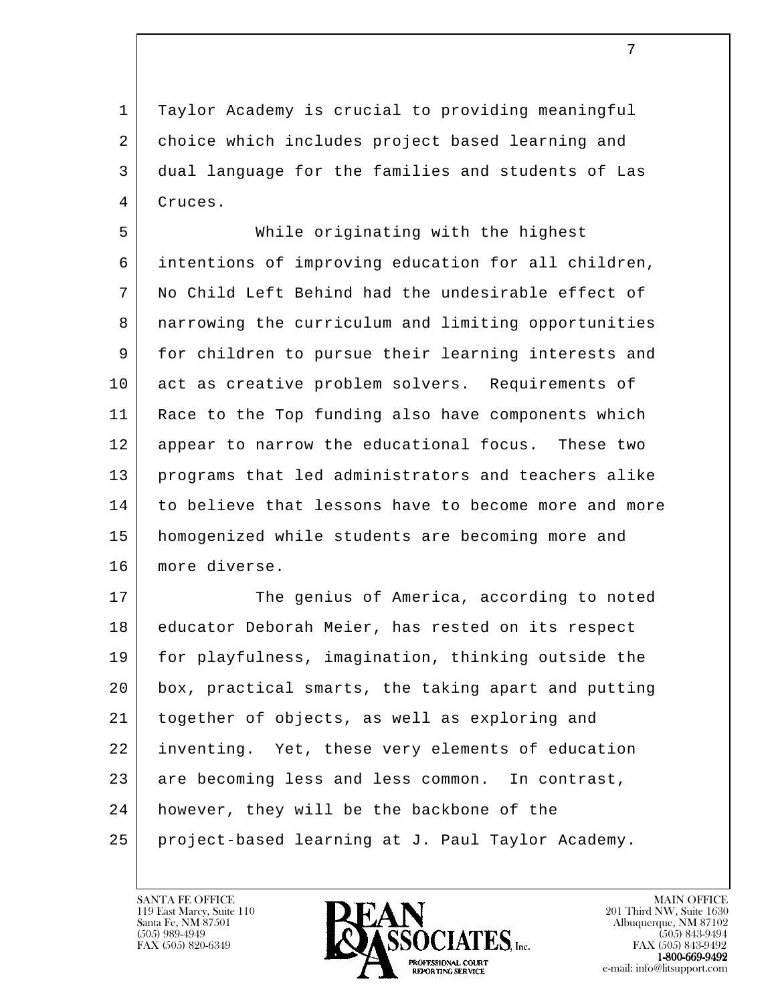1 Taylor Academy is crucial to providing meaningful 2 choice which includes project based learning and 3 dual language for the families and students of Las 4 Cruces.

 5 While originating with the highest 6 intentions of improving education for all children, 7 No Child Left Behind had the undesirable effect of 8 narrowing the curriculum and limiting opportunities 9 for children to pursue their learning interests and 10 act as creative problem solvers. Requirements of 11 Race to the Top funding also have components which 12 appear to narrow the educational focus. These two 13 programs that led administrators and teachers alike 14 to believe that lessons have to become more and more 15 homogenized while students are becoming more and 16 more diverse.

l 17 | The genius of America, according to noted 18 educator Deborah Meier, has rested on its respect 19 for playfulness, imagination, thinking outside the 20 box, practical smarts, the taking apart and putting 21 together of objects, as well as exploring and 22 inventing. Yet, these very elements of education 23 are becoming less and less common. In contrast, 24 | however, they will be the backbone of the 25 project-based learning at J. Paul Taylor Academy.

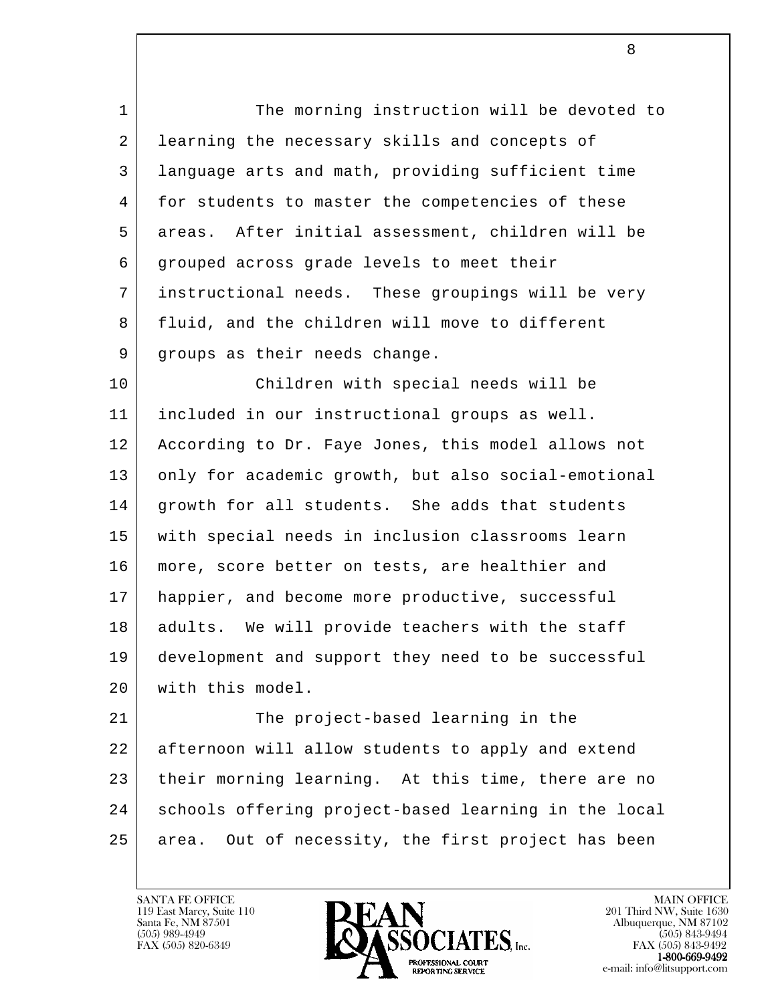1 The morning instruction will be devoted to 2 | learning the necessary skills and concepts of 3 language arts and math, providing sufficient time 4 for students to master the competencies of these 5 areas. After initial assessment, children will be 6 grouped across grade levels to meet their 7 instructional needs. These groupings will be very 8 fluid, and the children will move to different 9 | groups as their needs change.

 10 Children with special needs will be 11 included in our instructional groups as well. 12 According to Dr. Faye Jones, this model allows not 13 only for academic growth, but also social-emotional 14 growth for all students. She adds that students 15 with special needs in inclusion classrooms learn 16 | more, score better on tests, are healthier and 17 happier, and become more productive, successful 18 | adults. We will provide teachers with the staff 19 development and support they need to be successful 20 with this model.

l 21 | The project-based learning in the 22 afternoon will allow students to apply and extend 23 their morning learning. At this time, there are no 24 schools offering project-based learning in the local 25 area. Out of necessity, the first project has been

119 East Marcy, Suite 110<br>Santa Fe, NM 87501

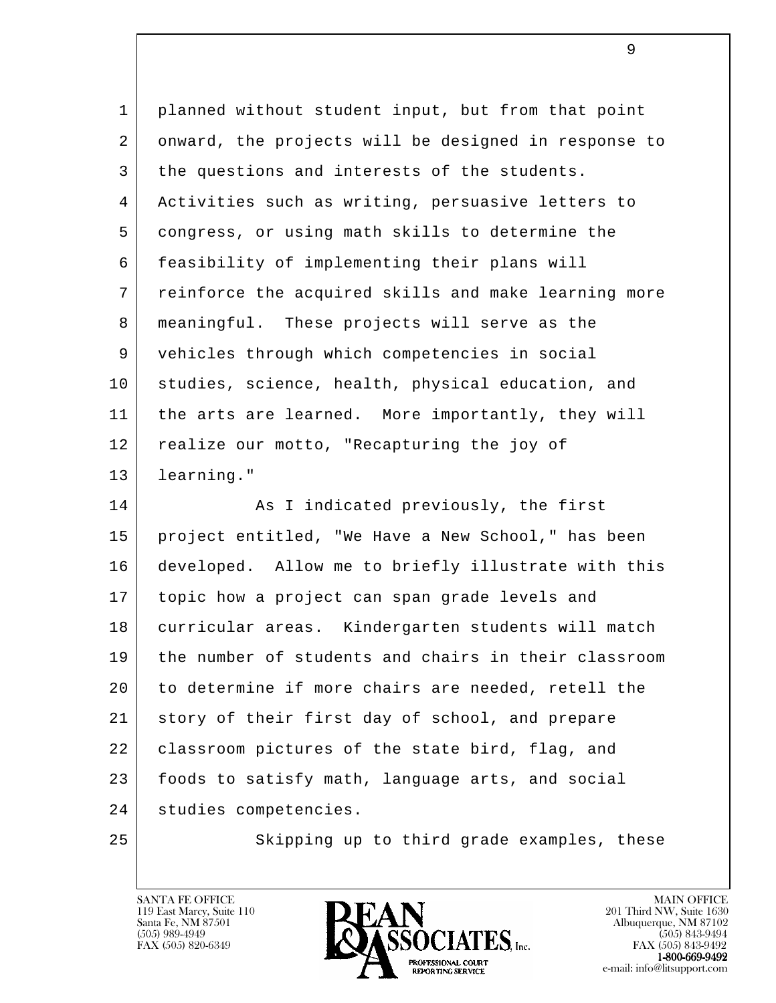| $\mathbf{1}$   | planned without student input, but from that point   |
|----------------|------------------------------------------------------|
| $\overline{2}$ | onward, the projects will be designed in response to |
| 3              | the questions and interests of the students.         |
| 4              | Activities such as writing, persuasive letters to    |
| 5              | congress, or using math skills to determine the      |
| 6              | feasibility of implementing their plans will         |
| 7              | reinforce the acquired skills and make learning more |
| 8              | meaningful. These projects will serve as the         |
| 9              | vehicles through which competencies in social        |
| 10             | studies, science, health, physical education, and    |
| 11             | the arts are learned. More importantly, they will    |
| 12             | realize our motto, "Recapturing the joy of           |
| 13             | learning."                                           |
| 14             | As I indicated previously, the first                 |
| 15             | project entitled, "We Have a New School," has been   |
| 16             | developed. Allow me to briefly illustrate with this  |
| 17             | topic how a project can span grade levels and        |
| 18             | curricular areas. Kindergarten students will match   |
| 19             | the number of students and chairs in their classroom |
| 20             | to determine if more chairs are needed, retell the   |
| 21             | story of their first day of school, and prepare      |
| 22             | classroom pictures of the state bird, flag, and      |
| 23             | foods to satisfy math, language arts, and social     |
| 24             | studies competencies.                                |
| 25             | Skipping up to third grade examples, these           |

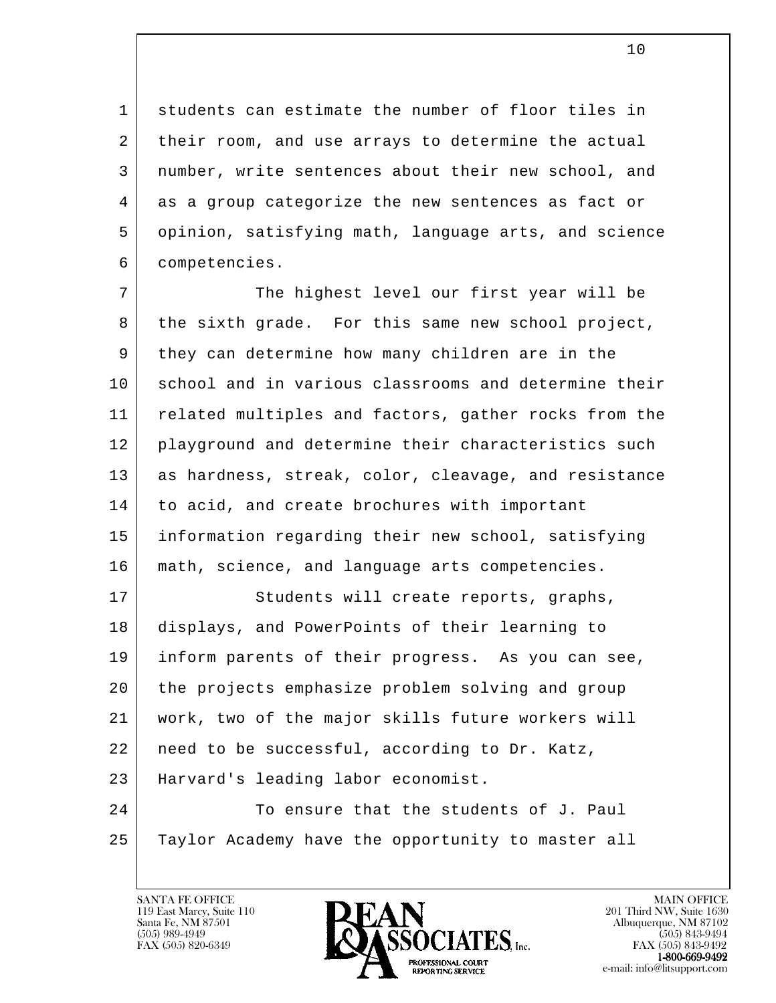1 students can estimate the number of floor tiles in 2 their room, and use arrays to determine the actual 3 number, write sentences about their new school, and 4 as a group categorize the new sentences as fact or 5 opinion, satisfying math, language arts, and science 6 competencies.

7 The highest level our first year will be 8 | the sixth grade. For this same new school project, 9 they can determine how many children are in the 10 school and in various classrooms and determine their 11 related multiples and factors, gather rocks from the 12 | playground and determine their characteristics such 13 as hardness, streak, color, cleavage, and resistance 14 to acid, and create brochures with important 15 information regarding their new school, satisfying 16 math, science, and language arts competencies.

l 17 Students will create reports, graphs, 18 displays, and PowerPoints of their learning to 19 inform parents of their progress. As you can see, 20 the projects emphasize problem solving and group 21 work, two of the major skills future workers will 22 need to be successful, according to Dr. Katz, 23 Harvard's leading labor economist. 24 To ensure that the students of J. Paul 25 Taylor Academy have the opportunity to master all

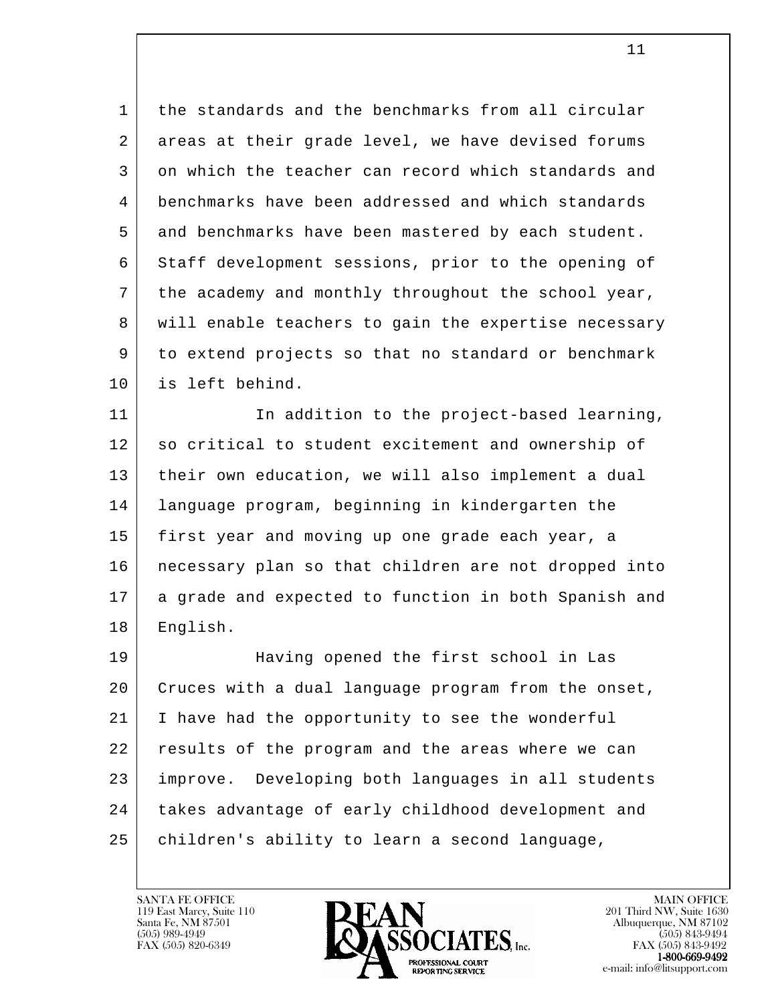1 the standards and the benchmarks from all circular 2 areas at their grade level, we have devised forums 3 on which the teacher can record which standards and 4 benchmarks have been addressed and which standards 5 and benchmarks have been mastered by each student. 6 Staff development sessions, prior to the opening of 7 the academy and monthly throughout the school year, 8 will enable teachers to gain the expertise necessary 9 to extend projects so that no standard or benchmark 10 is left behind.

11 | The addition to the project-based learning, 12 so critical to student excitement and ownership of 13 their own education, we will also implement a dual 14 language program, beginning in kindergarten the 15 first year and moving up one grade each year, a 16 necessary plan so that children are not dropped into 17 a grade and expected to function in both Spanish and 18 English.

l 19 Having opened the first school in Las 20 Cruces with a dual language program from the onset, 21 I have had the opportunity to see the wonderful 22 results of the program and the areas where we can 23 improve. Developing both languages in all students 24 takes advantage of early childhood development and 25 | children's ability to learn a second language,

119 East Marcy, Suite 110<br>Santa Fe, NM 87501

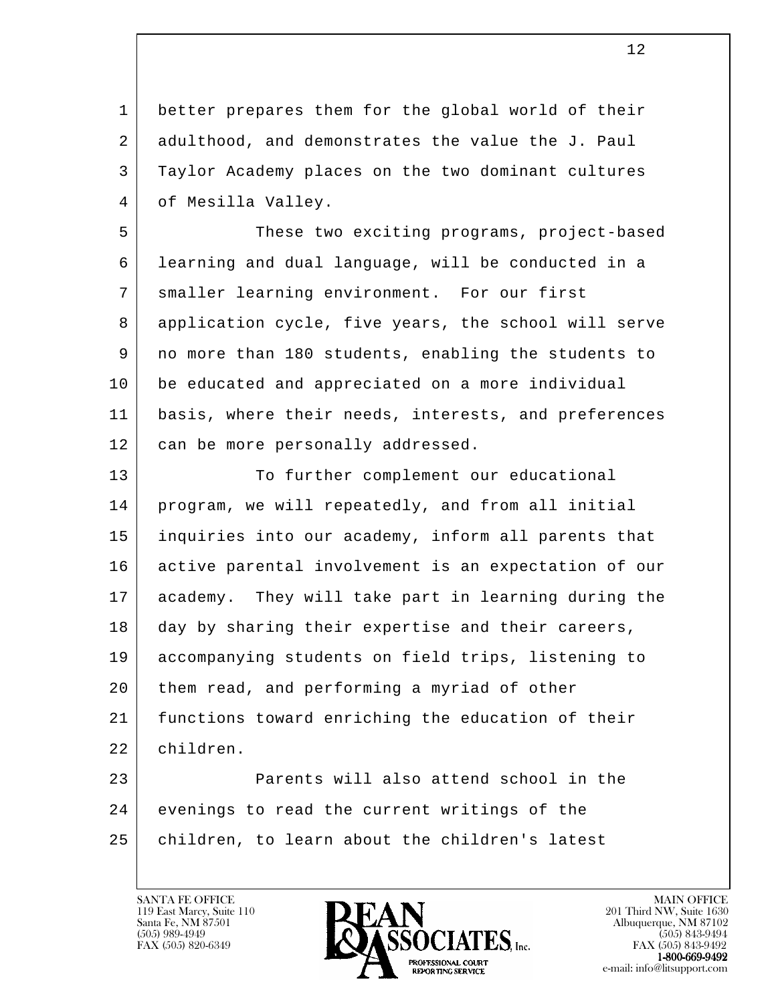1 better prepares them for the global world of their 2 adulthood, and demonstrates the value the J. Paul 3 Taylor Academy places on the two dominant cultures 4 | of Mesilla Valley.

5 | These two exciting programs, project-based 6 | learning and dual language, will be conducted in a 7 | smaller learning environment. For our first 8 application cycle, five years, the school will serve 9 no more than 180 students, enabling the students to 10 be educated and appreciated on a more individual 11 basis, where their needs, interests, and preferences 12 can be more personally addressed.

13 To further complement our educational 14 program, we will repeatedly, and from all initial 15 inquiries into our academy, inform all parents that 16 active parental involvement is an expectation of our 17 academy. They will take part in learning during the 18 day by sharing their expertise and their careers, 19 accompanying students on field trips, listening to 20 them read, and performing a myriad of other 21 functions toward enriching the education of their 22 children.

l 23 Parents will also attend school in the 24 evenings to read the current writings of the 25 | children, to learn about the children's latest



FAX (505) 843-9492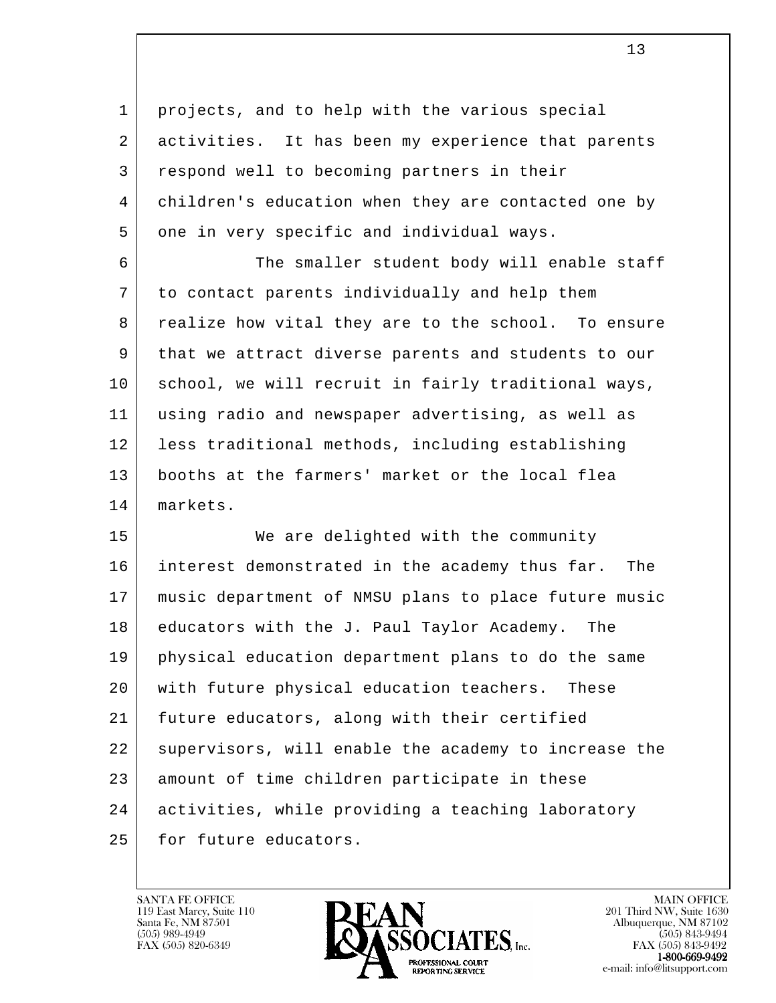1 projects, and to help with the various special 2 activities. It has been my experience that parents 3 respond well to becoming partners in their 4 children's education when they are contacted one by 5 one in very specific and individual ways.

6 The smaller student body will enable staff 7 to contact parents individually and help them 8 realize how vital they are to the school. To ensure 9 that we attract diverse parents and students to our 10 school, we will recruit in fairly traditional ways, 11 using radio and newspaper advertising, as well as 12 less traditional methods, including establishing 13 booths at the farmers' market or the local flea 14 markets.

l 15 | We are delighted with the community 16 interest demonstrated in the academy thus far. The 17 music department of NMSU plans to place future music 18 educators with the J. Paul Taylor Academy. The 19 physical education department plans to do the same 20 | with future physical education teachers. These 21 future educators, along with their certified 22 supervisors, will enable the academy to increase the 23 amount of time children participate in these 24 activities, while providing a teaching laboratory 25 for future educators.

119 East Marcy, Suite 110<br>Santa Fe, NM 87501



FAX (505) 843-9492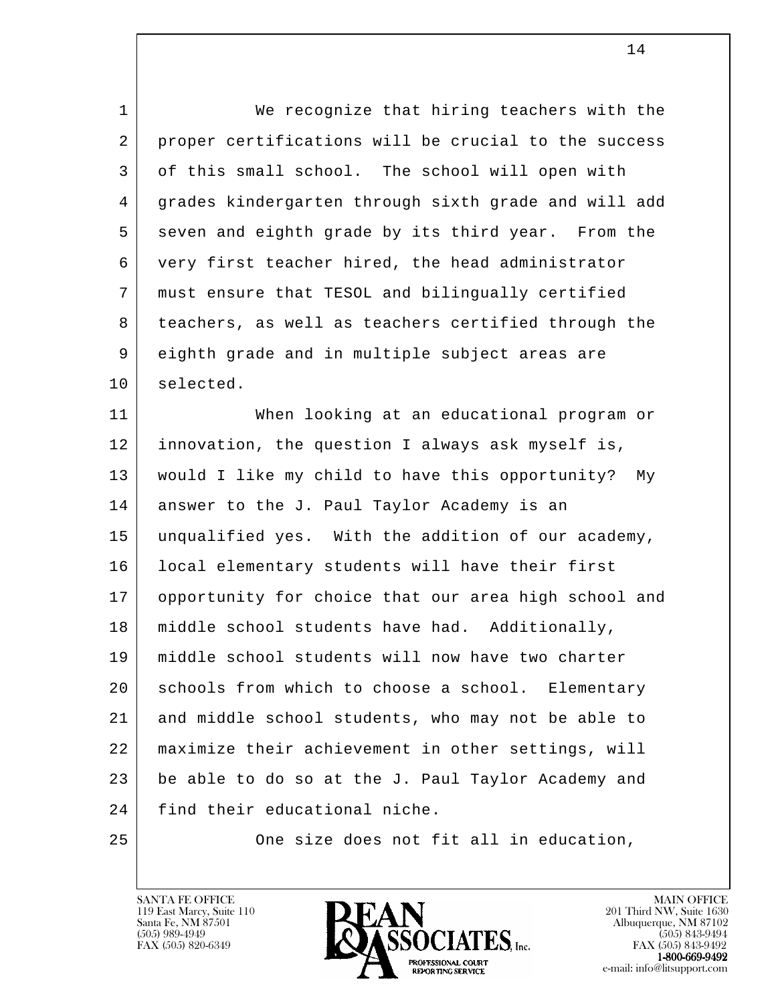l 1 We recognize that hiring teachers with the 2 proper certifications will be crucial to the success 3 of this small school. The school will open with 4 grades kindergarten through sixth grade and will add 5 seven and eighth grade by its third year. From the 6 very first teacher hired, the head administrator 7 must ensure that TESOL and bilingually certified 8 teachers, as well as teachers certified through the 9 eighth grade and in multiple subject areas are 10 selected. 11 When looking at an educational program or 12 innovation, the question I always ask myself is, 13 would I like my child to have this opportunity? My 14 answer to the J. Paul Taylor Academy is an 15 unqualified yes. With the addition of our academy, 16 local elementary students will have their first 17 opportunity for choice that our area high school and 18 | middle school students have had. Additionally, 19 middle school students will now have two charter 20 | schools from which to choose a school. Elementary 21 and middle school students, who may not be able to 22 maximize their achievement in other settings, will 23 be able to do so at the J. Paul Taylor Academy and 24 find their educational niche. 25 One size does not fit all in education,

119 East Marcy, Suite 110<br>Santa Fe, NM 87501

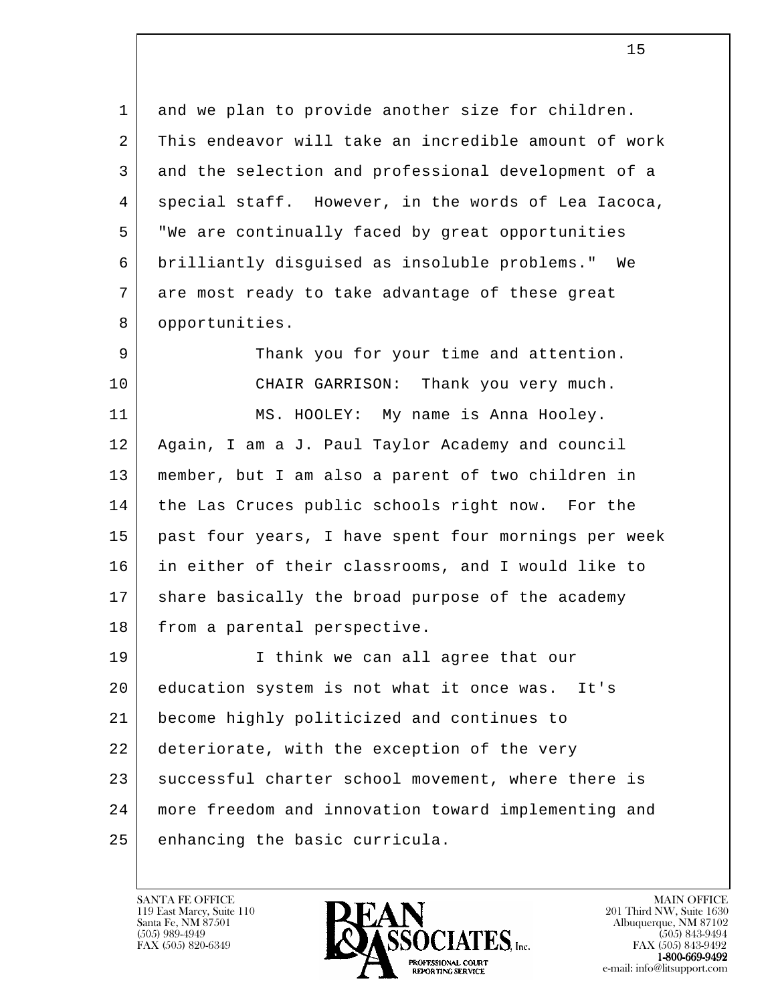1 and we plan to provide another size for children. 2 This endeavor will take an incredible amount of work 3 and the selection and professional development of a 4 | special staff. However, in the words of Lea Iacoca, 5 "We are continually faced by great opportunities 6 brilliantly disguised as insoluble problems." We 7 are most ready to take advantage of these great 8 opportunities.

9 Thank you for your time and attention. 10 CHAIR GARRISON: Thank you very much.

11 | MS. HOOLEY: My name is Anna Hooley. 12 Again, I am a J. Paul Taylor Academy and council 13 member, but I am also a parent of two children in 14 the Las Cruces public schools right now. For the 15 past four years, I have spent four mornings per week 16 in either of their classrooms, and I would like to 17 share basically the broad purpose of the academy 18 from a parental perspective.

l 19 I think we can all agree that our 20 education system is not what it once was. It's 21 become highly politicized and continues to 22 deteriorate, with the exception of the very 23 successful charter school movement, where there is 24 more freedom and innovation toward implementing and 25 enhancing the basic curricula.

119 East Marcy, Suite 110<br>Santa Fe, NM 87501



FAX (505) 843-9492 e-mail: info@litsupport.com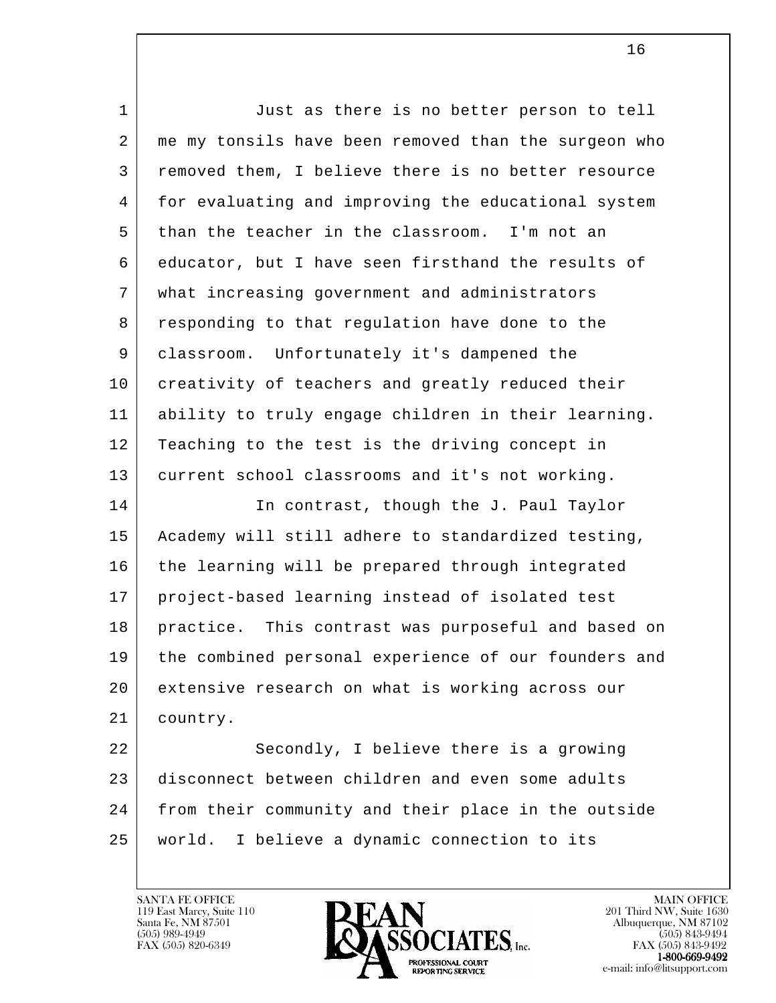| $\mathbf{1}$   | Just as there is no better person to tell            |
|----------------|------------------------------------------------------|
| $\overline{a}$ | me my tonsils have been removed than the surgeon who |
| 3              | removed them, I believe there is no better resource  |
| 4              | for evaluating and improving the educational system  |
| 5              | than the teacher in the classroom. I'm not an        |
| 6              | educator, but I have seen firsthand the results of   |
| 7              | what increasing government and administrators        |
| 8              | responding to that regulation have done to the       |
| 9              | classroom. Unfortunately it's dampened the           |
| 10             | creativity of teachers and greatly reduced their     |
| 11             | ability to truly engage children in their learning.  |
| 12             | Teaching to the test is the driving concept in       |
| 13             | current school classrooms and it's not working.      |
| 14             | In contrast, though the J. Paul Taylor               |
| 15             | Academy will still adhere to standardized testing,   |
| 16             | the learning will be prepared through integrated     |
| 17             | project-based learning instead of isolated test      |
| 18             | practice. This contrast was purposeful and based on  |
| 19             | the combined personal experience of our founders and |
| 20             | extensive research on what is working across our     |
| 21             | country.                                             |
| 22             | Secondly, I believe there is a growing               |
| 23             | disconnect between children and even some adults     |
| 24             | from their community and their place in the outside  |
| 25             | I believe a dynamic connection to its<br>world.      |

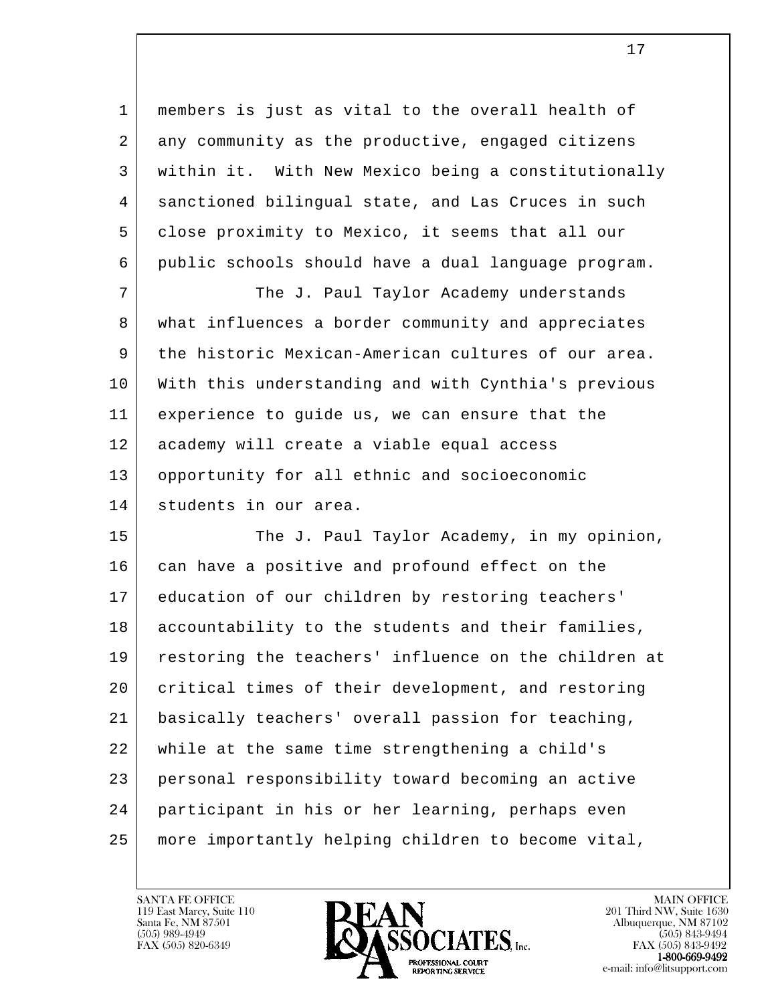1 members is just as vital to the overall health of 2 any community as the productive, engaged citizens 3 within it. With New Mexico being a constitutionally 4 sanctioned bilingual state, and Las Cruces in such 5 close proximity to Mexico, it seems that all our 6 public schools should have a dual language program.

7 The J. Paul Taylor Academy understands 8 what influences a border community and appreciates 9 the historic Mexican-American cultures of our area. 10 With this understanding and with Cynthia's previous 11 experience to guide us, we can ensure that the 12 academy will create a viable equal access 13 opportunity for all ethnic and socioeconomic 14 students in our area.

l 15 The J. Paul Taylor Academy, in my opinion, 16 can have a positive and profound effect on the 17 education of our children by restoring teachers' 18 accountability to the students and their families, 19 restoring the teachers' influence on the children at 20 | critical times of their development, and restoring 21 basically teachers' overall passion for teaching, 22 while at the same time strengthening a child's 23 personal responsibility toward becoming an active 24 participant in his or her learning, perhaps even 25 more importantly helping children to become vital,

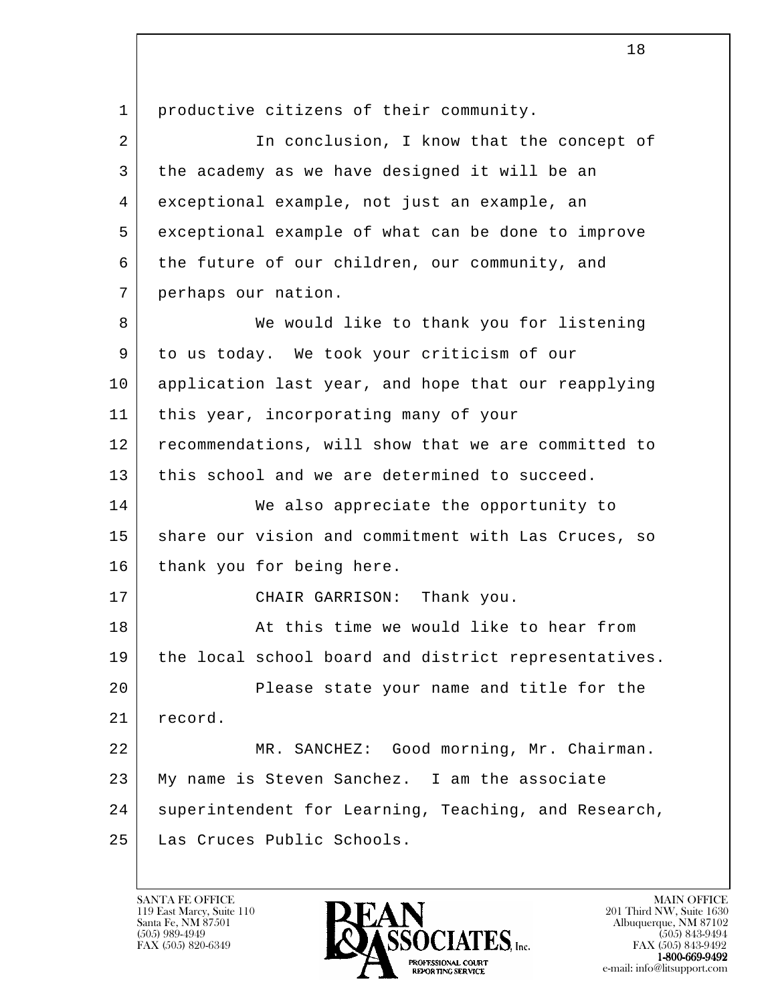l 1 | productive citizens of their community. 2 In conclusion, I know that the concept of 3 the academy as we have designed it will be an 4 exceptional example, not just an example, an 5 exceptional example of what can be done to improve 6 the future of our children, our community, and 7 perhaps our nation. 8 We would like to thank you for listening 9 to us today. We took your criticism of our 10 application last year, and hope that our reapplying 11 this year, incorporating many of your 12 recommendations, will show that we are committed to 13 this school and we are determined to succeed. 14 We also appreciate the opportunity to 15 | share our vision and commitment with Las Cruces, so 16 thank you for being here. 17 CHAIR GARRISON: Thank you. 18 At this time we would like to hear from 19 | the local school board and district representatives. 20 Please state your name and title for the 21 record. 22 MR. SANCHEZ: Good morning, Mr. Chairman. 23 | My name is Steven Sanchez. I am the associate 24 superintendent for Learning, Teaching, and Research, 25 Las Cruces Public Schools.

18

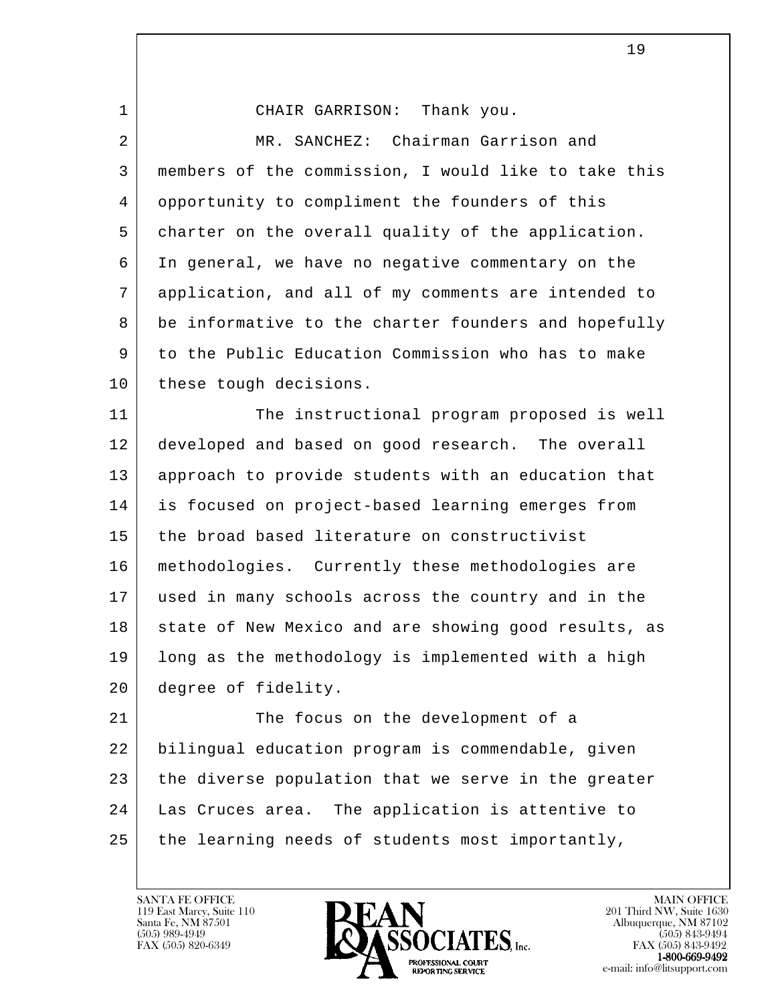| 1              | CHAIR GARRISON: Thank you.                           |
|----------------|------------------------------------------------------|
| $\overline{2}$ | MR. SANCHEZ: Chairman Garrison and                   |
| 3              | members of the commission, I would like to take this |
| 4              | opportunity to compliment the founders of this       |
| 5              | charter on the overall quality of the application.   |
| 6              | In general, we have no negative commentary on the    |
| 7              | application, and all of my comments are intended to  |
| 8              | be informative to the charter founders and hopefully |
| 9              | to the Public Education Commission who has to make   |
| 10             | these tough decisions.                               |
| 11             | The instructional program proposed is well           |
| 12             | developed and based on good research. The overall    |
| 13             | approach to provide students with an education that  |
| 14             | is focused on project-based learning emerges from    |
| 15             | the broad based literature on constructivist         |
| 16             | methodologies. Currently these methodologies are     |
| 17             | used in many schools across the country and in the   |
| 18             | state of New Mexico and are showing good results, as |
| 19             | long as the methodology is implemented with a high   |
| 20             | degree of fidelity.                                  |
| 21             | The focus on the development of a                    |
| 22             | bilingual education program is commendable, given    |
| 23             | the diverse population that we serve in the greater  |
| 24             | Las Cruces area. The application is attentive to     |
| 25             | the learning needs of students most importantly,     |
|                |                                                      |

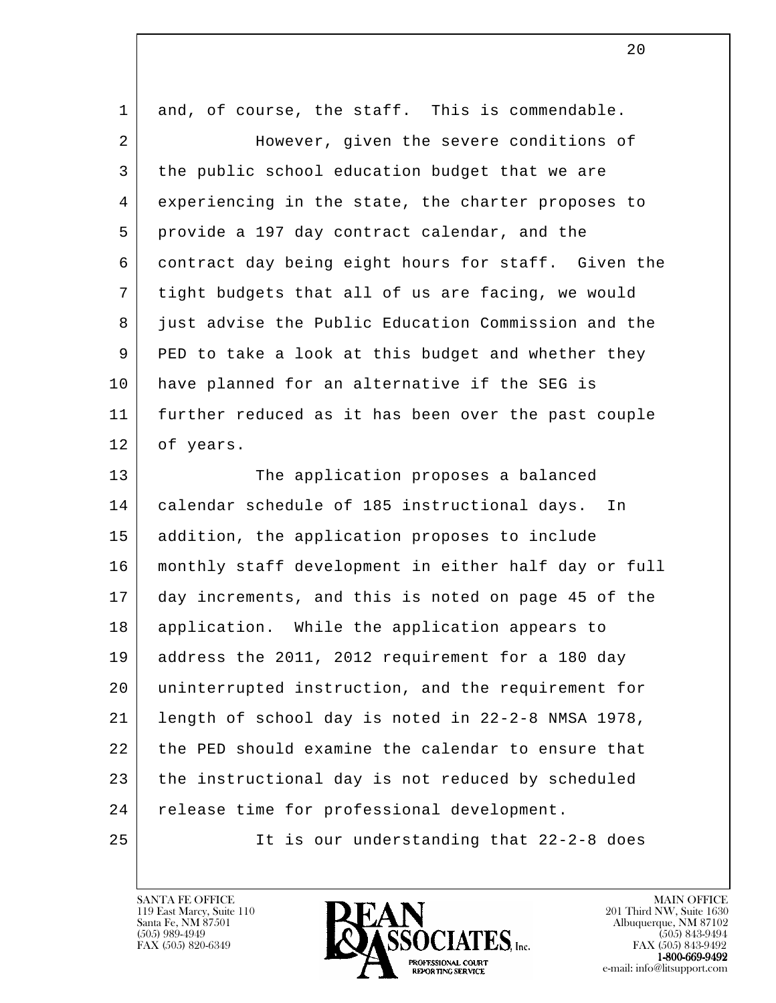| 1  | and, of course, the staff. This is commendable.      |
|----|------------------------------------------------------|
| 2  | However, given the severe conditions of              |
| 3  | the public school education budget that we are       |
| 4  | experiencing in the state, the charter proposes to   |
| 5  | provide a 197 day contract calendar, and the         |
| 6  | contract day being eight hours for staff. Given the  |
| 7  | tight budgets that all of us are facing, we would    |
| 8  | just advise the Public Education Commission and the  |
| 9  | PED to take a look at this budget and whether they   |
| 10 | have planned for an alternative if the SEG is        |
| 11 | further reduced as it has been over the past couple  |
| 12 | of years.                                            |
| 13 | The application proposes a balanced                  |
| 14 | calendar schedule of 185 instructional days.<br>In   |
| 15 | addition, the application proposes to include        |
| 16 | monthly staff development in either half day or full |
| 17 | day increments, and this is noted on page 45 of the  |
| 18 | application. While the application appears to        |
| 19 | address the 2011, 2012 requirement for a 180 day     |
| 20 | uninterrupted instruction, and the requirement for   |
| 21 | length of school day is noted in 22-2-8 NMSA 1978,   |
| 22 | the PED should examine the calendar to ensure that   |
| 23 | the instructional day is not reduced by scheduled    |
| 24 | release time for professional development.           |
| 25 | It is our understanding that 22-2-8 does             |
|    |                                                      |

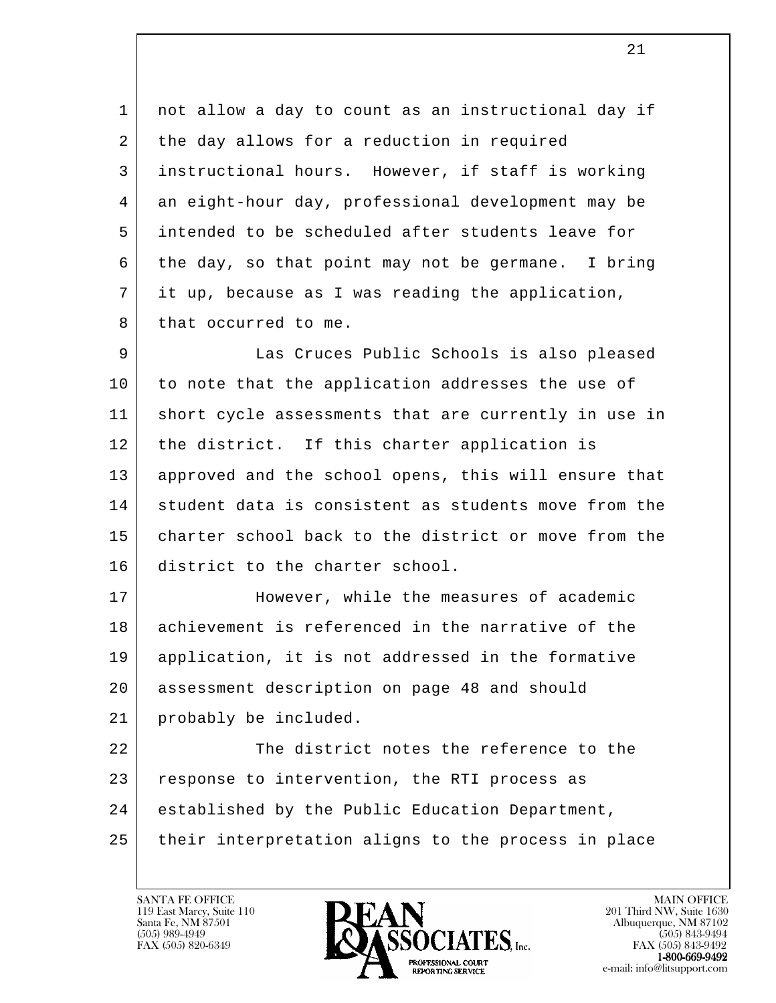1 | not allow a day to count as an instructional day if 2 the day allows for a reduction in required 3 instructional hours. However, if staff is working 4 an eight-hour day, professional development may be 5 intended to be scheduled after students leave for  $6$  the day, so that point may not be germane. I bring 7 it up, because as I was reading the application, 8 | that occurred to me.

 9 Las Cruces Public Schools is also pleased 10 to note that the application addresses the use of 11 short cycle assessments that are currently in use in 12 | the district. If this charter application is 13 | approved and the school opens, this will ensure that 14 student data is consistent as students move from the 15 charter school back to the district or move from the 16 district to the charter school.

 17 However, while the measures of academic 18 achievement is referenced in the narrative of the 19 application, it is not addressed in the formative 20 assessment description on page 48 and should 21 probably be included.

l 22 The district notes the reference to the 23 | response to intervention, the RTI process as 24 established by the Public Education Department, 25 their interpretation aligns to the process in place

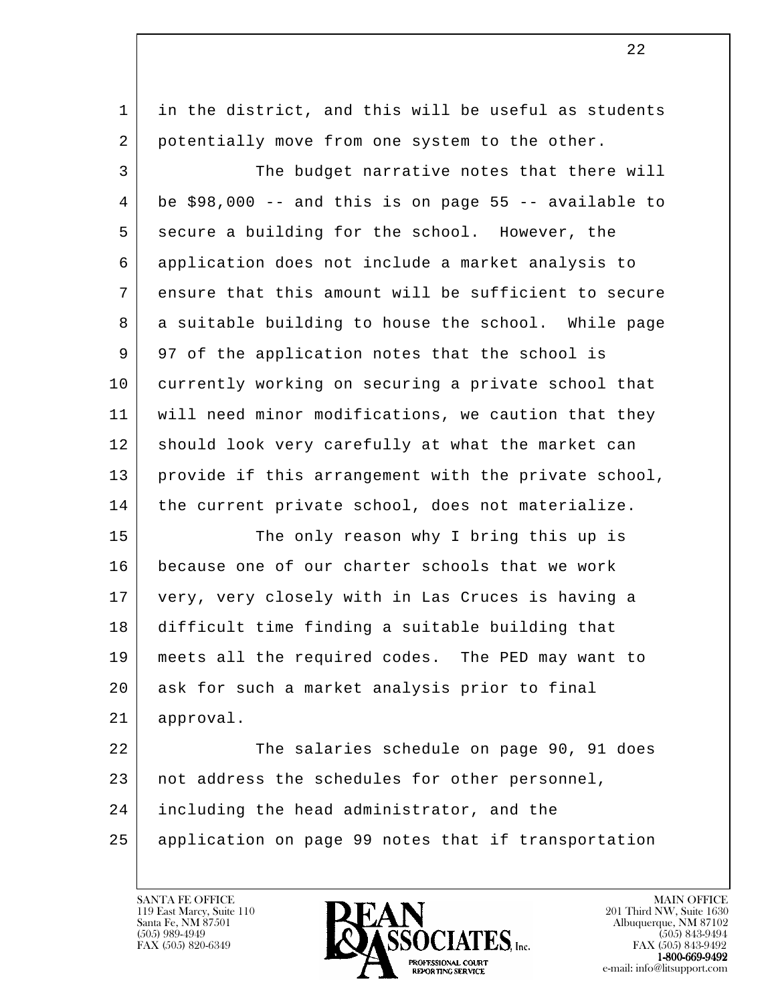| in the district, and this will be useful as students  |
|-------------------------------------------------------|
| potentially move from one system to the other.        |
| The budget narrative notes that there will            |
| be \$98,000 -- and this is on page 55 -- available to |
| secure a building for the school. However, the        |
| application does not include a market analysis to     |
| ensure that this amount will be sufficient to secure  |
| a suitable building to house the school. While page   |
| 97 of the application notes that the school is        |
| currently working on securing a private school that   |
| will need minor modifications, we caution that they   |
| should look very carefully at what the market can     |
| provide if this arrangement with the private school,  |
| the current private school, does not materialize.     |
| The only reason why I bring this up is                |
| because one of our charter schools that we work       |
| very, very closely with in Las Cruces is having a     |
| difficult time finding a suitable building that       |
| meets all the required codes. The PED may want to     |
| ask for such a market analysis prior to final         |
| approval.                                             |
| The salaries schedule on page 90, 91 does             |
| not address the schedules for other personnel,        |
| including the head administrator, and the             |
| application on page 99 notes that if transportation   |
|                                                       |

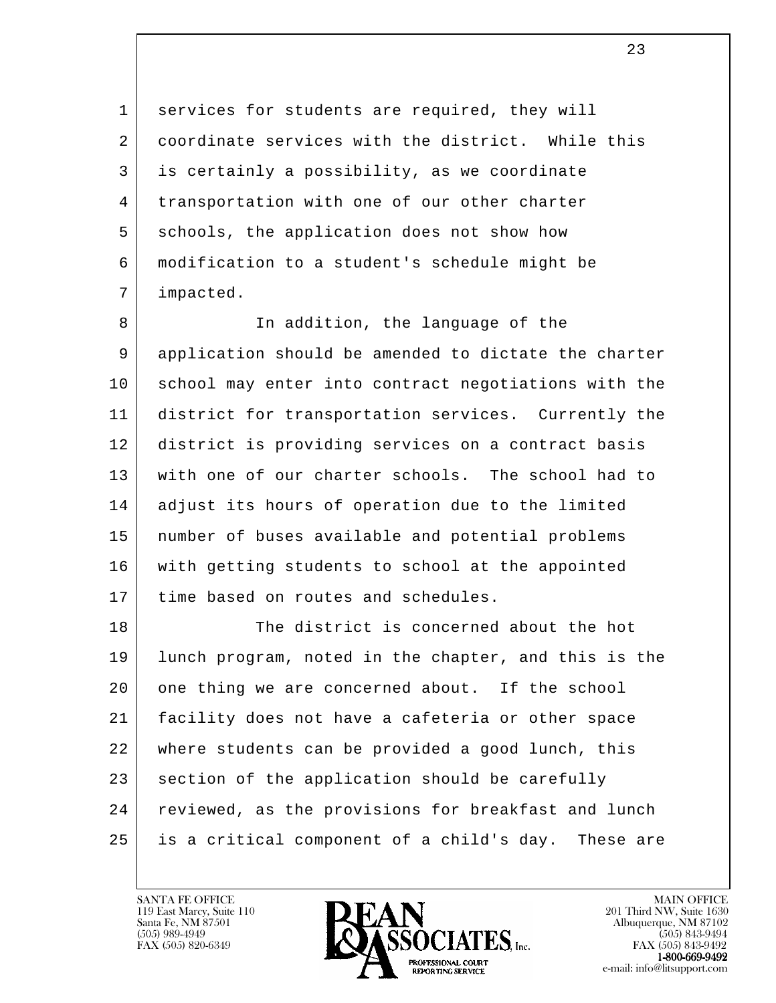1 services for students are required, they will 2 coordinate services with the district. While this 3 is certainly a possibility, as we coordinate 4 | transportation with one of our other charter 5 schools, the application does not show how 6 modification to a student's schedule might be 7 impacted.

8 a In addition, the language of the 9 | application should be amended to dictate the charter 10 school may enter into contract negotiations with the 11 district for transportation services. Currently the 12 district is providing services on a contract basis 13 with one of our charter schools. The school had to 14 adjust its hours of operation due to the limited 15 number of buses available and potential problems 16 with getting students to school at the appointed 17 time based on routes and schedules.

l 18 The district is concerned about the hot 19 lunch program, noted in the chapter, and this is the 20 | one thing we are concerned about. If the school 21 facility does not have a cafeteria or other space 22 where students can be provided a good lunch, this 23 section of the application should be carefully 24 reviewed, as the provisions for breakfast and lunch 25 is a critical component of a child's day. These are

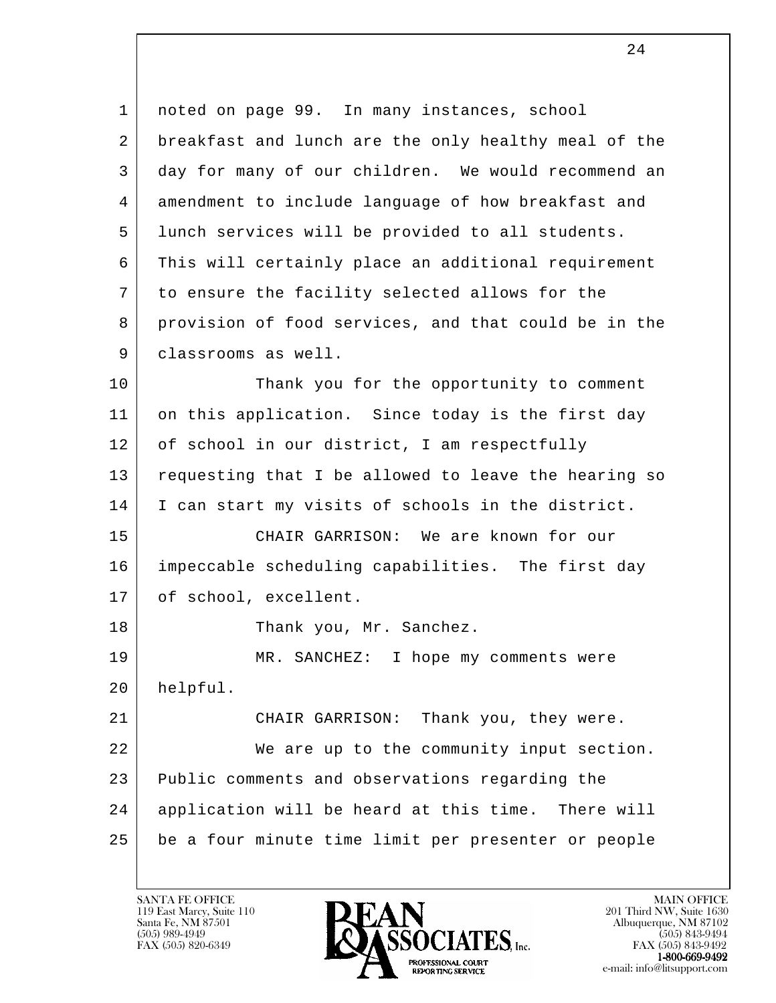l 1 noted on page 99. In many instances, school 2 breakfast and lunch are the only healthy meal of the 3 day for many of our children. We would recommend an 4 amendment to include language of how breakfast and 5 lunch services will be provided to all students. 6 This will certainly place an additional requirement 7 to ensure the facility selected allows for the 8 provision of food services, and that could be in the 9 | classrooms as well. 10 | Thank you for the opportunity to comment 11 on this application. Since today is the first day 12 of school in our district, I am respectfully 13 requesting that I be allowed to leave the hearing so 14 | I can start my visits of schools in the district. 15 CHAIR GARRISON: We are known for our 16 impeccable scheduling capabilities. The first day 17 of school, excellent. 18 Thank you, Mr. Sanchez. 19 MR. SANCHEZ: I hope my comments were 20 helpful. 21 CHAIR GARRISON: Thank you, they were. 22 We are up to the community input section. 23 Public comments and observations regarding the 24 application will be heard at this time. There will 25 be a four minute time limit per presenter or people

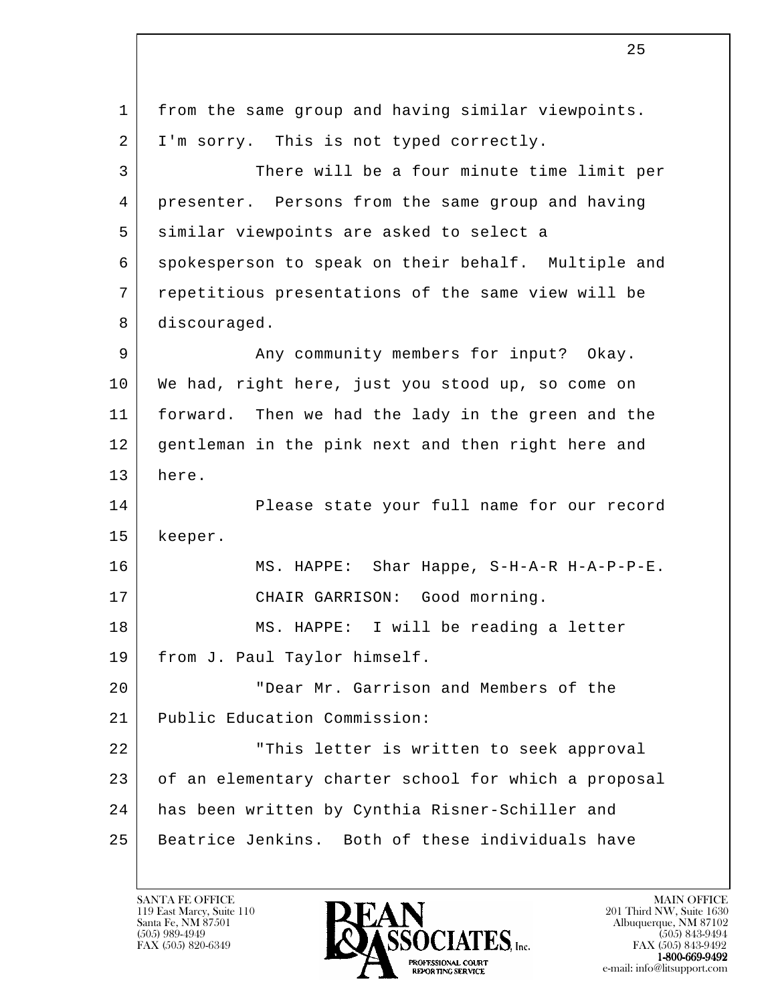l 1 from the same group and having similar viewpoints. 2 | I'm sorry. This is not typed correctly. 3 There will be a four minute time limit per 4 presenter. Persons from the same group and having 5 similar viewpoints are asked to select a 6 spokesperson to speak on their behalf. Multiple and 7 repetitious presentations of the same view will be 8 discouraged. 9 Any community members for input? Okay. 10 We had, right here, just you stood up, so come on 11 forward. Then we had the lady in the green and the 12 gentleman in the pink next and then right here and 13 here. 14 Please state your full name for our record 15 | keeper. 16 MS. HAPPE: Shar Happe, S-H-A-R H-A-P-P-E. 17 | CHAIR GARRISON: Good morning. 18 | MS. HAPPE: I will be reading a letter 19 from J. Paul Taylor himself. 20 "Dear Mr. Garrison and Members of the 21 Public Education Commission: 22 | This letter is written to seek approval 23 of an elementary charter school for which a proposal 24 has been written by Cynthia Risner-Schiller and 25 Beatrice Jenkins. Both of these individuals have

119 East Marcy, Suite 110<br>Santa Fe, NM 87501

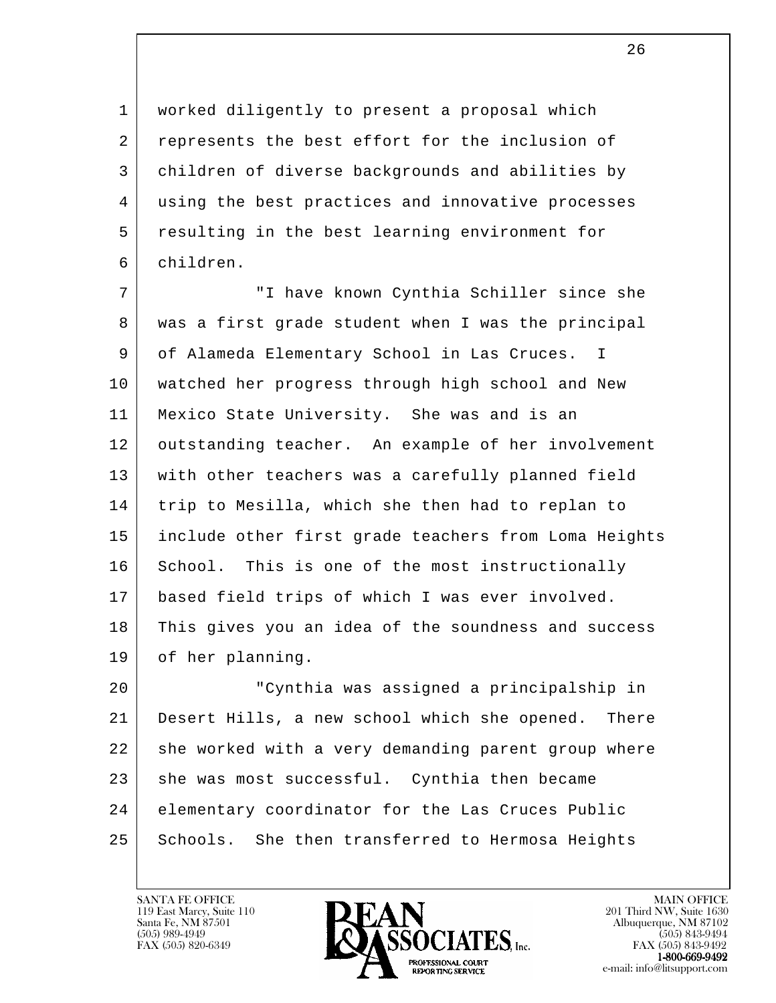1 worked diligently to present a proposal which 2 represents the best effort for the inclusion of 3 children of diverse backgrounds and abilities by 4 using the best practices and innovative processes 5 resulting in the best learning environment for 6 children.

 7 "I have known Cynthia Schiller since she 8 was a first grade student when I was the principal 9 of Alameda Elementary School in Las Cruces. I 10 watched her progress through high school and New 11 Mexico State University. She was and is an 12 outstanding teacher. An example of her involvement 13 | with other teachers was a carefully planned field 14 trip to Mesilla, which she then had to replan to 15 include other first grade teachers from Loma Heights 16 School. This is one of the most instructionally 17 based field trips of which I was ever involved. 18 This gives you an idea of the soundness and success 19 of her planning.

l 20 "Cynthia was assigned a principalship in 21 Desert Hills, a new school which she opened. There 22 she worked with a very demanding parent group where 23 she was most successful. Cynthia then became 24 elementary coordinator for the Las Cruces Public 25 Schools. She then transferred to Hermosa Heights

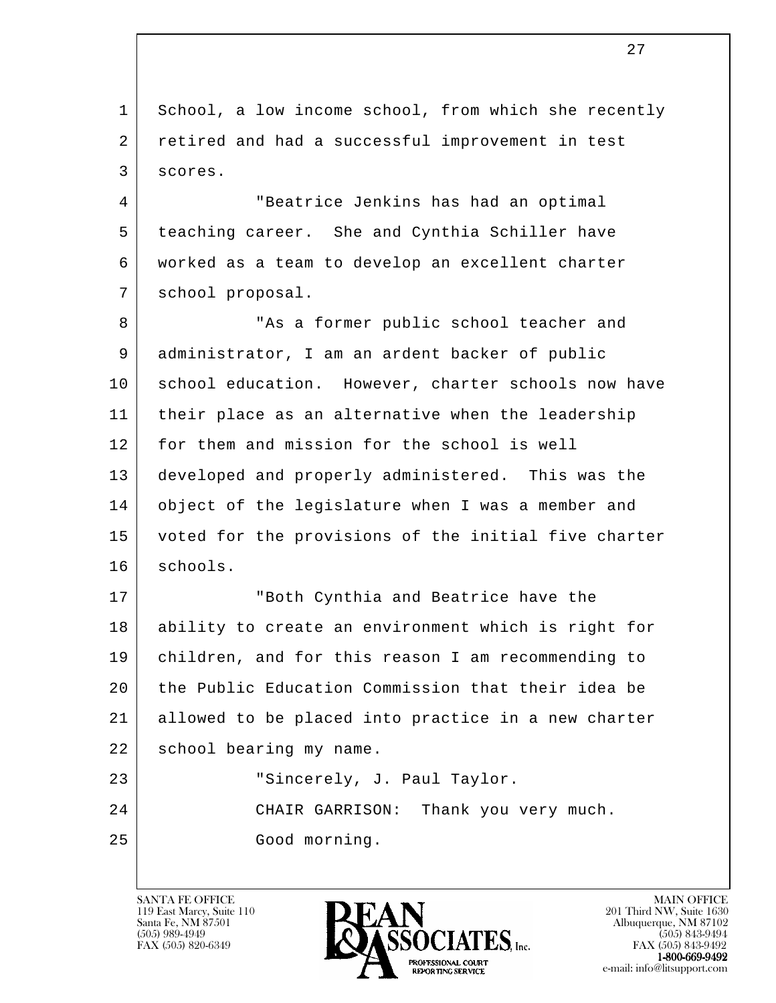l 1 School, a low income school, from which she recently 2 retired and had a successful improvement in test 3 scores. 4 "Beatrice Jenkins has had an optimal 5 teaching career. She and Cynthia Schiller have 6 worked as a team to develop an excellent charter 7 school proposal. 8 | This a former public school teacher and 9 administrator, I am an ardent backer of public 10 school education. However, charter schools now have 11 their place as an alternative when the leadership 12 for them and mission for the school is well 13 developed and properly administered. This was the 14 object of the legislature when I was a member and 15 voted for the provisions of the initial five charter 16 | schools. 17 "Both Cynthia and Beatrice have the 18 ability to create an environment which is right for 19 children, and for this reason I am recommending to 20 the Public Education Commission that their idea be 21 allowed to be placed into practice in a new charter 22 | school bearing my name. 23 | Taylor Sincerely, J. Paul Taylor. 24 CHAIR GARRISON: Thank you very much. 25 Good morning.

119 East Marcy, Suite 110<br>Santa Fe, NM 87501



FAX (505) 843-9492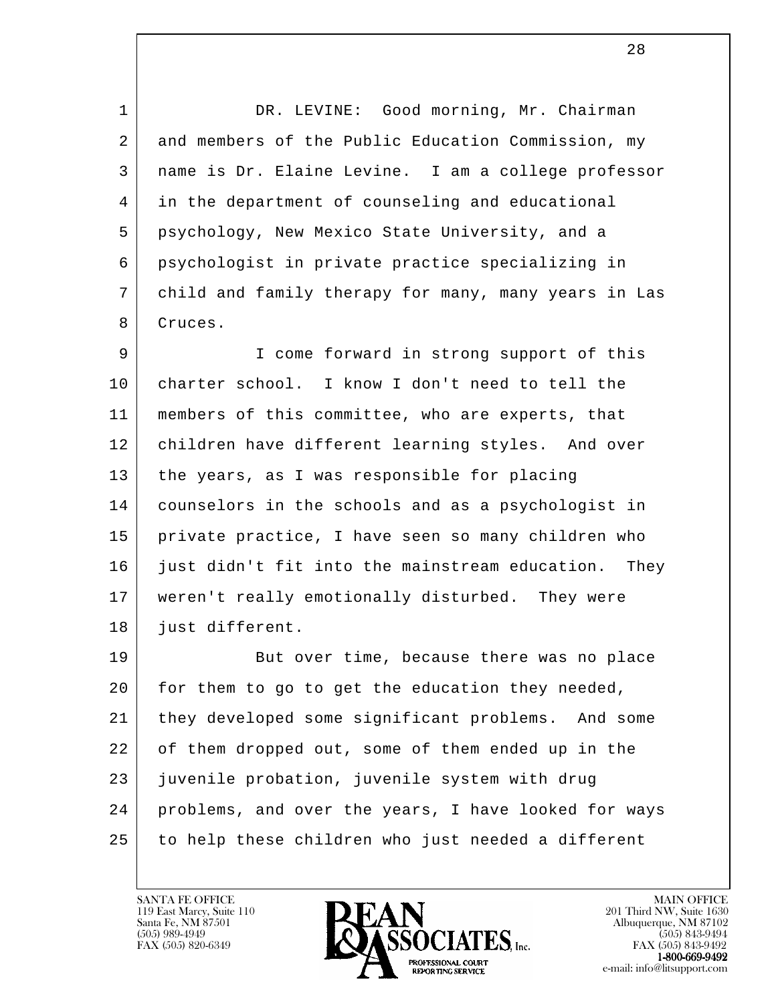1 | DR. LEVINE: Good morning, Mr. Chairman 2 and members of the Public Education Commission, my 3 name is Dr. Elaine Levine. I am a college professor 4 in the department of counseling and educational 5 psychology, New Mexico State University, and a 6 psychologist in private practice specializing in 7 child and family therapy for many, many years in Las 8 | Cruces.

 9 I come forward in strong support of this 10 charter school. I know I don't need to tell the 11 members of this committee, who are experts, that 12 children have different learning styles. And over 13 the years, as I was responsible for placing 14 counselors in the schools and as a psychologist in 15 private practice, I have seen so many children who 16 just didn't fit into the mainstream education. They 17 weren't really emotionally disturbed. They were 18 just different.

l 19 | But over time, because there was no place 20 for them to go to get the education they needed, 21 they developed some significant problems. And some 22 of them dropped out, some of them ended up in the 23 juvenile probation, juvenile system with drug 24 problems, and over the years, I have looked for ways 25 to help these children who just needed a different

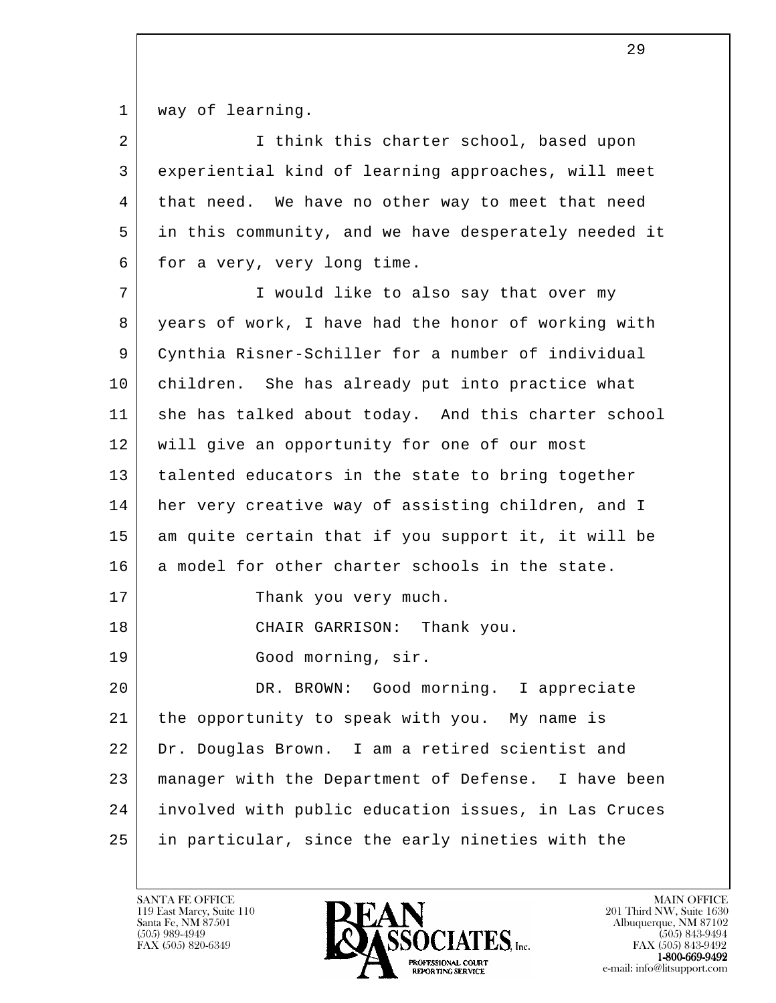1 | way of learning.

| 2  | I think this charter school, based upon              |
|----|------------------------------------------------------|
| 3  | experiential kind of learning approaches, will meet  |
| 4  | that need. We have no other way to meet that need    |
| 5  | in this community, and we have desperately needed it |
| 6  | for a very, very long time.                          |
| 7  | I would like to also say that over my                |
| 8  | years of work, I have had the honor of working with  |
| 9  | Cynthia Risner-Schiller for a number of individual   |
| 10 | children. She has already put into practice what     |
| 11 | she has talked about today. And this charter school  |
| 12 | will give an opportunity for one of our most         |
| 13 | talented educators in the state to bring together    |
| 14 | her very creative way of assisting children, and I   |
| 15 | am quite certain that if you support it, it will be  |
| 16 | a model for other charter schools in the state.      |
| 17 | Thank you very much.                                 |
| 18 | CHAIR GARRISON: Thank you.                           |
| 19 | Good morning, sir.                                   |
| 20 | DR. BROWN: Good morning. I appreciate                |
| 21 | the opportunity to speak with you. My name is        |
| 22 | Dr. Douglas Brown. I am a retired scientist and      |
| 23 | manager with the Department of Defense. I have been  |
| 24 | involved with public education issues, in Las Cruces |
| 25 | in particular, since the early nineties with the     |

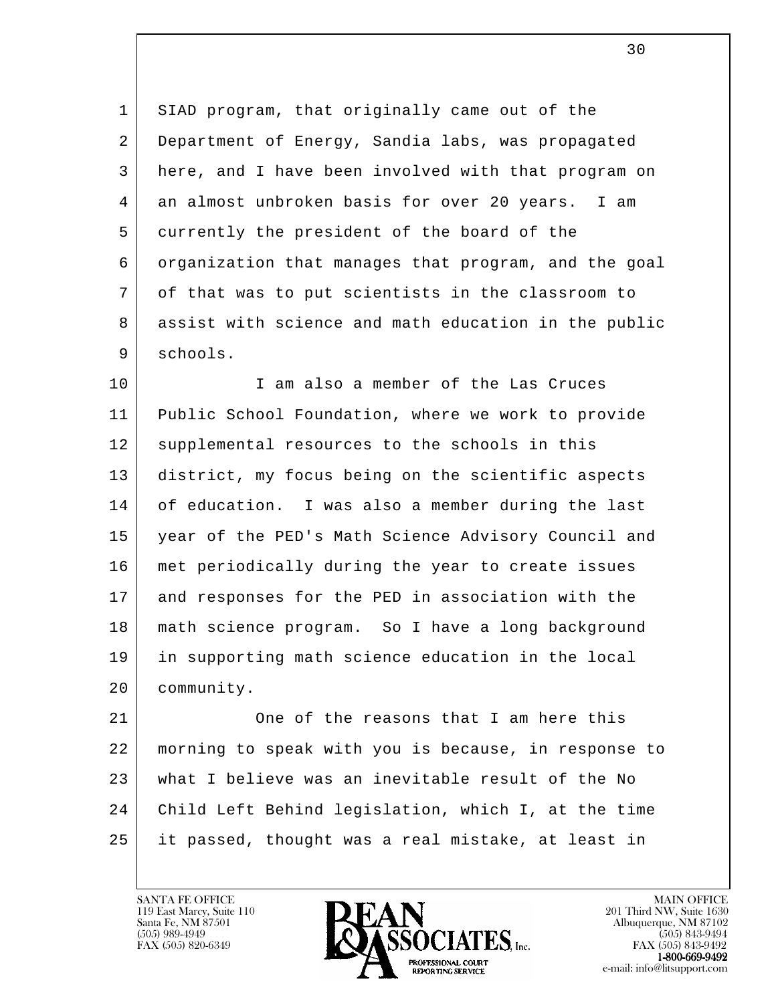1 SIAD program, that originally came out of the 2 Department of Energy, Sandia labs, was propagated 3 here, and I have been involved with that program on 4 an almost unbroken basis for over 20 years. I am 5 currently the president of the board of the 6 organization that manages that program, and the goal 7 of that was to put scientists in the classroom to 8 assist with science and math education in the public 9 schools.

10 I am also a member of the Las Cruces 11 Public School Foundation, where we work to provide 12 | supplemental resources to the schools in this 13 district, my focus being on the scientific aspects 14 of education. I was also a member during the last 15 year of the PED's Math Science Advisory Council and 16 met periodically during the year to create issues 17 | and responses for the PED in association with the 18 math science program. So I have a long background 19 in supporting math science education in the local 20 community.

l 21 One of the reasons that I am here this 22 morning to speak with you is because, in response to 23 what I believe was an inevitable result of the No 24 Child Left Behind legislation, which I, at the time 25 it passed, thought was a real mistake, at least in

119 East Marcy, Suite 110<br>Santa Fe, NM 87501



FAX (505) 843-9492 e-mail: info@litsupport.com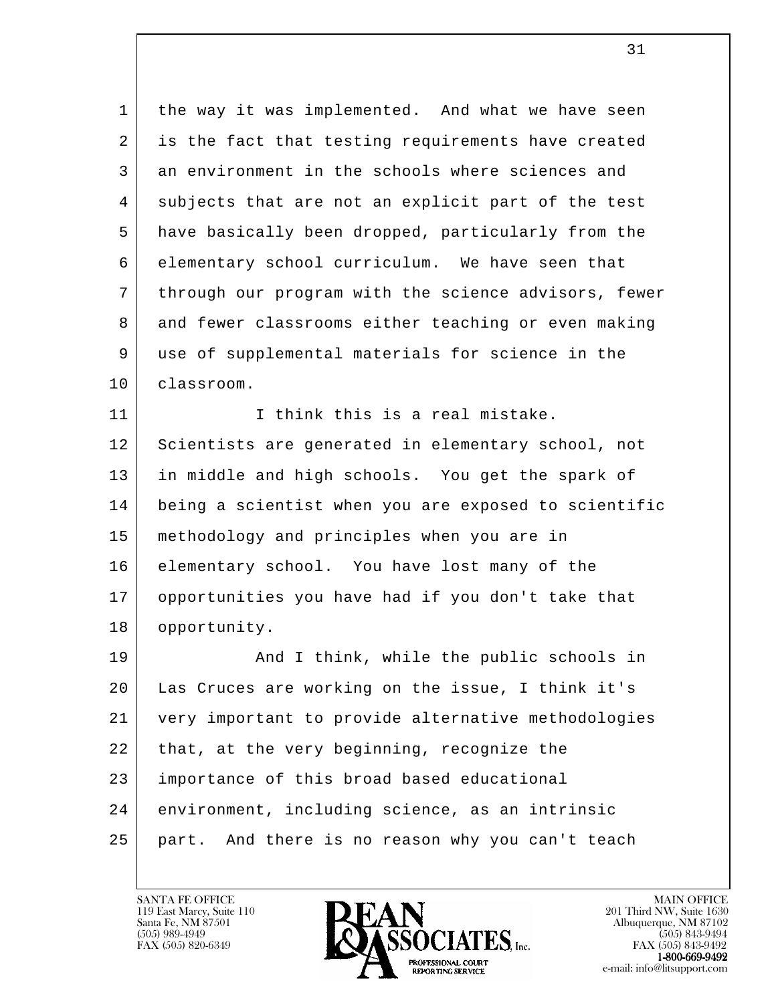1 | the way it was implemented. And what we have seen 2 is the fact that testing requirements have created 3 an environment in the schools where sciences and 4 subjects that are not an explicit part of the test 5 have basically been dropped, particularly from the 6 elementary school curriculum. We have seen that 7 through our program with the science advisors, fewer 8 and fewer classrooms either teaching or even making 9 use of supplemental materials for science in the 10 classroom.

11 I think this is a real mistake. 12 Scientists are generated in elementary school, not 13 in middle and high schools. You get the spark of 14 being a scientist when you are exposed to scientific 15 methodology and principles when you are in 16 elementary school. You have lost many of the 17 opportunities you have had if you don't take that 18 opportunity.

l 19 | And I think, while the public schools in 20 Las Cruces are working on the issue, I think it's 21 very important to provide alternative methodologies  $22$  that, at the very beginning, recognize the 23 importance of this broad based educational 24 environment, including science, as an intrinsic 25 part. And there is no reason why you can't teach

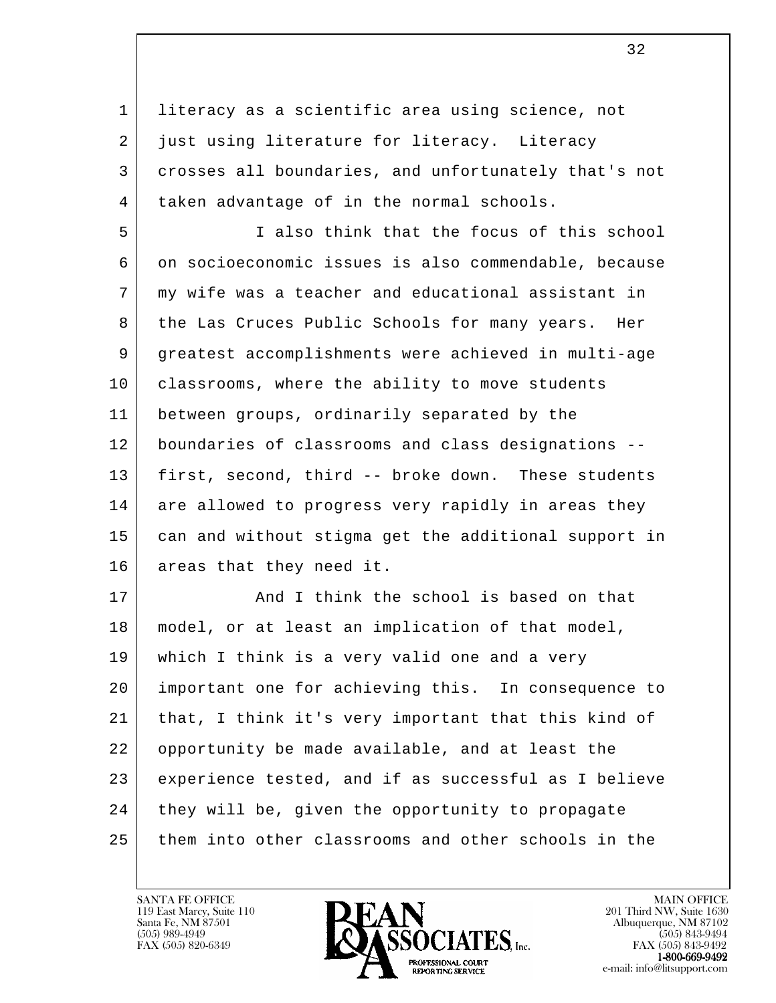1 literacy as a scientific area using science, not 2 just using literature for literacy. Literacy 3 crosses all boundaries, and unfortunately that's not 4 | taken advantage of in the normal schools.

 5 I also think that the focus of this school 6 on socioeconomic issues is also commendable, because 7 my wife was a teacher and educational assistant in 8 the Las Cruces Public Schools for many years. Her 9 greatest accomplishments were achieved in multi-age 10 | classrooms, where the ability to move students 11 between groups, ordinarily separated by the 12 boundaries of classrooms and class designations -- 13 first, second, third -- broke down. These students 14 are allowed to progress very rapidly in areas they 15 can and without stigma get the additional support in 16 areas that they need it.

l 17 | Think the school is based on that 18 model, or at least an implication of that model, 19 which I think is a very valid one and a very 20 important one for achieving this. In consequence to 21 | that, I think it's very important that this kind of 22 opportunity be made available, and at least the 23 experience tested, and if as successful as I believe 24 they will be, given the opportunity to propagate 25 them into other classrooms and other schools in the

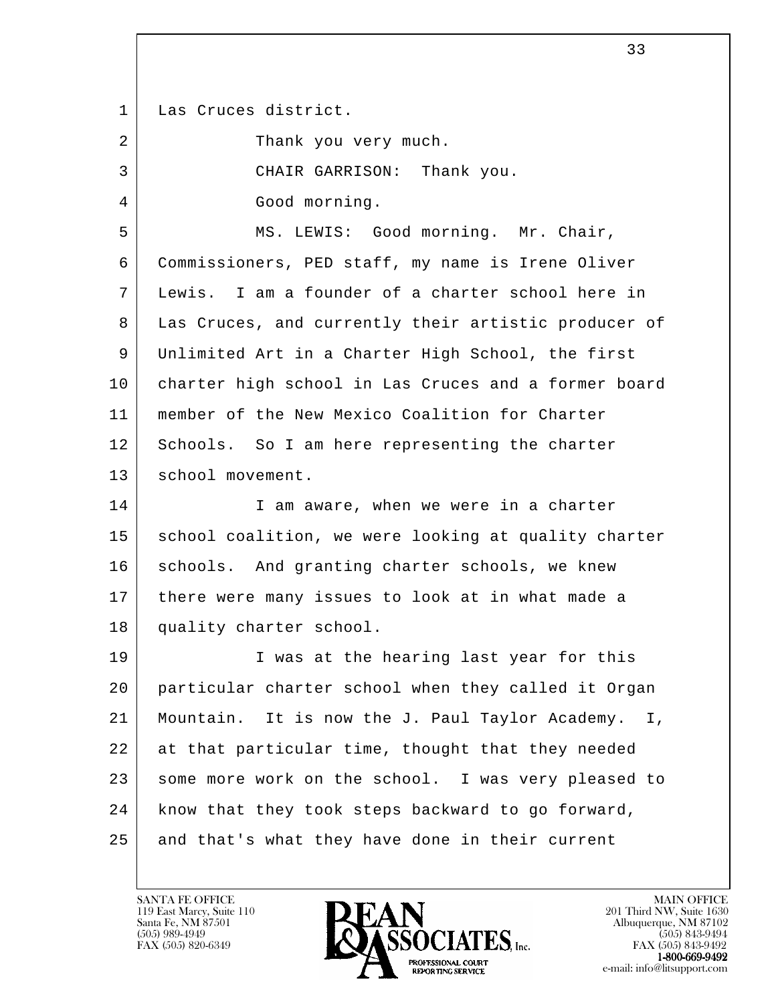1 Las Cruces district.

l 2 | Thank you very much. 3 CHAIR GARRISON: Thank you. 4 Good morning. 5 | MS. LEWIS: Good morning. Mr. Chair, 6 Commissioners, PED staff, my name is Irene Oliver 7 Lewis. I am a founder of a charter school here in 8 Las Cruces, and currently their artistic producer of 9 Unlimited Art in a Charter High School, the first 10 charter high school in Las Cruces and a former board 11 member of the New Mexico Coalition for Charter 12 Schools. So I am here representing the charter 13 | school movement. 14 I am aware, when we were in a charter 15 school coalition, we were looking at quality charter 16 schools. And granting charter schools, we knew 17 | there were many issues to look at in what made a 18 quality charter school. 19 I was at the hearing last year for this 20 particular charter school when they called it Organ 21 Mountain. It is now the J. Paul Taylor Academy. I, 22 at that particular time, thought that they needed 23 some more work on the school. I was very pleased to 24 know that they took steps backward to go forward, 25 and that's what they have done in their current

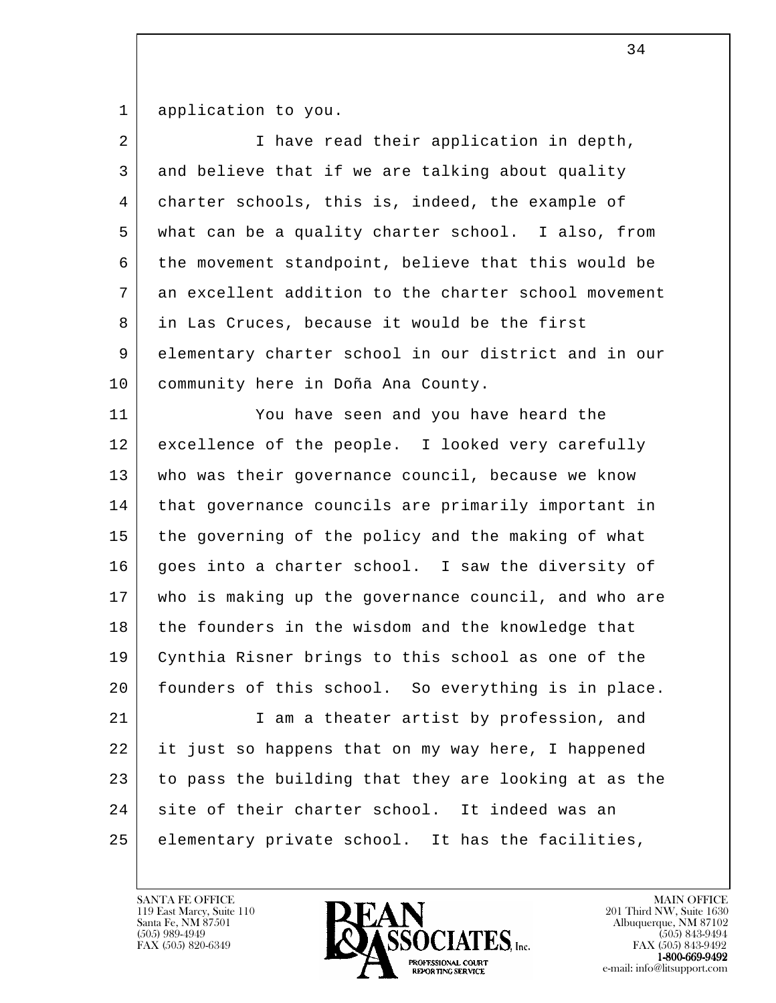1 application to you.

| 2  | I have read their application in depth,              |
|----|------------------------------------------------------|
| 3  | and believe that if we are talking about quality     |
| 4  | charter schools, this is, indeed, the example of     |
| 5  | what can be a quality charter school. I also, from   |
| 6  | the movement standpoint, believe that this would be  |
| 7  | an excellent addition to the charter school movement |
| 8  | in Las Cruces, because it would be the first         |
| 9  | elementary charter school in our district and in our |
| 10 | community here in Doña Ana County.                   |
| 11 | You have seen and you have heard the                 |
| 12 | excellence of the people. I looked very carefully    |
| 13 | who was their governance council, because we know    |
| 14 | that governance councils are primarily important in  |
| 15 | the governing of the policy and the making of what   |
| 16 | goes into a charter school. I saw the diversity of   |
| 17 | who is making up the governance council, and who are |
| 18 | the founders in the wisdom and the knowledge that    |
| 19 | Cynthia Risner brings to this school as one of the   |
| 20 | founders of this school. So everything is in place.  |
| 21 | I am a theater artist by profession, and             |
| 22 | it just so happens that on my way here, I happened   |
| 23 | to pass the building that they are looking at as the |
| 24 | site of their charter school. It indeed was an       |
| 25 | elementary private school. It has the facilities,    |
|    |                                                      |

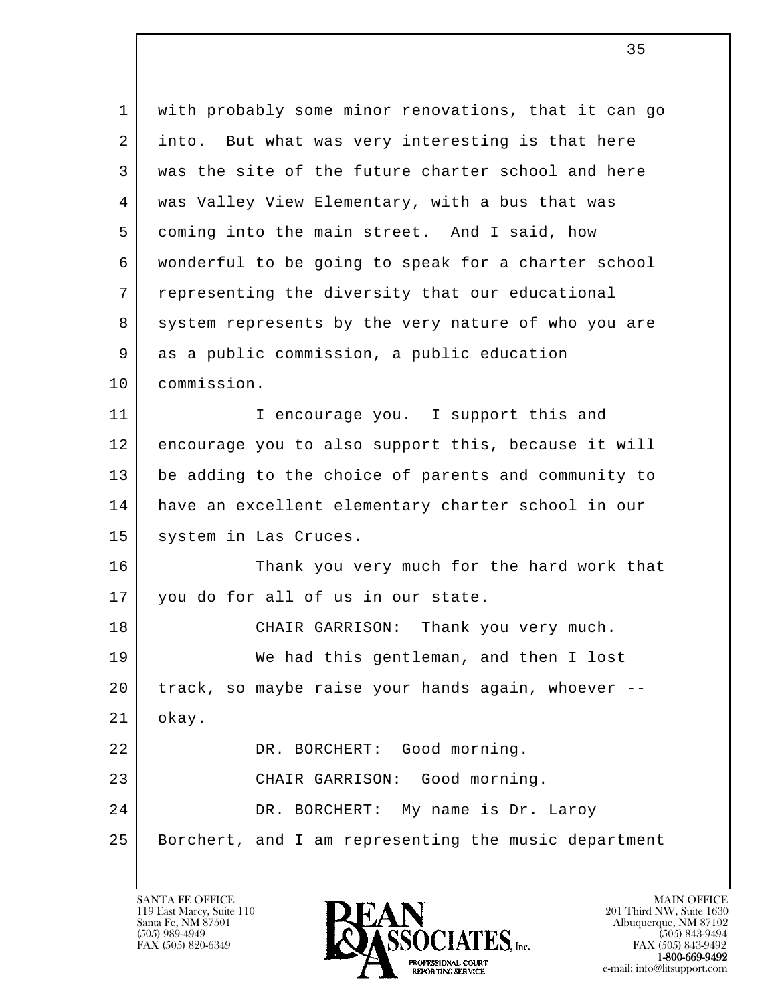l 1 with probably some minor renovations, that it can go 2 into. But what was very interesting is that here 3 was the site of the future charter school and here 4 was Valley View Elementary, with a bus that was 5 coming into the main street. And I said, how 6 wonderful to be going to speak for a charter school 7 representing the diversity that our educational 8 system represents by the very nature of who you are 9 as a public commission, a public education 10 commission. 11 | Thencourage you. I support this and 12 encourage you to also support this, because it will 13 be adding to the choice of parents and community to 14 have an excellent elementary charter school in our 15 | system in Las Cruces. 16 Thank you very much for the hard work that 17 you do for all of us in our state. 18 CHAIR GARRISON: Thank you very much. 19 We had this gentleman, and then I lost 20 track, so maybe raise your hands again, whoever -- 21 okay. 22 DR. BORCHERT: Good morning. 23 CHAIR GARRISON: Good morning. 24 DR. BORCHERT: My name is Dr. Laroy 25 Borchert, and I am representing the music department

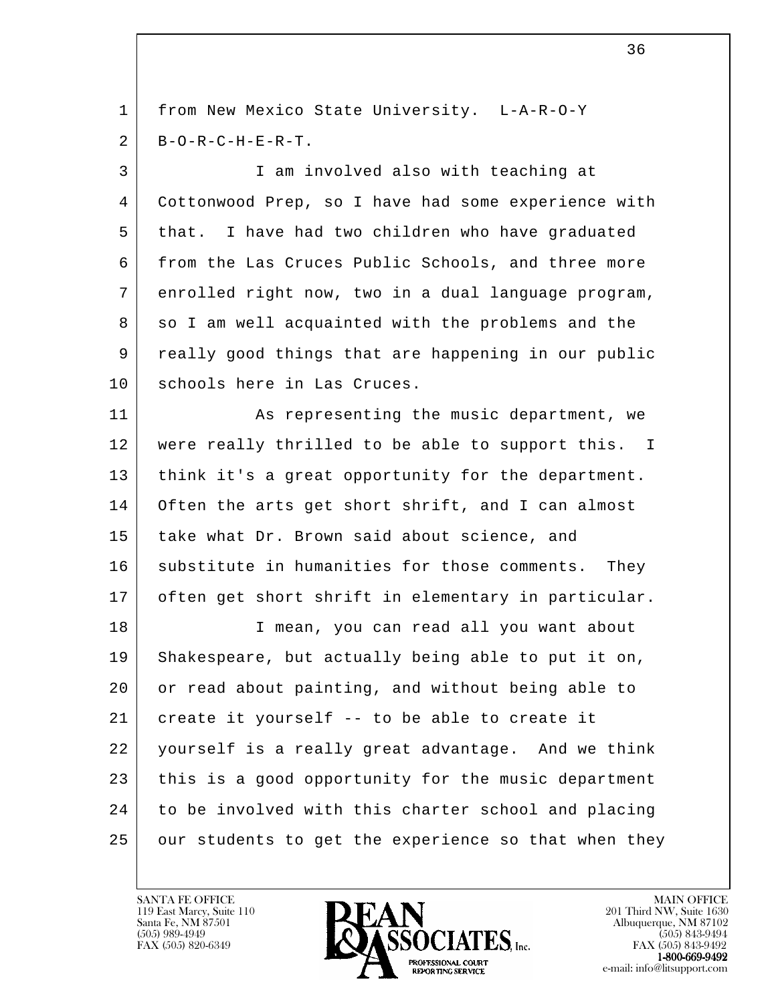l 1 from New Mexico State University. L-A-R-O-Y  $2$  | B-O-R-C-H-E-R-T. 3 I am involved also with teaching at 4 Cottonwood Prep, so I have had some experience with 5 that. I have had two children who have graduated 6 from the Las Cruces Public Schools, and three more 7 enrolled right now, two in a dual language program, 8 so I am well acquainted with the problems and the 9 really good things that are happening in our public 10 | schools here in Las Cruces. 11 | As representing the music department, we 12 | were really thrilled to be able to support this. I 13 think it's a great opportunity for the department. 14 Often the arts get short shrift, and I can almost 15 take what Dr. Brown said about science, and 16 substitute in humanities for those comments. They 17 often get short shrift in elementary in particular. 18 I mean, you can read all you want about 19 Shakespeare, but actually being able to put it on, 20 or read about painting, and without being able to 21 create it yourself  $-$  to be able to create it 22 yourself is a really great advantage. And we think 23 this is a good opportunity for the music department 24 to be involved with this charter school and placing 25 our students to get the experience so that when they

 $\sim$  36

119 East Marcy, Suite 110<br>Santa Fe, NM 87501



FAX (505) 843-9492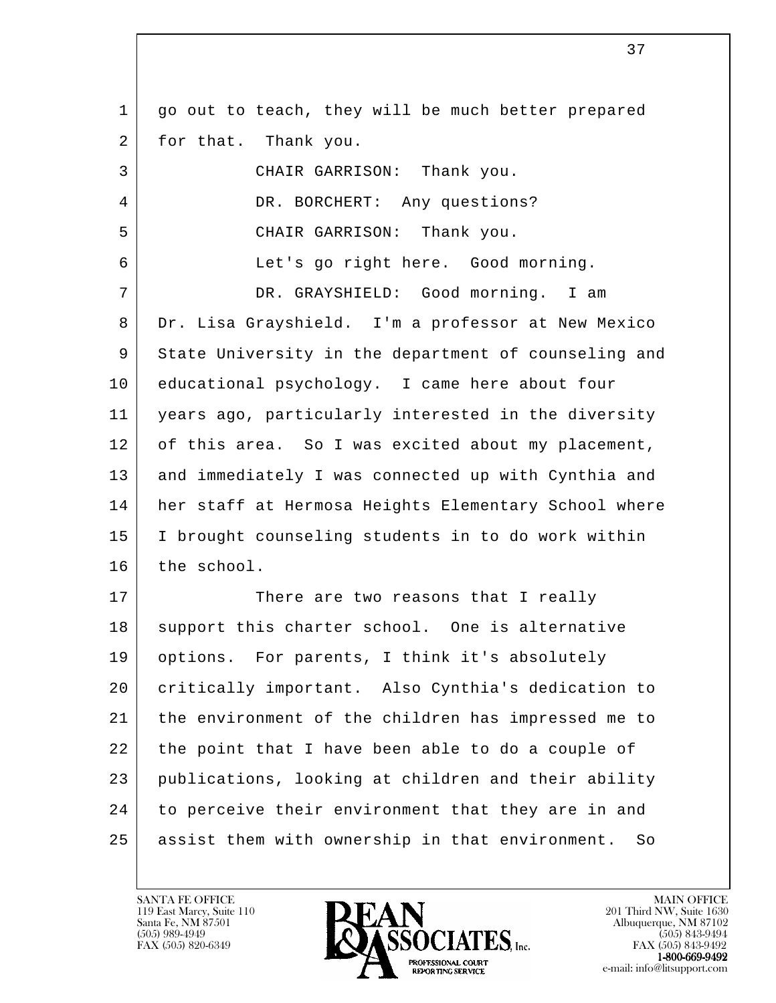l 1 | go out to teach, they will be much better prepared 2 for that. Thank you. 3 CHAIR GARRISON: Thank you. 4 DR. BORCHERT: Any questions? 5 CHAIR GARRISON: Thank you. 6 Let's go right here. Good morning. 7 DR. GRAYSHIELD: Good morning. I am 8 | Dr. Lisa Grayshield. I'm a professor at New Mexico 9 State University in the department of counseling and 10 educational psychology. I came here about four 11 years ago, particularly interested in the diversity 12 of this area. So I was excited about my placement, 13 and immediately I was connected up with Cynthia and 14 her staff at Hermosa Heights Elementary School where 15 I brought counseling students in to do work within 16 the school. 17 There are two reasons that I really 18 support this charter school. One is alternative 19 options. For parents, I think it's absolutely 20 critically important. Also Cynthia's dedication to 21 the environment of the children has impressed me to 22 the point that I have been able to do a couple of 23 publications, looking at children and their ability 24 to perceive their environment that they are in and 25 assist them with ownership in that environment. So

119 East Marcy, Suite 110<br>Santa Fe, NM 87501



 $FAX (505) 843-9492$ <br>1-800-669-9492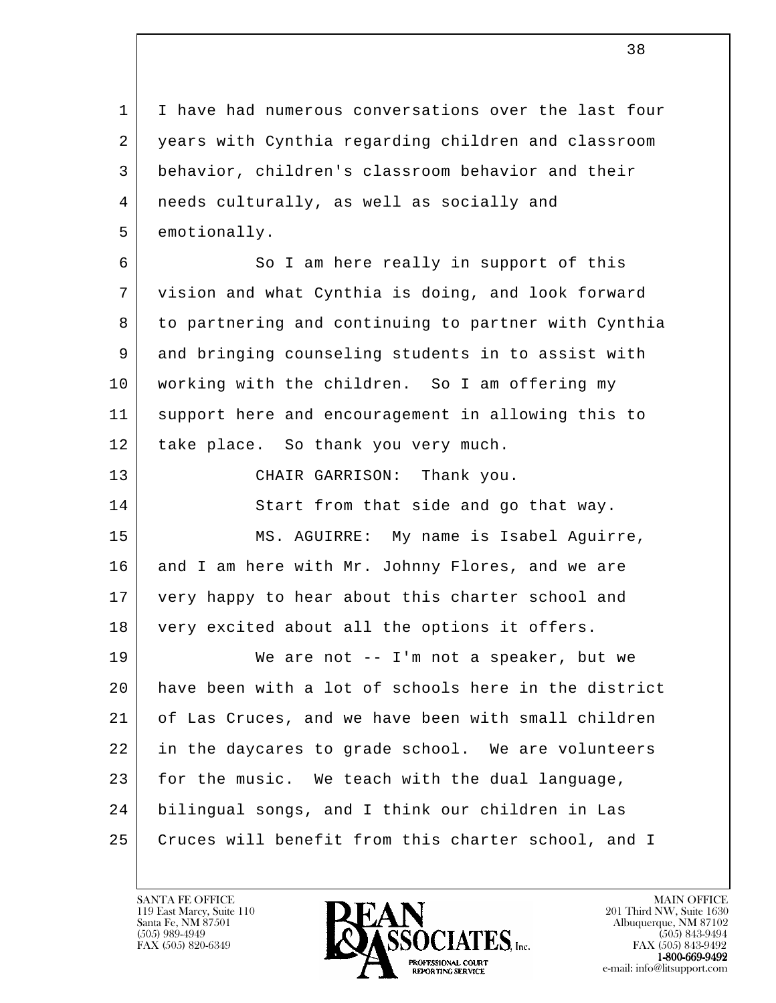1 I have had numerous conversations over the last four 2 years with Cynthia regarding children and classroom 3 behavior, children's classroom behavior and their 4 needs culturally, as well as socially and 5 emotionally.

6 So I am here really in support of this 7 vision and what Cynthia is doing, and look forward 8 to partnering and continuing to partner with Cynthia 9 and bringing counseling students in to assist with 10 working with the children. So I am offering my 11 support here and encouragement in allowing this to 12 | take place. So thank you very much.

 13 CHAIR GARRISON: Thank you. 14 Start from that side and go that way. 15 MS. AGUIRRE: My name is Isabel Aguirre, 16 and I am here with Mr. Johnny Flores, and we are 17 very happy to hear about this charter school and 18 very excited about all the options it offers.

l 19 We are not -- I'm not a speaker, but we 20 have been with a lot of schools here in the district 21 of Las Cruces, and we have been with small children 22 in the daycares to grade school. We are volunteers 23 for the music. We teach with the dual language, 24 bilingual songs, and I think our children in Las 25 Cruces will benefit from this charter school, and I

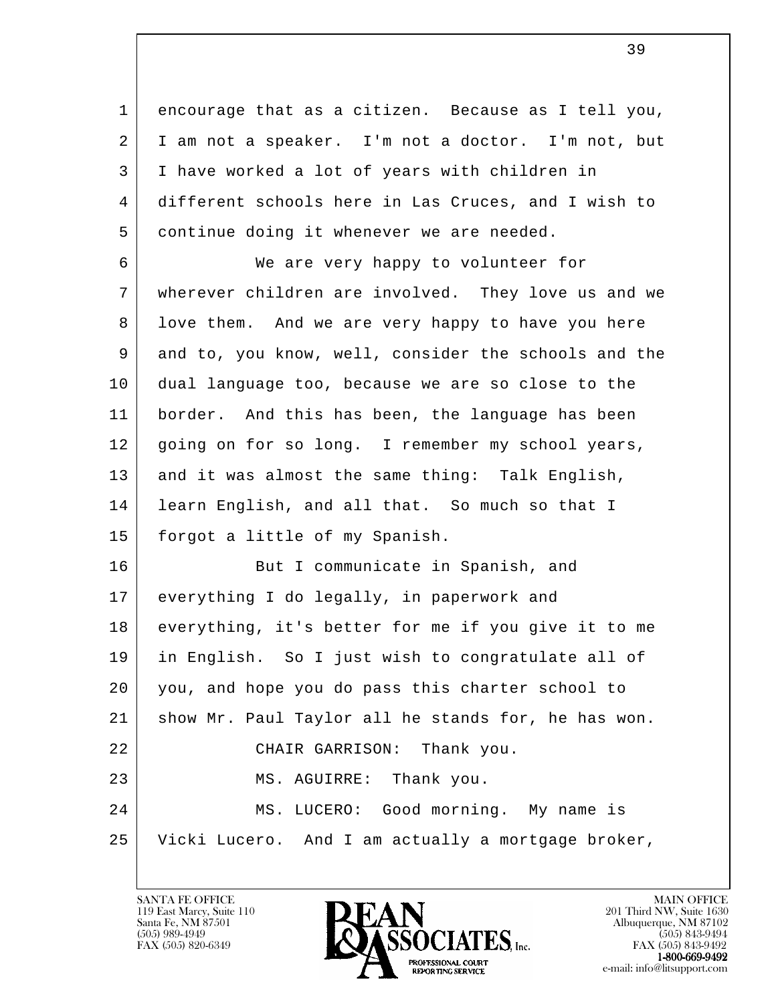1 encourage that as a citizen. Because as I tell you, 2 I am not a speaker. I'm not a doctor. I'm not, but 3 I have worked a lot of years with children in 4 different schools here in Las Cruces, and I wish to 5 continue doing it whenever we are needed.

 6 We are very happy to volunteer for 7 wherever children are involved. They love us and we 8 | love them. And we are very happy to have you here 9 and to, you know, well, consider the schools and the 10 dual language too, because we are so close to the 11 border. And this has been, the language has been 12 | going on for so long. I remember my school years, 13 and it was almost the same thing: Talk English, 14 learn English, and all that. So much so that I 15 forgot a little of my Spanish.

l 16 But I communicate in Spanish, and 17 everything I do legally, in paperwork and 18 everything, it's better for me if you give it to me 19 in English. So I just wish to congratulate all of 20 you, and hope you do pass this charter school to 21 show Mr. Paul Taylor all he stands for, he has won. 22 CHAIR GARRISON: Thank you. 23 MS. AGUIRRE: Thank you. 24 MS. LUCERO: Good morning. My name is 25 Vicki Lucero. And I am actually a mortgage broker,

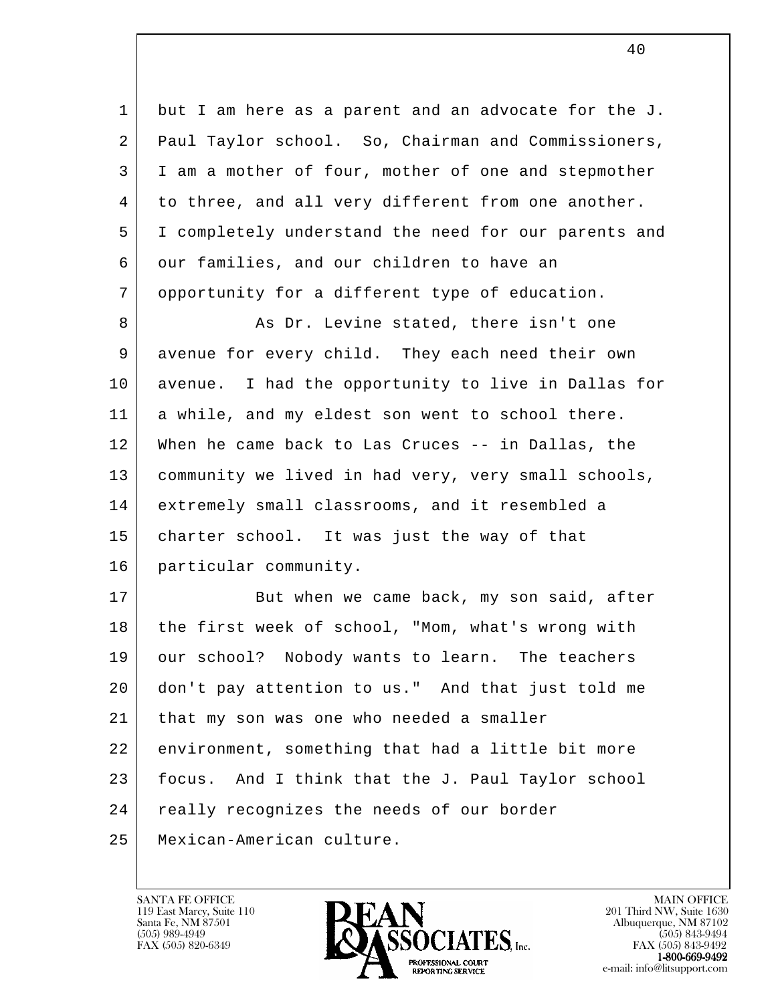1 but I am here as a parent and an advocate for the J. 2 Paul Taylor school. So, Chairman and Commissioners, 3 I am a mother of four, mother of one and stepmother 4 to three, and all very different from one another. 5 I completely understand the need for our parents and 6 our families, and our children to have an 7 opportunity for a different type of education. 8 As Dr. Levine stated, there isn't one 9 avenue for every child. They each need their own 10 avenue. I had the opportunity to live in Dallas for 11 a while, and my eldest son went to school there. 12 When he came back to Las Cruces -- in Dallas, the 13 community we lived in had very, very small schools, 14 extremely small classrooms, and it resembled a

 15 charter school. It was just the way of that 16 particular community.

l 17 | But when we came back, my son said, after 18 the first week of school, "Mom, what's wrong with 19 our school? Nobody wants to learn. The teachers 20 don't pay attention to us." And that just told me 21 | that my son was one who needed a smaller 22 environment, something that had a little bit more 23 focus. And I think that the J. Paul Taylor school 24 really recognizes the needs of our border 25 Mexican-American culture.

119 East Marcy, Suite 110<br>Santa Fe, NM 87501



FAX (505) 843-9492 e-mail: info@litsupport.com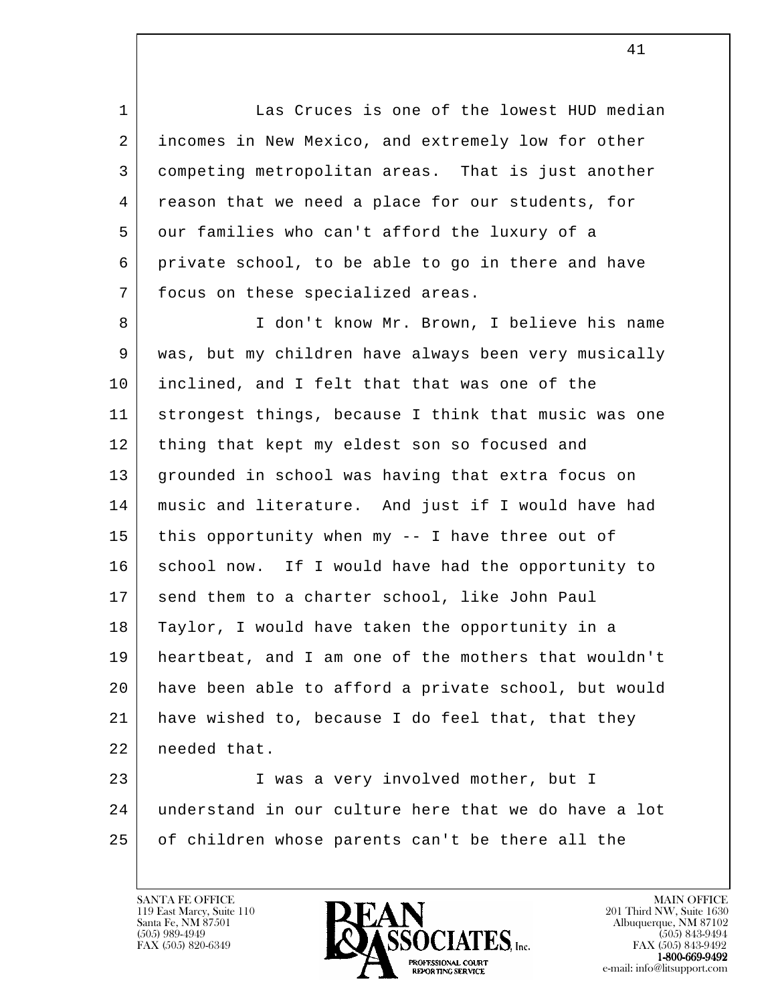1 Las Cruces is one of the lowest HUD median 2 incomes in New Mexico, and extremely low for other 3 competing metropolitan areas. That is just another 4 | reason that we need a place for our students, for 5 our families who can't afford the luxury of a 6 private school, to be able to go in there and have 7 | focus on these specialized areas.

8 | South Luis of the Marten Mr. Brown, I believe his name 9 was, but my children have always been very musically 10 inclined, and I felt that that was one of the 11 strongest things, because I think that music was one 12 | thing that kept my eldest son so focused and 13 grounded in school was having that extra focus on 14 music and literature. And just if I would have had 15 this opportunity when my -- I have three out of 16 school now. If I would have had the opportunity to 17 send them to a charter school, like John Paul 18 Taylor, I would have taken the opportunity in a 19 heartbeat, and I am one of the mothers that wouldn't 20 have been able to afford a private school, but would 21 have wished to, because I do feel that, that they 22 needed that.

l 23 | I was a very involved mother, but I 24 understand in our culture here that we do have a lot 25 of children whose parents can't be there all the

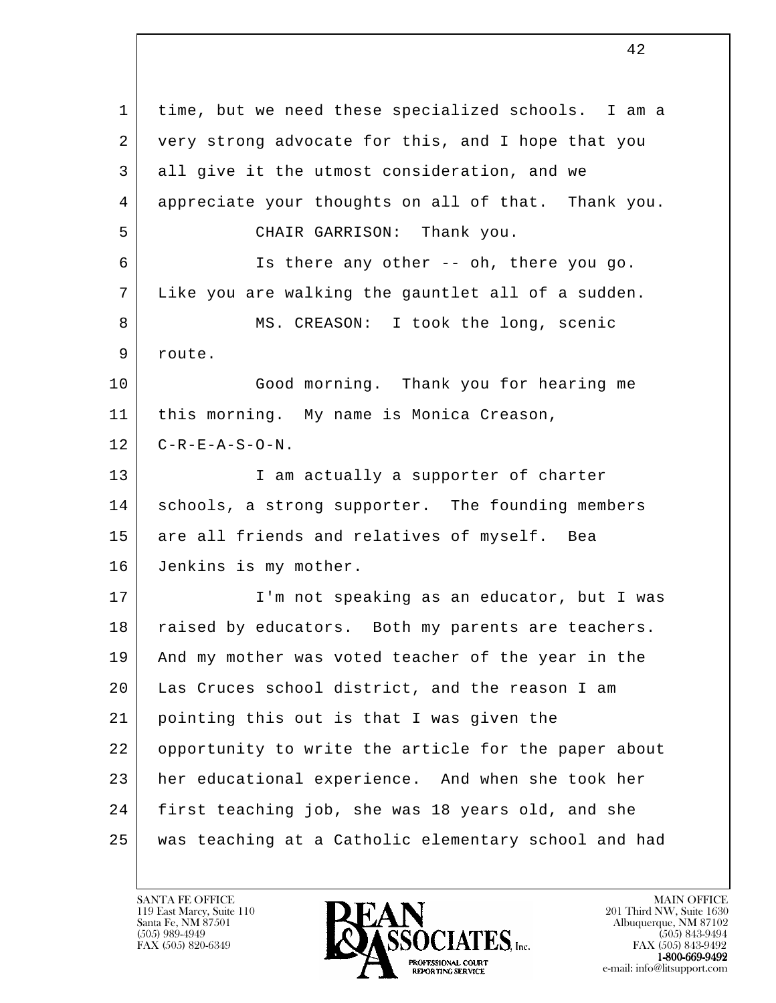l 1 time, but we need these specialized schools. I am a 2 very strong advocate for this, and I hope that you 3 all give it the utmost consideration, and we 4 appreciate your thoughts on all of that. Thank you. 5 CHAIR GARRISON: Thank you. 6 Is there any other -- oh, there you go. 7 Like you are walking the gauntlet all of a sudden. 8 MS. CREASON: I took the long, scenic 9 route. 10 Good morning. Thank you for hearing me 11 this morning. My name is Monica Creason,  $12$   $C-R-E-A-S-O-N$ . 13 | I am actually a supporter of charter 14 | schools, a strong supporter. The founding members 15 are all friends and relatives of myself. Bea 16 Jenkins is my mother. 17 | T'm not speaking as an educator, but I was 18 | raised by educators. Both my parents are teachers. 19 And my mother was voted teacher of the year in the 20 Las Cruces school district, and the reason I am 21 pointing this out is that I was given the 22 opportunity to write the article for the paper about 23 her educational experience. And when she took her 24 first teaching job, she was 18 years old, and she 25 was teaching at a Catholic elementary school and had

119 East Marcy, Suite 110<br>Santa Fe, NM 87501

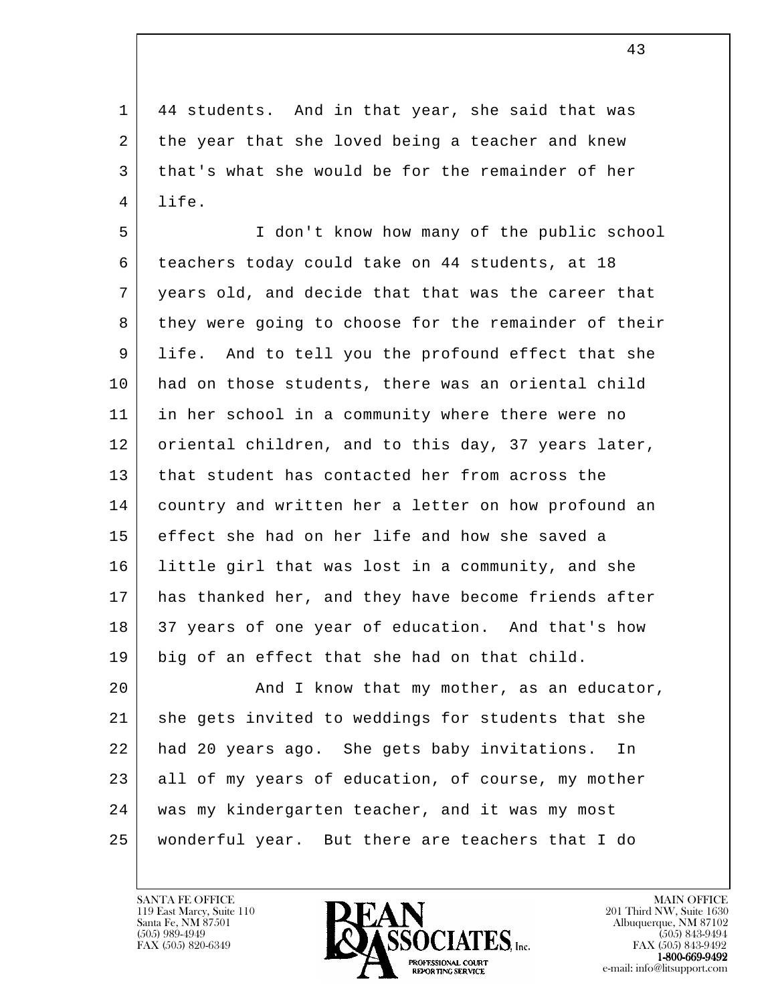1 44 students. And in that year, she said that was 2 the year that she loved being a teacher and knew 3 that's what she would be for the remainder of her 4 life.

 5 I don't know how many of the public school 6 teachers today could take on 44 students, at 18 7 years old, and decide that that was the career that 8 they were going to choose for the remainder of their 9 life. And to tell you the profound effect that she 10 had on those students, there was an oriental child 11 in her school in a community where there were no 12 | oriental children, and to this day, 37 years later, 13 that student has contacted her from across the 14 country and written her a letter on how profound an 15 effect she had on her life and how she saved a 16 little girl that was lost in a community, and she 17 has thanked her, and they have become friends after 18 37 years of one year of education. And that's how 19 big of an effect that she had on that child.

l 20 | And I know that my mother, as an educator, 21 she gets invited to weddings for students that she 22 had 20 years ago. She gets baby invitations. In 23 all of my years of education, of course, my mother 24 was my kindergarten teacher, and it was my most 25 wonderful year. But there are teachers that I do

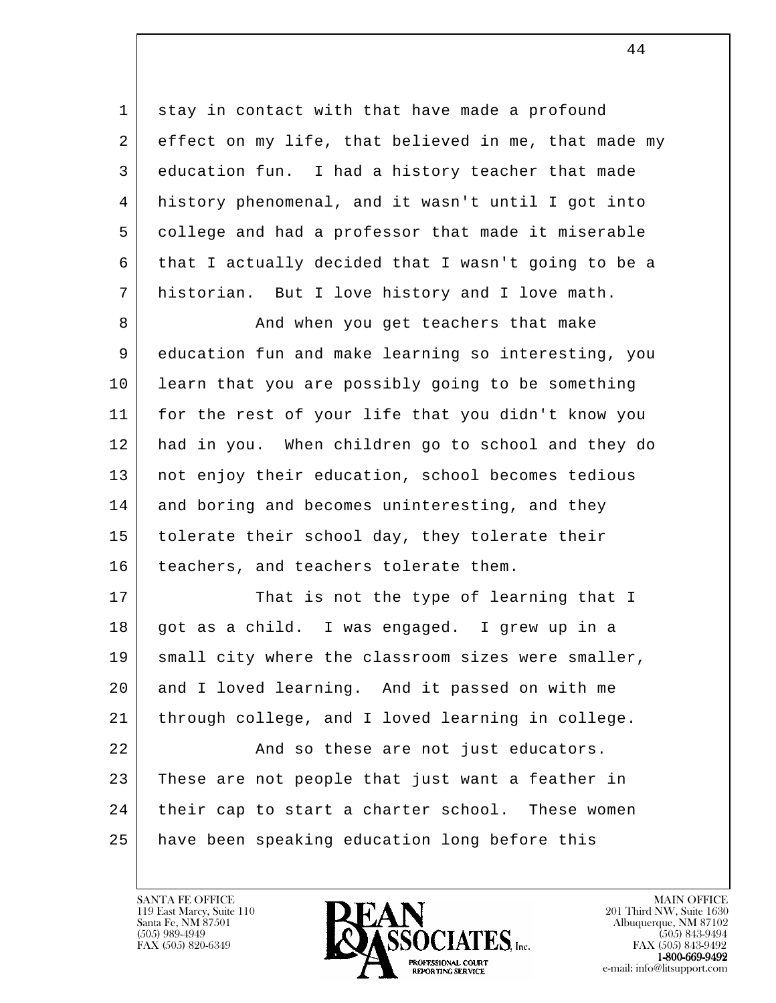1 stay in contact with that have made a profound 2 effect on my life, that believed in me, that made my 3 education fun. I had a history teacher that made 4 history phenomenal, and it wasn't until I got into 5 college and had a professor that made it miserable 6 that I actually decided that I wasn't going to be a 7 historian. But I love history and I love math.

8 And when you get teachers that make 9 education fun and make learning so interesting, you 10 learn that you are possibly going to be something 11 for the rest of your life that you didn't know you 12 had in you. When children go to school and they do 13 not enjoy their education, school becomes tedious 14 and boring and becomes uninteresting, and they 15 | tolerate their school day, they tolerate their 16 | teachers, and teachers tolerate them.

l 17 | That is not the type of learning that I 18 got as a child. I was engaged. I grew up in a 19 | small city where the classroom sizes were smaller, 20 and I loved learning. And it passed on with me 21 through college, and I loved learning in college. 22 And so these are not just educators. 23 These are not people that just want a feather in 24 their cap to start a charter school. These women 25 have been speaking education long before this

119 East Marcy, Suite 110<br>Santa Fe, NM 87501



FAX (505) 843-9492 e-mail: info@litsupport.com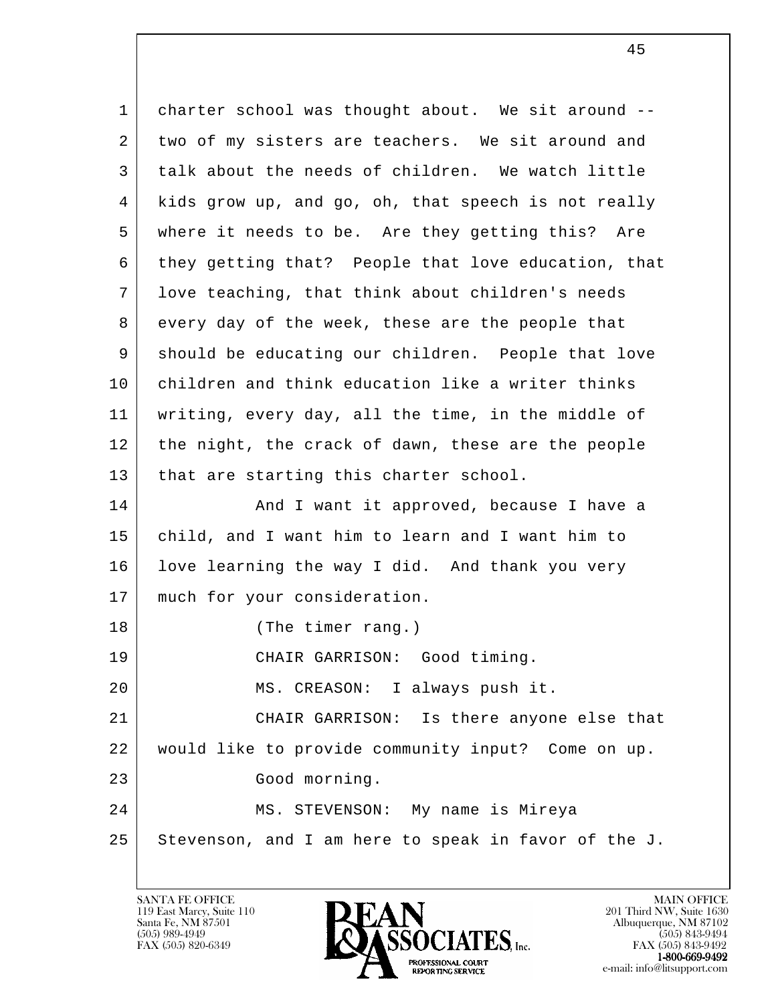l 1 charter school was thought about. We sit around --2 two of my sisters are teachers. We sit around and 3 talk about the needs of children. We watch little 4 kids grow up, and go, oh, that speech is not really 5 where it needs to be. Are they getting this? Are 6 | they getting that? People that love education, that 7 love teaching, that think about children's needs 8 every day of the week, these are the people that 9 should be educating our children. People that love 10 children and think education like a writer thinks 11 writing, every day, all the time, in the middle of 12 the night, the crack of dawn, these are the people 13 | that are starting this charter school. 14 And I want it approved, because I have a 15 child, and I want him to learn and I want him to 16 | love learning the way I did. And thank you very 17 much for your consideration. 18 (The timer rang.) 19 CHAIR GARRISON: Good timing. 20 | MS. CREASON: I always push it. 21 CHAIR GARRISON: Is there anyone else that 22 would like to provide community input? Come on up. 23 Good morning. 24 MS. STEVENSON: My name is Mireya  $25$  Stevenson, and I am here to speak in favor of the J.

119 East Marcy, Suite 110<br>Santa Fe, NM 87501

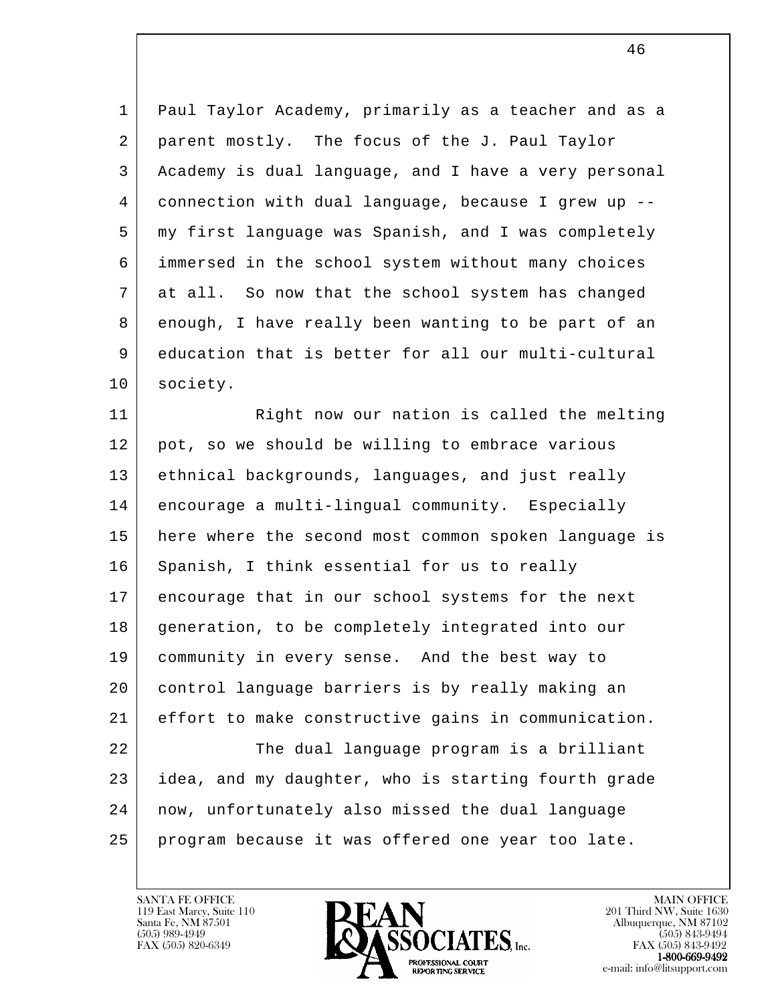1 Paul Taylor Academy, primarily as a teacher and as a 2 parent mostly. The focus of the J. Paul Taylor 3 Academy is dual language, and I have a very personal 4 connection with dual language, because I grew up -- 5 my first language was Spanish, and I was completely 6 immersed in the school system without many choices 7 at all. So now that the school system has changed 8 enough, I have really been wanting to be part of an 9 education that is better for all our multi-cultural 10 society.

l 11 Right now our nation is called the melting 12 pot, so we should be willing to embrace various 13 | ethnical backgrounds, languages, and just really 14 encourage a multi-lingual community. Especially 15 here where the second most common spoken language is 16 Spanish, I think essential for us to really 17 encourage that in our school systems for the next 18 generation, to be completely integrated into our 19 community in every sense. And the best way to 20 control language barriers is by really making an 21 effort to make constructive gains in communication. 22 The dual language program is a brilliant 23 idea, and my daughter, who is starting fourth grade 24 now, unfortunately also missed the dual language 25 program because it was offered one year too late.

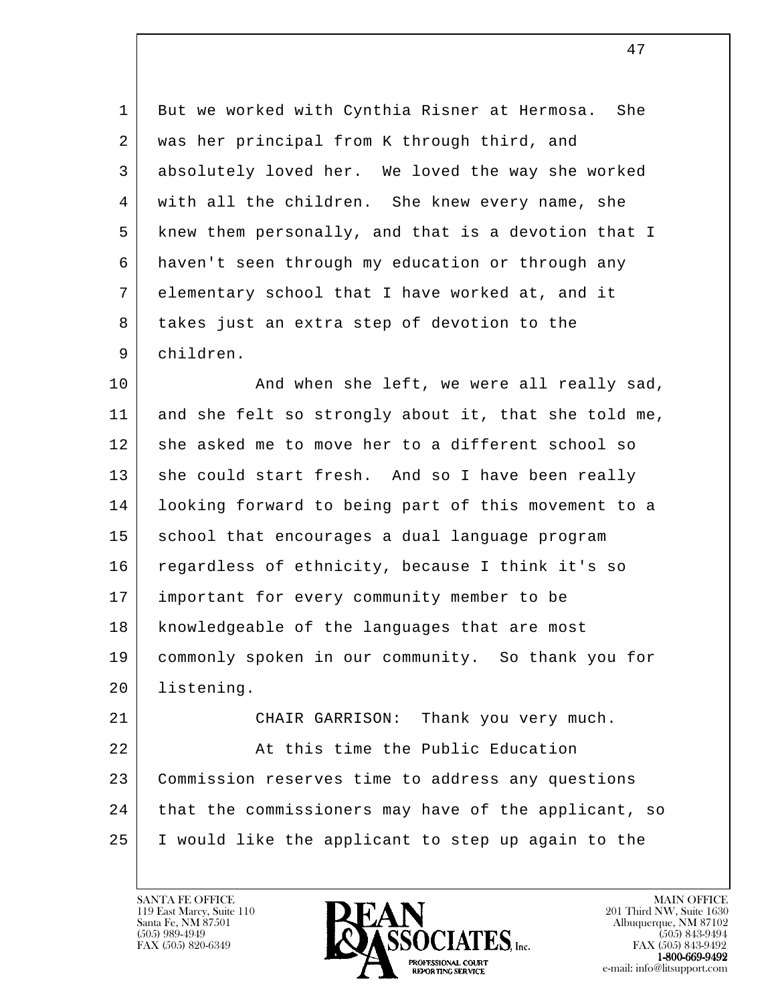1 But we worked with Cynthia Risner at Hermosa. She 2 was her principal from K through third, and 3 absolutely loved her. We loved the way she worked 4 with all the children. She knew every name, she 5 knew them personally, and that is a devotion that I 6 haven't seen through my education or through any 7 elementary school that I have worked at, and it 8 takes just an extra step of devotion to the 9 children.

10 | Rind when she left, we were all really sad, 11 and she felt so strongly about it, that she told me, 12 she asked me to move her to a different school so 13 she could start fresh. And so I have been really 14 looking forward to being part of this movement to a 15 | school that encourages a dual language program 16 regardless of ethnicity, because I think it's so 17 important for every community member to be 18 knowledgeable of the languages that are most 19 commonly spoken in our community. So thank you for 20 listening. 21 CHAIR GARRISON: Thank you very much. 22 At this time the Public Education

l 23 Commission reserves time to address any questions 24 that the commissioners may have of the applicant, so 25 I would like the applicant to step up again to the

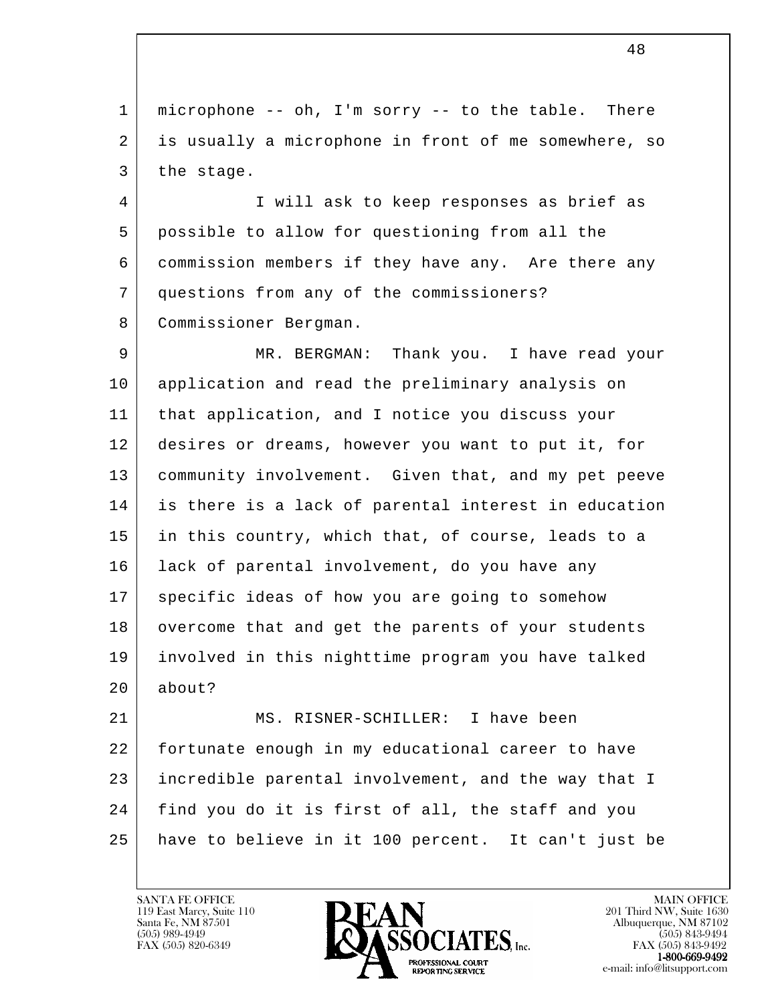1 microphone -- oh, I'm sorry -- to the table. There 2 is usually a microphone in front of me somewhere, so 3 the stage.

 4 I will ask to keep responses as brief as 5 possible to allow for questioning from all the 6 commission members if they have any. Are there any 7 questions from any of the commissioners? 8 Commissioner Bergman.

 9 MR. BERGMAN: Thank you. I have read your 10 application and read the preliminary analysis on 11 that application, and I notice you discuss your 12 desires or dreams, however you want to put it, for 13 community involvement. Given that, and my pet peeve 14 is there is a lack of parental interest in education 15 in this country, which that, of course, leads to a 16 lack of parental involvement, do you have any 17 | specific ideas of how you are going to somehow 18 overcome that and get the parents of your students 19 involved in this nighttime program you have talked 20 about?

l 21 MS. RISNER-SCHILLER: I have been 22 fortunate enough in my educational career to have 23 incredible parental involvement, and the way that I 24 | find you do it is first of all, the staff and you 25 have to believe in it 100 percent. It can't just be

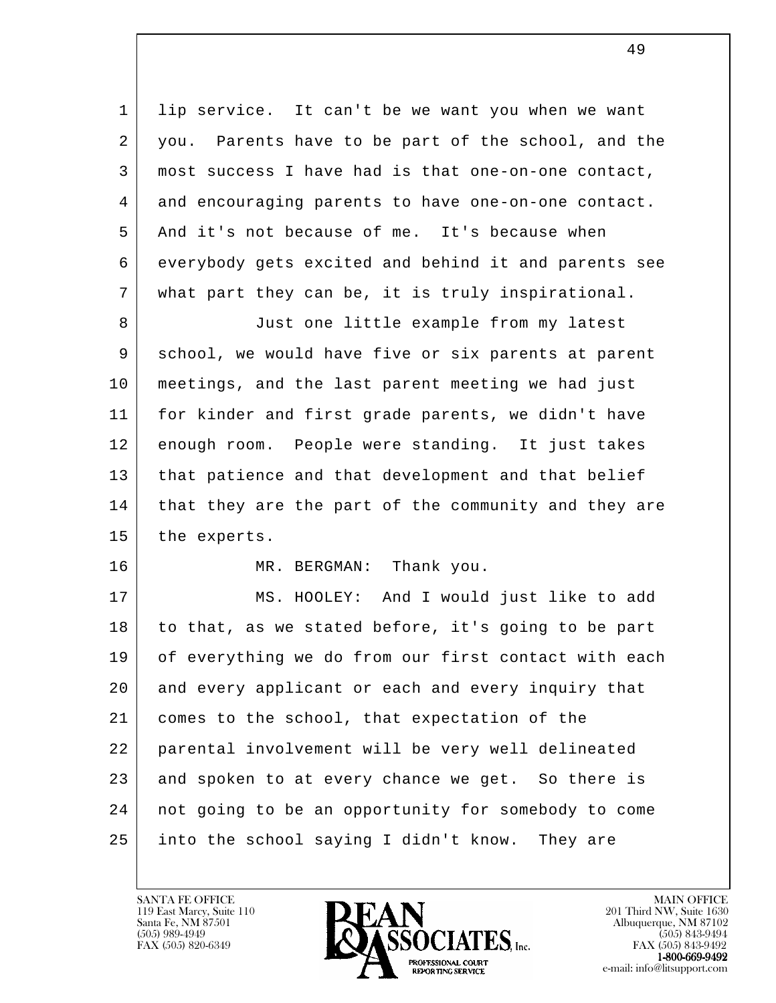1 | lip service. It can't be we want you when we want 2 you. Parents have to be part of the school, and the 3 most success I have had is that one-on-one contact, 4 and encouraging parents to have one-on-one contact. 5 And it's not because of me. It's because when 6 everybody gets excited and behind it and parents see 7 what part they can be, it is truly inspirational.

8 Just one little example from my latest 9 | school, we would have five or six parents at parent 10 meetings, and the last parent meeting we had just 11 for kinder and first grade parents, we didn't have 12 enough room. People were standing. It just takes 13 | that patience and that development and that belief 14 that they are the part of the community and they are 15 the experts.

16 MR. BERGMAN: Thank you.

l 17 MS. HOOLEY: And I would just like to add 18 to that, as we stated before, it's going to be part 19 of everything we do from our first contact with each 20 and every applicant or each and every inquiry that 21 comes to the school, that expectation of the 22 parental involvement will be very well delineated 23 and spoken to at every chance we get. So there is 24 not going to be an opportunity for somebody to come 25 into the school saying I didn't know. They are

119 East Marcy, Suite 110<br>Santa Fe, NM 87501

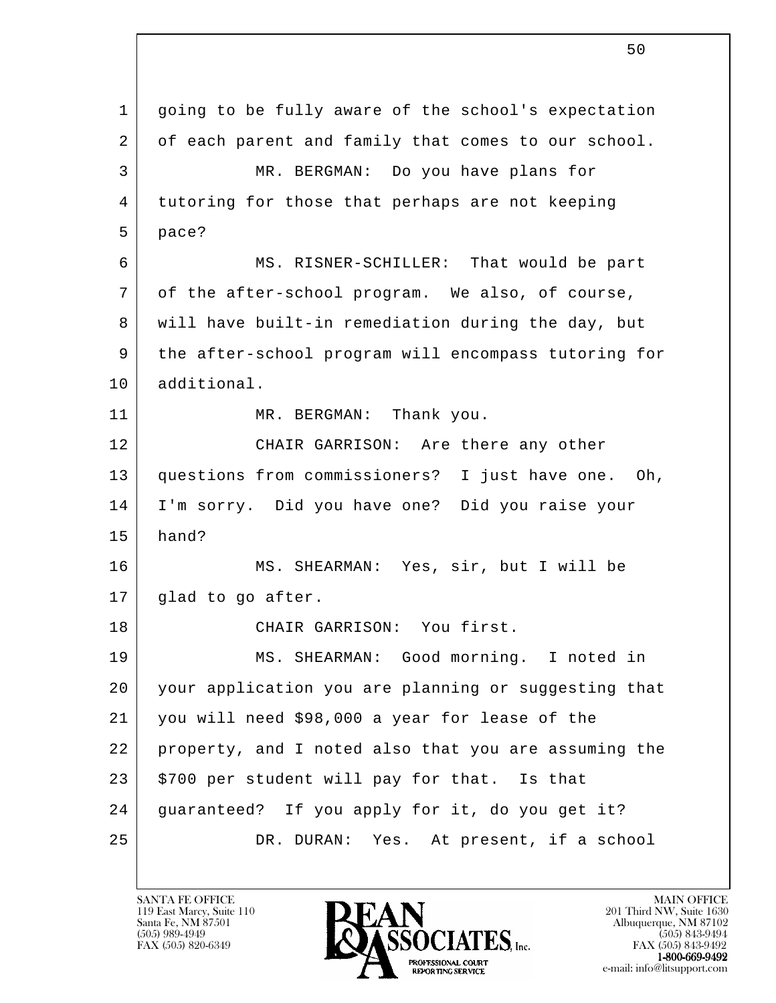l 1 going to be fully aware of the school's expectation 2 of each parent and family that comes to our school. 3 MR. BERGMAN: Do you have plans for 4 tutoring for those that perhaps are not keeping 5 | pace? 6 MS. RISNER-SCHILLER: That would be part 7 of the after-school program. We also, of course, 8 will have built-in remediation during the day, but 9 the after-school program will encompass tutoring for 10 additional. 11 MR. BERGMAN: Thank you. 12 CHAIR GARRISON: Are there any other 13 questions from commissioners? I just have one. Oh, 14 I'm sorry. Did you have one? Did you raise your 15 hand? 16 MS. SHEARMAN: Yes, sir, but I will be 17 | glad to go after. 18 CHAIR GARRISON: You first. 19 MS. SHEARMAN: Good morning. I noted in 20 your application you are planning or suggesting that 21 you will need \$98,000 a year for lease of the 22 property, and I noted also that you are assuming the 23 | \$700 per student will pay for that. Is that 24 guaranteed? If you apply for it, do you get it? 25 DR. DURAN: Yes. At present, if a school

119 East Marcy, Suite 110<br>Santa Fe, NM 87501

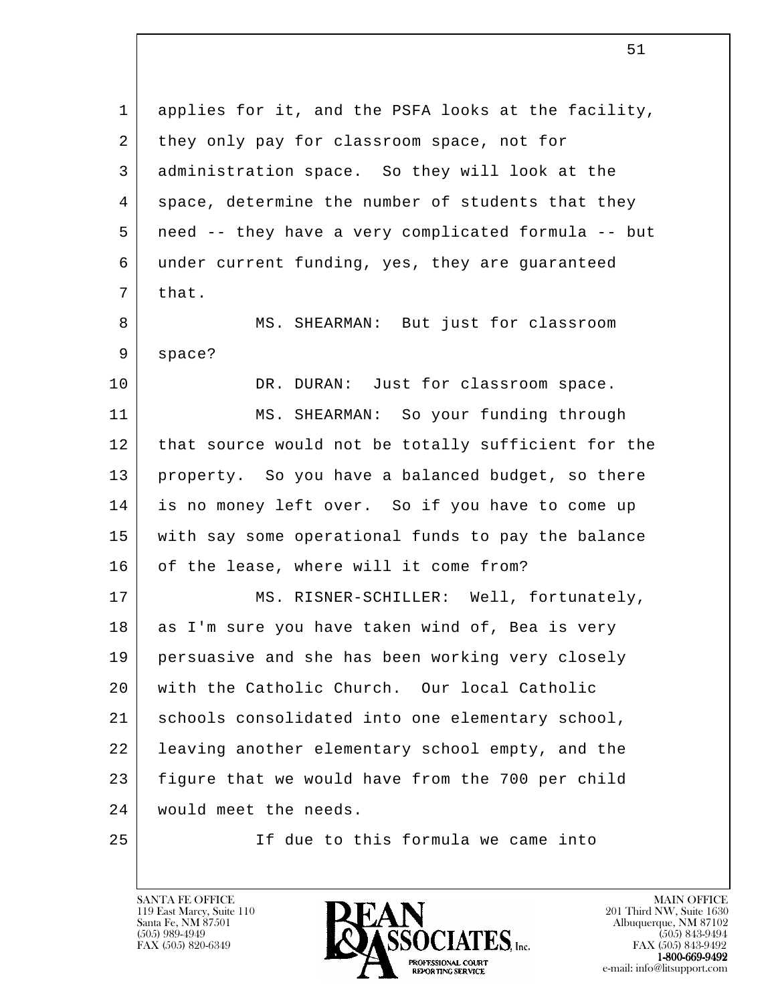l 1 applies for it, and the PSFA looks at the facility, 2 they only pay for classroom space, not for 3 administration space. So they will look at the 4 space, determine the number of students that they 5 need -- they have a very complicated formula -- but 6 under current funding, yes, they are guaranteed  $7$  that. 8 MS. SHEARMAN: But just for classroom 9 space? 10 DR. DURAN: Just for classroom space. 11 MS. SHEARMAN: So your funding through 12 | that source would not be totally sufficient for the 13 property. So you have a balanced budget, so there 14 is no money left over. So if you have to come up 15 with say some operational funds to pay the balance 16 of the lease, where will it come from? 17 | MS. RISNER-SCHILLER: Well, fortunately, 18 as I'm sure you have taken wind of, Bea is very 19 persuasive and she has been working very closely 20 with the Catholic Church. Our local Catholic 21 schools consolidated into one elementary school, 22 leaving another elementary school empty, and the 23 figure that we would have from the 700 per child 24 | would meet the needs. 25 If due to this formula we came into

119 East Marcy, Suite 110<br>Santa Fe, NM 87501

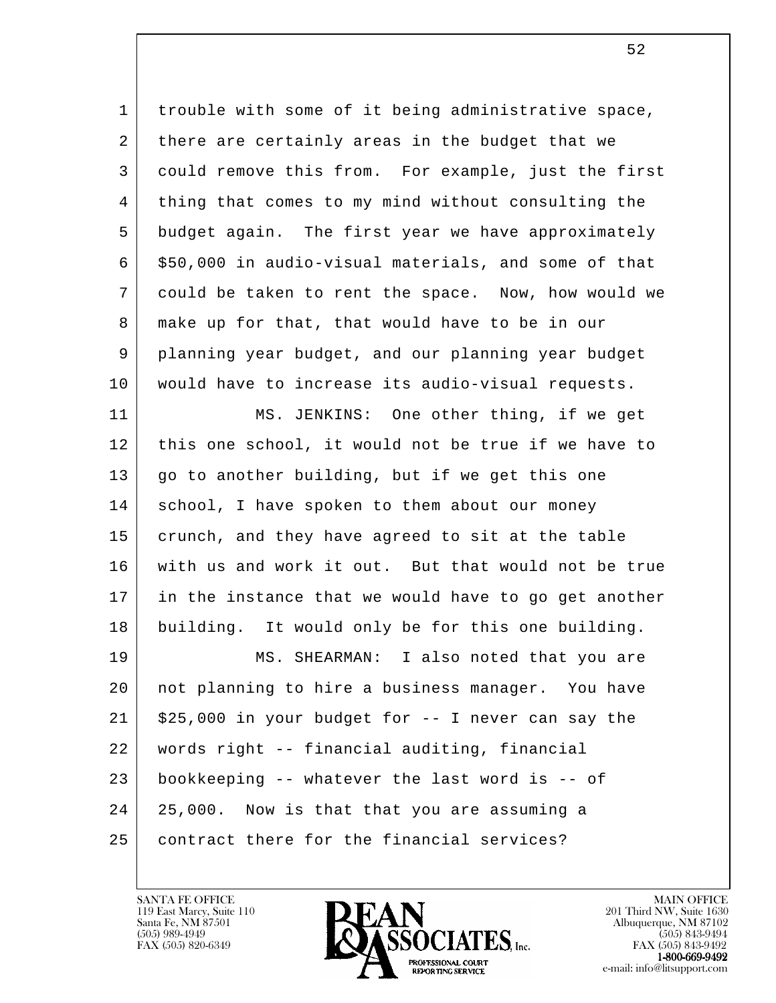1 | trouble with some of it being administrative space, 2 there are certainly areas in the budget that we 3 could remove this from. For example, just the first 4 thing that comes to my mind without consulting the 5 budget again. The first year we have approximately  $6$   $\mid$  \$50,000 in audio-visual materials, and some of that 7 could be taken to rent the space. Now, how would we 8 make up for that, that would have to be in our 9 planning year budget, and our planning year budget 10 would have to increase its audio-visual requests. 11 MS. JENKINS: One other thing, if we get

12 | this one school, it would not be true if we have to 13 go to another building, but if we get this one 14 | school, I have spoken to them about our money 15 crunch, and they have agreed to sit at the table 16 with us and work it out. But that would not be true 17 in the instance that we would have to go get another 18 building. It would only be for this one building.

l 19 MS. SHEARMAN: I also noted that you are 20 not planning to hire a business manager. You have  $21$  \$25,000 in your budget for  $-$  I never can say the 22 words right -- financial auditing, financial 23 bookkeeping -- whatever the last word is -- of 24 25,000. Now is that that you are assuming a 25 contract there for the financial services?

119 East Marcy, Suite 110<br>Santa Fe, NM 87501



FAX (505) 843-9492 e-mail: info@litsupport.com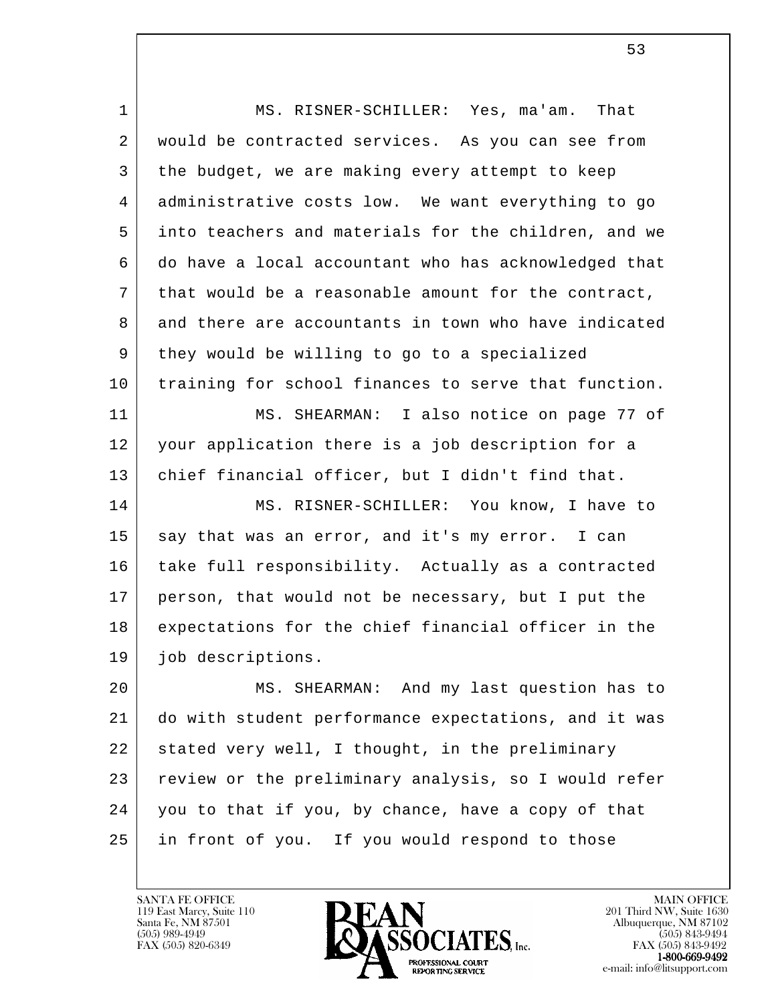| $\mathbf{1}$ | MS. RISNER-SCHILLER: Yes, ma'am. That                |
|--------------|------------------------------------------------------|
| 2            | would be contracted services. As you can see from    |
| 3            | the budget, we are making every attempt to keep      |
| 4            | administrative costs low. We want everything to go   |
| 5            | into teachers and materials for the children, and we |
| 6            | do have a local accountant who has acknowledged that |
| 7            | that would be a reasonable amount for the contract,  |
| 8            | and there are accountants in town who have indicated |
| 9            | they would be willing to go to a specialized         |
| 10           | training for school finances to serve that function. |
| 11           | MS. SHEARMAN: I also notice on page 77 of            |
| 12           | your application there is a job description for a    |
| 13           | chief financial officer, but I didn't find that.     |
| 14           | MS. RISNER-SCHILLER: You know, I have to             |
| 15           | say that was an error, and it's my error. I can      |
| 16           | take full responsibility. Actually as a contracted   |
| 17           | person, that would not be necessary, but I put the   |
| 18           | expectations for the chief financial officer in the  |
| 19           | job descriptions.                                    |
| 20           | MS. SHEARMAN: And my last question has to            |
| 21           | do with student performance expectations, and it was |
| 22           | stated very well, I thought, in the preliminary      |
| 23           | review or the preliminary analysis, so I would refer |
| 24           | you to that if you, by chance, have a copy of that   |
| 25           | in front of you. If you would respond to those       |
|              |                                                      |



 $\sim$  53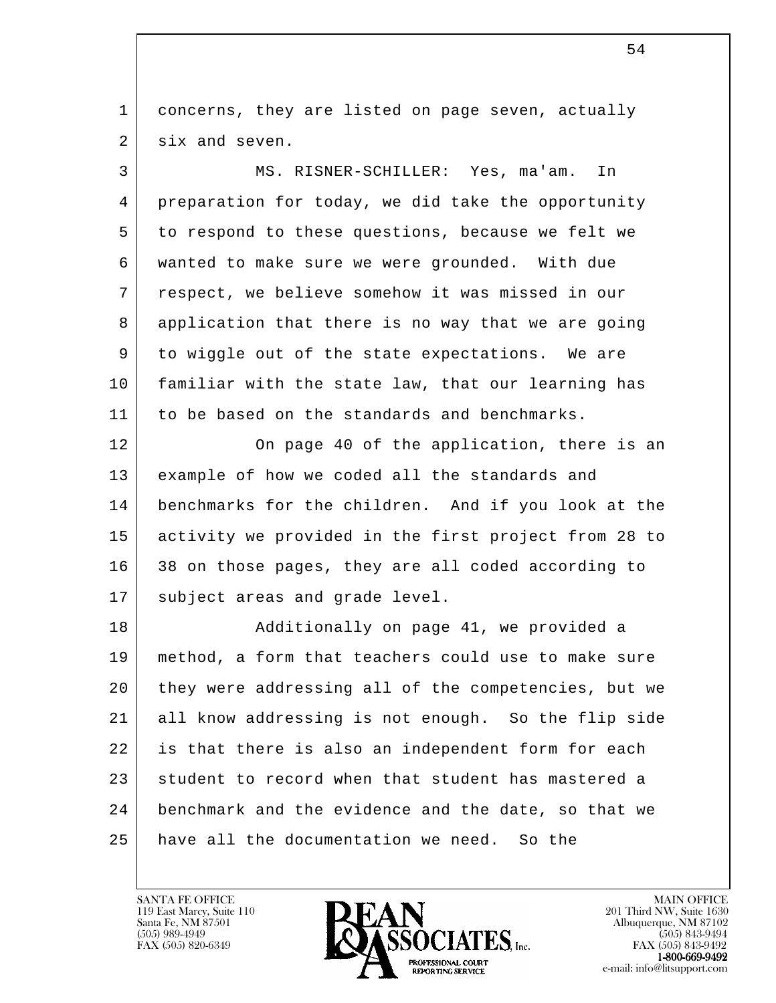1 concerns, they are listed on page seven, actually 2 six and seven.

 3 MS. RISNER-SCHILLER: Yes, ma'am. In 4 preparation for today, we did take the opportunity 5 to respond to these questions, because we felt we 6 wanted to make sure we were grounded. With due 7 respect, we believe somehow it was missed in our 8 application that there is no way that we are going 9 to wiggle out of the state expectations. We are 10 familiar with the state law, that our learning has 11 to be based on the standards and benchmarks.

12 On page 40 of the application, there is an 13 example of how we coded all the standards and 14 benchmarks for the children. And if you look at the 15 activity we provided in the first project from 28 to 16 38 on those pages, they are all coded according to 17 | subject areas and grade level.

l 18 | Radditionally on page 41, we provided a 19 method, a form that teachers could use to make sure 20 they were addressing all of the competencies, but we 21 all know addressing is not enough. So the flip side 22 is that there is also an independent form for each 23 student to record when that student has mastered a 24 benchmark and the evidence and the date, so that we 25 have all the documentation we need. So the

119 East Marcy, Suite 110<br>Santa Fe, NM 87501



FAX (505) 843-9492 e-mail: info@litsupport.com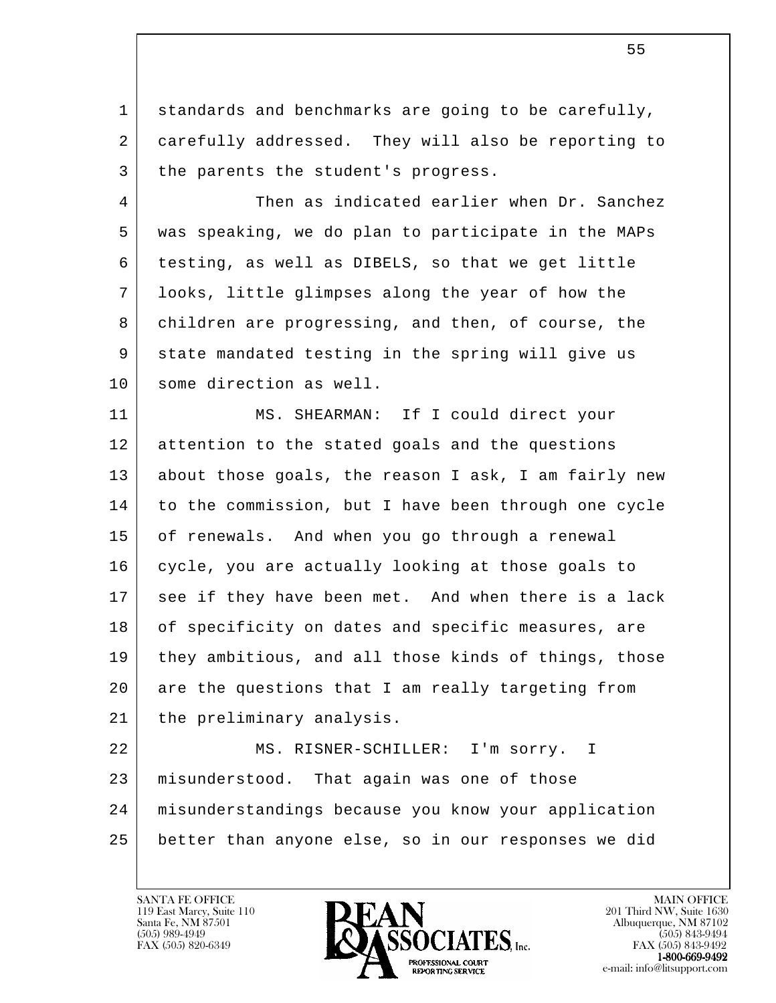1 | standards and benchmarks are going to be carefully, 2 carefully addressed. They will also be reporting to 3 | the parents the student's progress.

4 Then as indicated earlier when Dr. Sanchez 5 was speaking, we do plan to participate in the MAPs 6 testing, as well as DIBELS, so that we get little 7 looks, little glimpses along the year of how the 8 children are progressing, and then, of course, the 9 state mandated testing in the spring will give us 10 | some direction as well.

 11 MS. SHEARMAN: If I could direct your 12 attention to the stated goals and the questions 13 about those goals, the reason I ask, I am fairly new 14 to the commission, but I have been through one cycle 15 of renewals. And when you go through a renewal 16 cycle, you are actually looking at those goals to 17 see if they have been met. And when there is a lack 18 of specificity on dates and specific measures, are 19 they ambitious, and all those kinds of things, those 20 are the questions that I am really targeting from 21 | the preliminary analysis.

l 22 | MS. RISNER-SCHILLER: I'm sorry. I 23 misunderstood. That again was one of those 24 misunderstandings because you know your application 25 better than anyone else, so in our responses we did

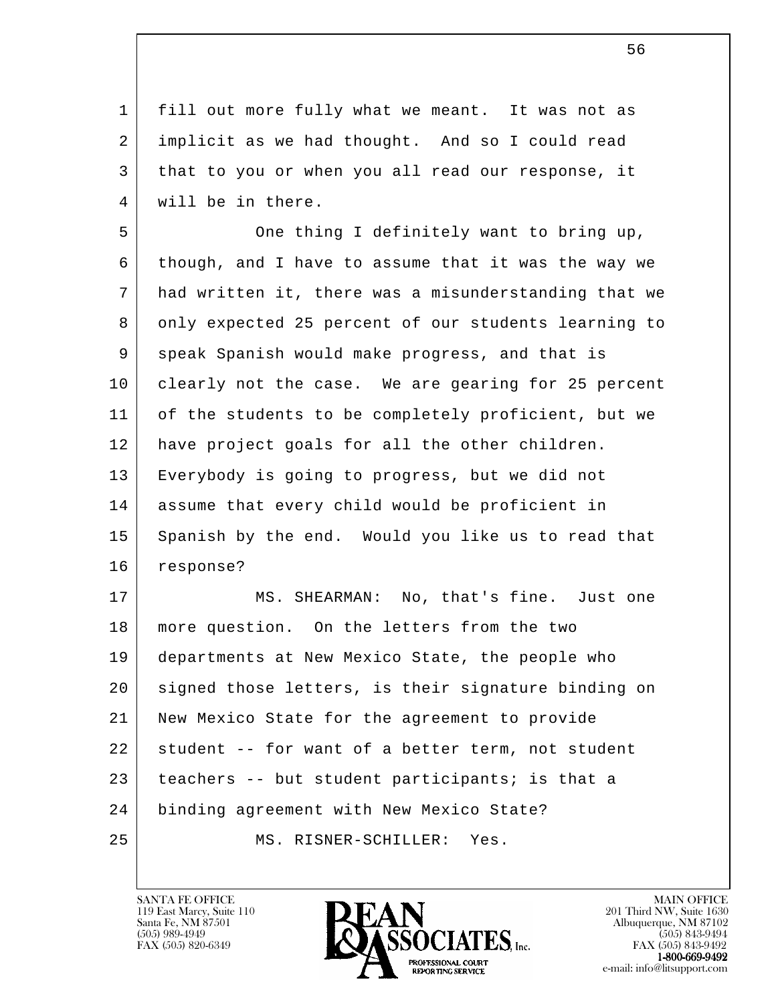1 fill out more fully what we meant. It was not as 2 implicit as we had thought. And so I could read 3 that to you or when you all read our response, it 4 | will be in there.

5 One thing I definitely want to bring up, 6 though, and I have to assume that it was the way we 7 had written it, there was a misunderstanding that we 8 only expected 25 percent of our students learning to 9 speak Spanish would make progress, and that is 10 clearly not the case. We are gearing for 25 percent 11 of the students to be completely proficient, but we 12 have project goals for all the other children. 13 Everybody is going to progress, but we did not 14 assume that every child would be proficient in 15 Spanish by the end. Would you like us to read that 16 response?

l 17 | MS. SHEARMAN: No, that's fine. Just one 18 more question. On the letters from the two 19 departments at New Mexico State, the people who 20 | signed those letters, is their signature binding on 21 New Mexico State for the agreement to provide 22 student -- for want of a better term, not student 23 teachers -- but student participants; is that a 24 binding agreement with New Mexico State? 25 MS. RISNER-SCHILLER: Yes.

119 East Marcy, Suite 110<br>Santa Fe, NM 87501



FAX (505) 843-9492 e-mail: info@litsupport.com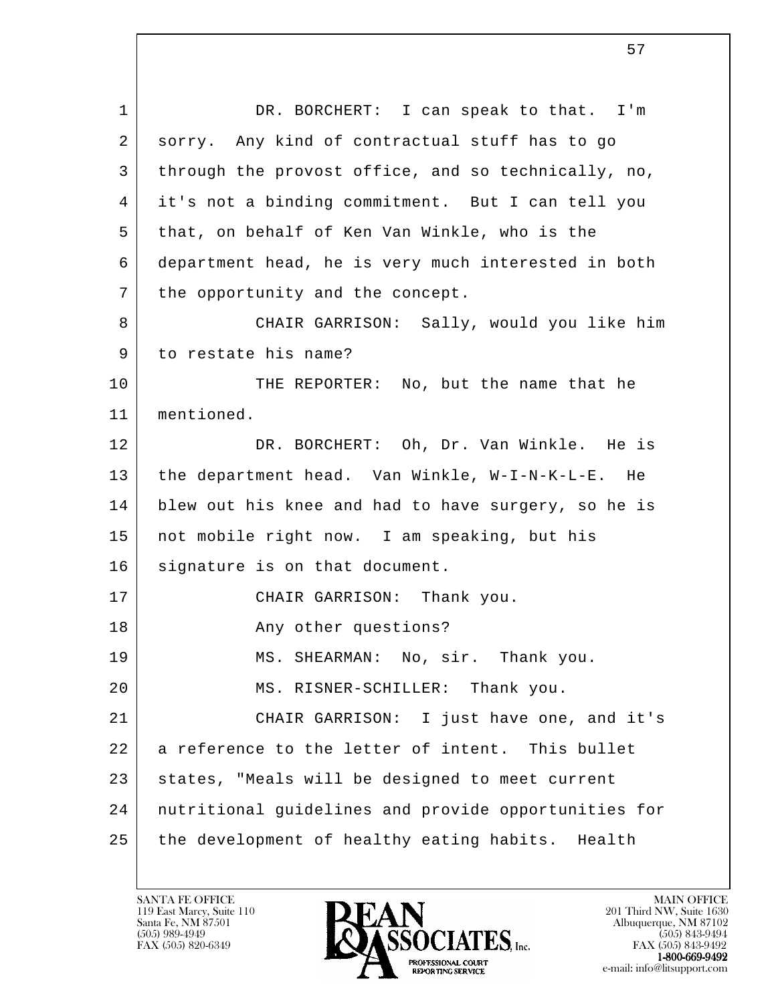l 1 DR. BORCHERT: I can speak to that. I'm 2 sorry. Any kind of contractual stuff has to go 3 through the provost office, and so technically, no, 4 it's not a binding commitment. But I can tell you 5 that, on behalf of Ken Van Winkle, who is the 6 department head, he is very much interested in both 7 | the opportunity and the concept. 8 CHAIR GARRISON: Sally, would you like him 9 to restate his name? 10 THE REPORTER: No, but the name that he 11 mentioned. 12 DR. BORCHERT: Oh, Dr. Van Winkle. He is 13 the department head. Van Winkle, W-I-N-K-L-E. He 14 blew out his knee and had to have surgery, so he is 15 not mobile right now. I am speaking, but his 16 signature is on that document. 17 CHAIR GARRISON: Thank you. 18 Any other questions? 19 | MS. SHEARMAN: No, sir. Thank you. 20 | MS. RISNER-SCHILLER: Thank you. 21 CHAIR GARRISON: I just have one, and it's 22 a reference to the letter of intent. This bullet 23 | states, "Meals will be designed to meet current 24 nutritional guidelines and provide opportunities for 25 the development of healthy eating habits. Health

119 East Marcy, Suite 110<br>Santa Fe, NM 87501

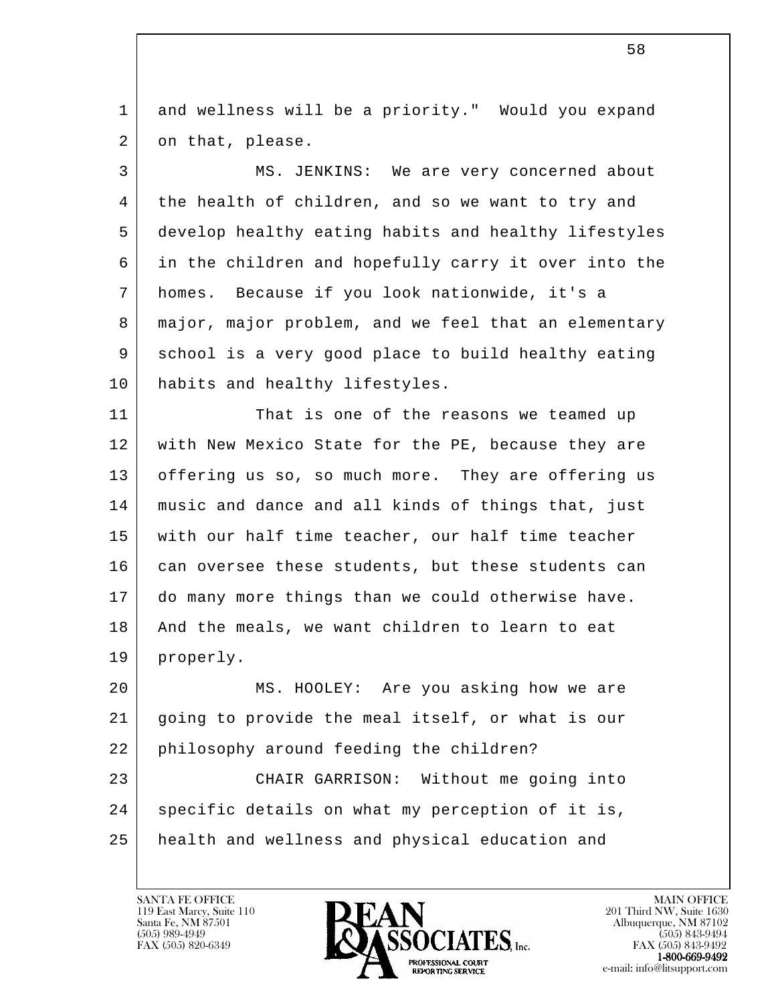1 and wellness will be a priority." Would you expand 2 on that, please.

 3 MS. JENKINS: We are very concerned about 4 the health of children, and so we want to try and 5 develop healthy eating habits and healthy lifestyles 6 in the children and hopefully carry it over into the 7 homes. Because if you look nationwide, it's a 8 major, major problem, and we feel that an elementary 9 school is a very good place to build healthy eating 10 habits and healthy lifestyles.

11 That is one of the reasons we teamed up 12 | with New Mexico State for the PE, because they are 13 offering us so, so much more. They are offering us 14 music and dance and all kinds of things that, just 15 with our half time teacher, our half time teacher 16 can oversee these students, but these students can 17 do many more things than we could otherwise have. 18 | And the meals, we want children to learn to eat 19 properly.

l 20 MS. HOOLEY: Are you asking how we are 21 going to provide the meal itself, or what is our 22 philosophy around feeding the children? 23 CHAIR GARRISON: Without me going into 24 | specific details on what my perception of it is, 25 health and wellness and physical education and

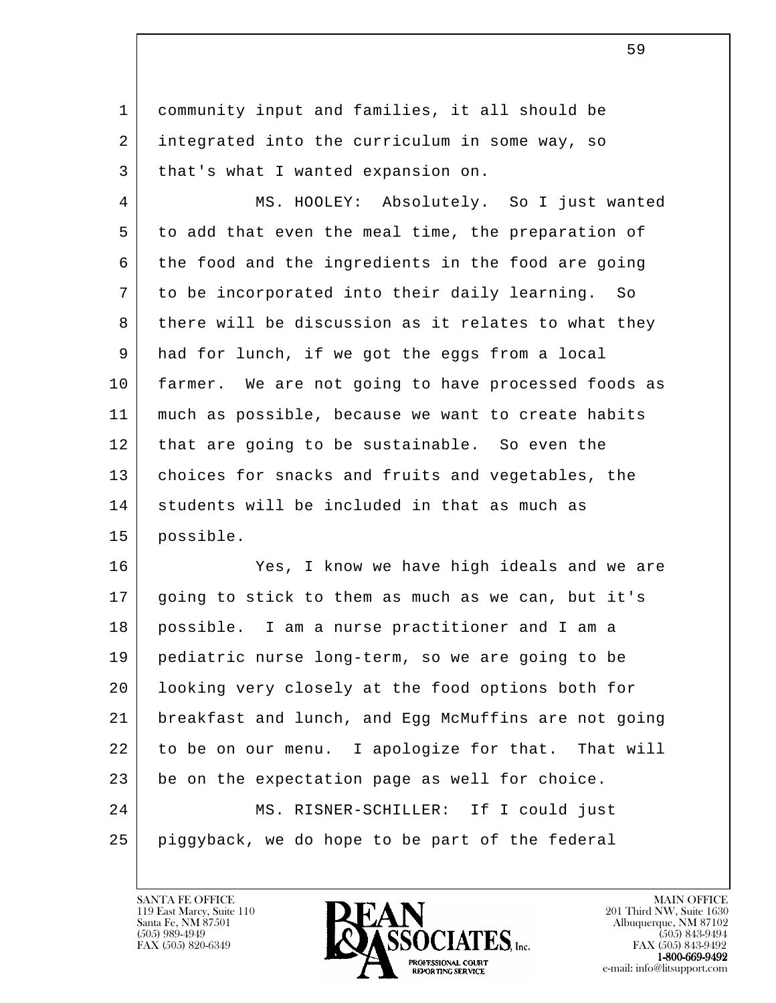1 community input and families, it all should be 2 integrated into the curriculum in some way, so 3 | that's what I wanted expansion on.

 4 MS. HOOLEY: Absolutely. So I just wanted 5 to add that even the meal time, the preparation of 6 the food and the ingredients in the food are going 7 to be incorporated into their daily learning. So 8 there will be discussion as it relates to what they 9 had for lunch, if we got the eggs from a local 10 farmer. We are not going to have processed foods as 11 much as possible, because we want to create habits 12 | that are going to be sustainable. So even the 13 choices for snacks and fruits and vegetables, the 14 students will be included in that as much as 15 possible.

l 16 Yes, I know we have high ideals and we are 17 going to stick to them as much as we can, but it's 18 possible. I am a nurse practitioner and I am a 19 pediatric nurse long-term, so we are going to be 20 looking very closely at the food options both for 21 breakfast and lunch, and Egg McMuffins are not going 22 to be on our menu. I apologize for that. That will 23 be on the expectation page as well for choice. 24 MS. RISNER-SCHILLER: If I could just 25 piggyback, we do hope to be part of the federal

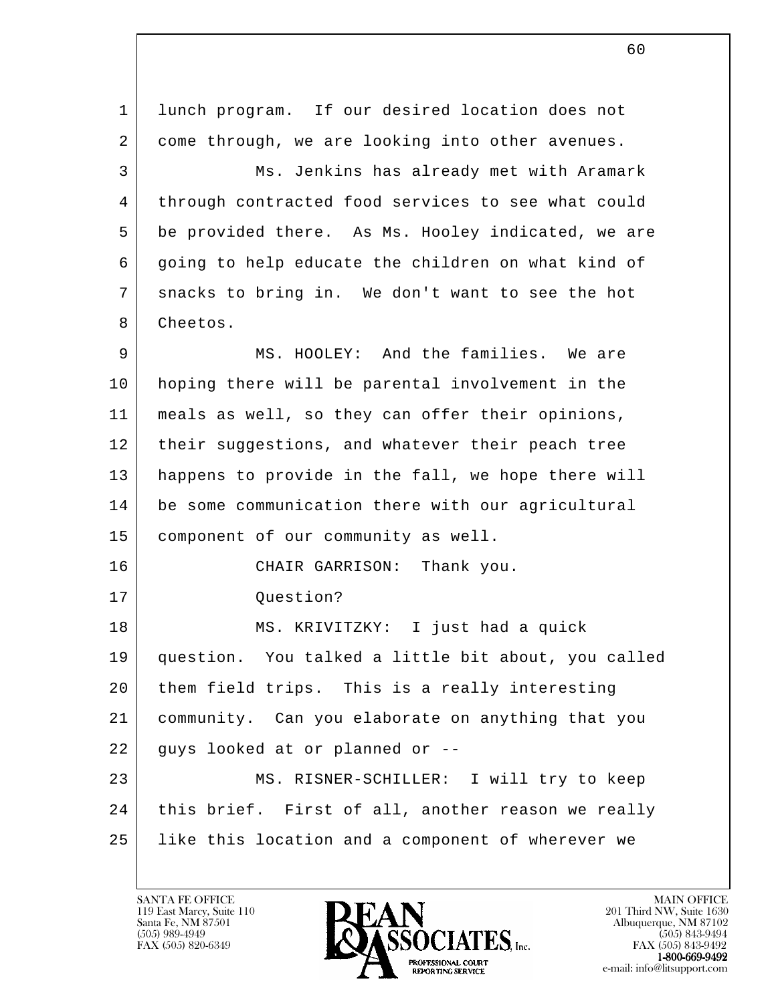l 1 | lunch program. If our desired location does not 2 come through, we are looking into other avenues. 3 Ms. Jenkins has already met with Aramark 4 | through contracted food services to see what could 5 be provided there. As Ms. Hooley indicated, we are 6 | going to help educate the children on what kind of 7 snacks to bring in. We don't want to see the hot 8 Cheetos. 9 MS. HOOLEY: And the families. We are 10 hoping there will be parental involvement in the 11 meals as well, so they can offer their opinions, 12 | their suggestions, and whatever their peach tree 13 happens to provide in the fall, we hope there will 14 be some communication there with our agricultural 15 component of our community as well. 16 CHAIR GARRISON: Thank you. 17 Question? 18 MS. KRIVITZKY: I just had a quick 19 question. You talked a little bit about, you called 20 them field trips. This is a really interesting 21 community. Can you elaborate on anything that you  $22$  guys looked at or planned or  $-$ -23 | MS. RISNER-SCHILLER: I will try to keep 24 | this brief. First of all, another reason we really 25 like this location and a component of wherever we

119 East Marcy, Suite 110<br>Santa Fe, NM 87501

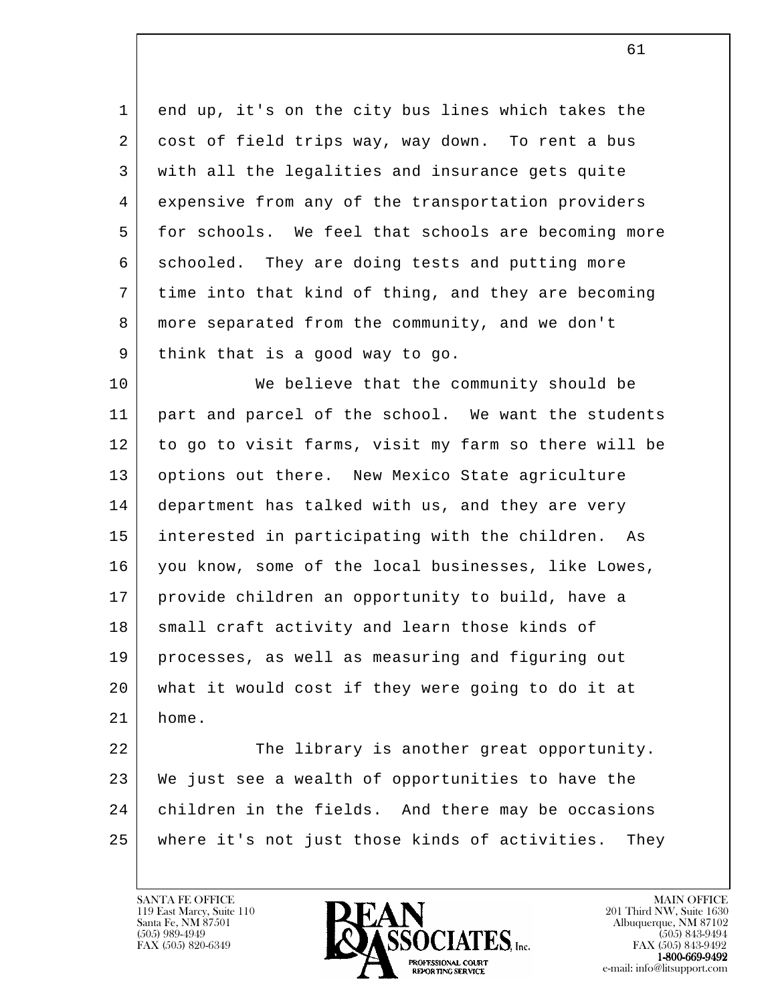1 end up, it's on the city bus lines which takes the 2 cost of field trips way, way down. To rent a bus 3 with all the legalities and insurance gets quite 4 expensive from any of the transportation providers 5 for schools. We feel that schools are becoming more 6 schooled. They are doing tests and putting more 7 time into that kind of thing, and they are becoming 8 more separated from the community, and we don't 9 think that is a good way to go.

10 We believe that the community should be 11 part and parcel of the school. We want the students 12 to go to visit farms, visit my farm so there will be 13 options out there. New Mexico State agriculture 14 department has talked with us, and they are very 15 interested in participating with the children. As 16 you know, some of the local businesses, like Lowes, 17 provide children an opportunity to build, have a 18 small craft activity and learn those kinds of 19 processes, as well as measuring and figuring out 20 what it would cost if they were going to do it at 21 home.

l 22 The library is another great opportunity. 23 We just see a wealth of opportunities to have the 24 children in the fields. And there may be occasions 25 where it's not just those kinds of activities. They

119 East Marcy, Suite 110<br>Santa Fe, NM 87501

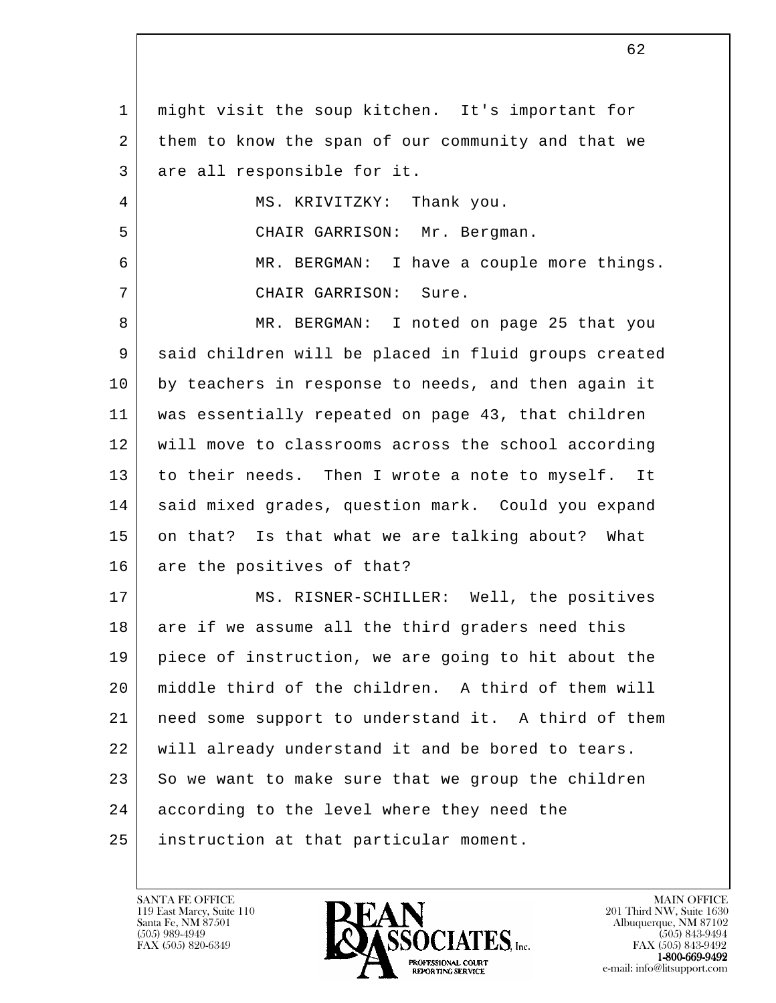l 1 might visit the soup kitchen. It's important for 2 them to know the span of our community and that we 3 are all responsible for it. 4 | MS. KRIVITZKY: Thank you. 5 CHAIR GARRISON: Mr. Bergman. 6 MR. BERGMAN: I have a couple more things. 7 CHAIR GARRISON: Sure. 8 MR. BERGMAN: I noted on page 25 that you 9 said children will be placed in fluid groups created 10 by teachers in response to needs, and then again it 11 was essentially repeated on page 43, that children 12 will move to classrooms across the school according 13 to their needs. Then I wrote a note to myself. It 14 | said mixed grades, question mark. Could you expand 15 on that? Is that what we are talking about? What 16 are the positives of that? 17 | MS. RISNER-SCHILLER: Well, the positives 18 are if we assume all the third graders need this 19 piece of instruction, we are going to hit about the 20 middle third of the children. A third of them will 21 need some support to understand it. A third of them 22 will already understand it and be bored to tears.  $23$  So we want to make sure that we group the children 24 according to the level where they need the 25 instruction at that particular moment.

119 East Marcy, Suite 110<br>Santa Fe, NM 87501



 $FAX (505) 843-9492$ <br>1-800-669-9492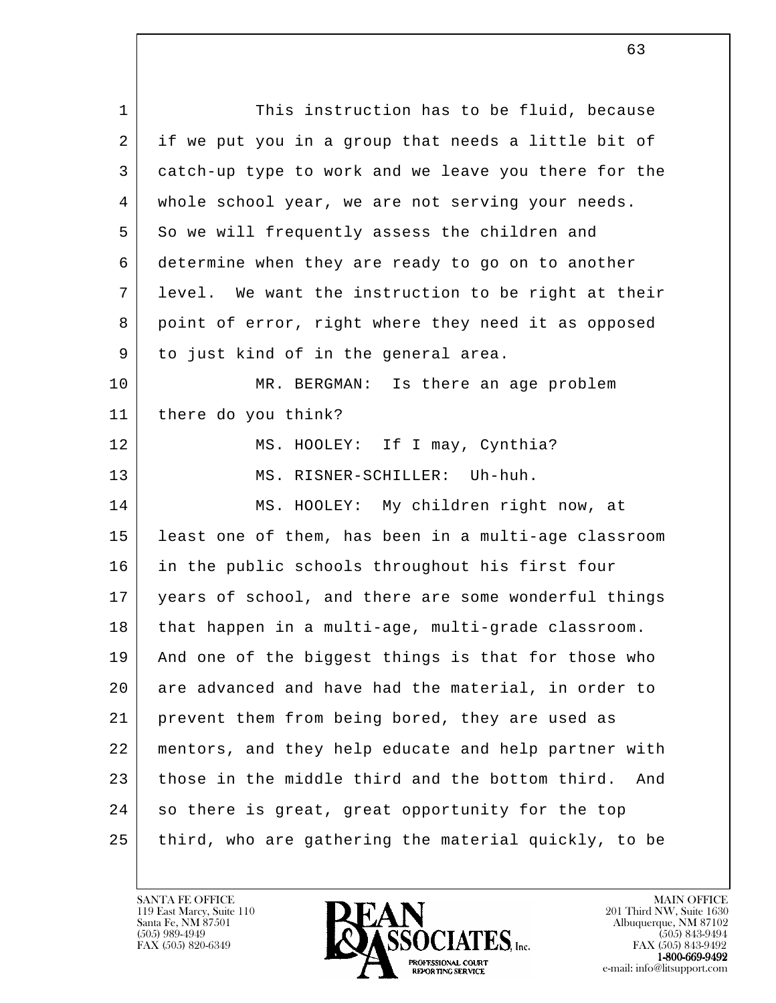l 1 This instruction has to be fluid, because 2 if we put you in a group that needs a little bit of 3 catch-up type to work and we leave you there for the 4 whole school year, we are not serving your needs. 5 So we will frequently assess the children and 6 determine when they are ready to go on to another 7 level. We want the instruction to be right at their 8 | point of error, right where they need it as opposed 9 to just kind of in the general area. 10 MR. BERGMAN: Is there an age problem 11 there do you think? 12 | MS. HOOLEY: If I may, Cynthia? 13 MS. RISNER-SCHILLER: Uh-huh. 14 MS. HOOLEY: My children right now, at 15 least one of them, has been in a multi-age classroom 16 in the public schools throughout his first four 17 years of school, and there are some wonderful things 18 that happen in a multi-age, multi-grade classroom. 19 And one of the biggest things is that for those who 20 are advanced and have had the material, in order to 21 prevent them from being bored, they are used as 22 mentors, and they help educate and help partner with 23 those in the middle third and the bottom third. And 24 so there is great, great opportunity for the top 25 third, who are gathering the material quickly, to be

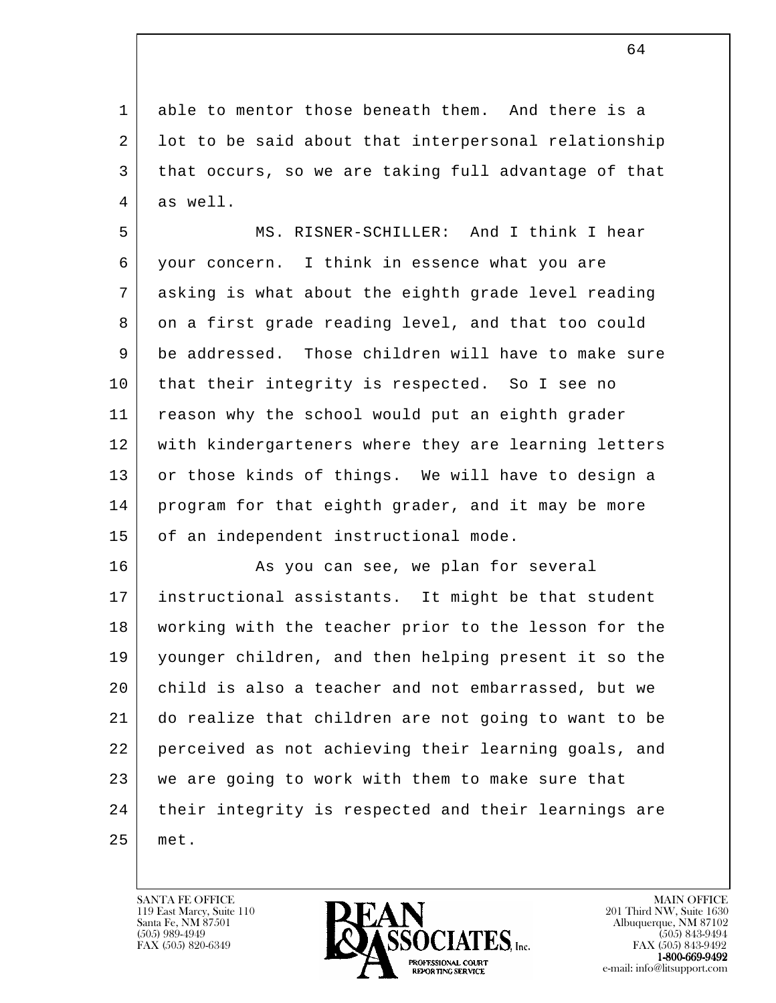1 able to mentor those beneath them. And there is a 2 lot to be said about that interpersonal relationship 3 that occurs, so we are taking full advantage of that 4 as well.

 5 MS. RISNER-SCHILLER: And I think I hear 6 your concern. I think in essence what you are 7 asking is what about the eighth grade level reading 8 on a first grade reading level, and that too could 9 be addressed. Those children will have to make sure 10 | that their integrity is respected. So I see no 11 reason why the school would put an eighth grader 12 | with kindergarteners where they are learning letters 13 or those kinds of things. We will have to design a 14 program for that eighth grader, and it may be more 15 of an independent instructional mode.

l 16 As you can see, we plan for several 17 instructional assistants. It might be that student 18 working with the teacher prior to the lesson for the 19 younger children, and then helping present it so the 20 child is also a teacher and not embarrassed, but we 21 do realize that children are not going to want to be 22 perceived as not achieving their learning goals, and 23 | we are going to work with them to make sure that 24 their integrity is respected and their learnings are 25 met.

119 East Marcy, Suite 110<br>Santa Fe, NM 87501



FAX (505) 843-9492 e-mail: info@litsupport.com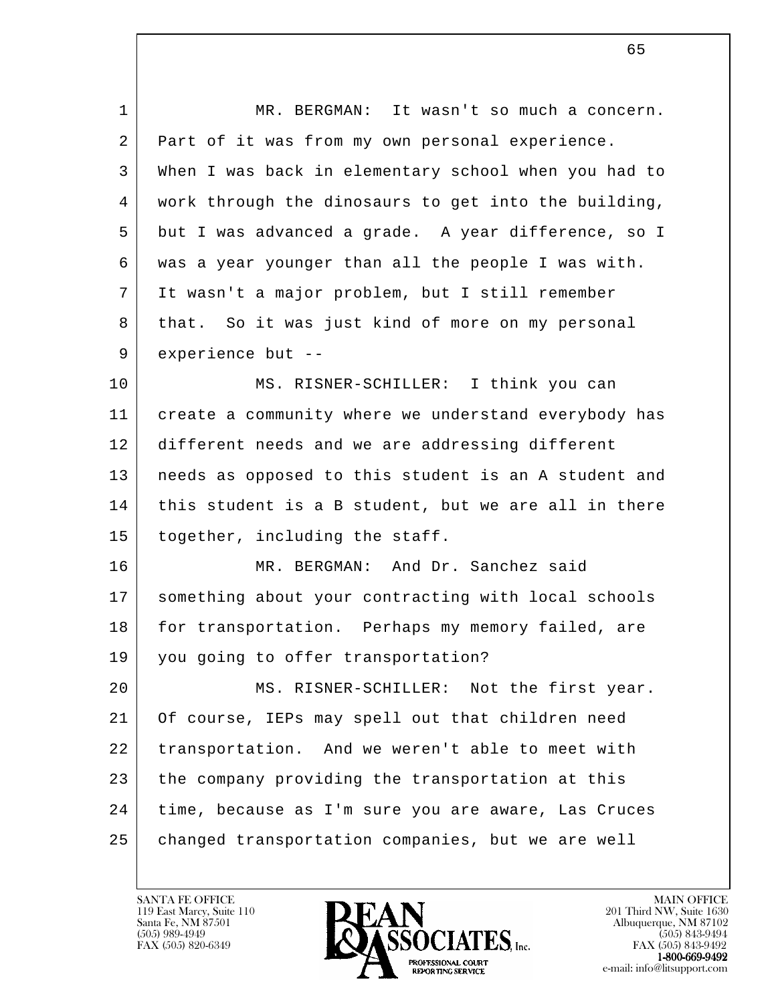| $\mathbf{1}$ | MR. BERGMAN: It wasn't so much a concern.            |
|--------------|------------------------------------------------------|
| 2            | Part of it was from my own personal experience.      |
| 3            | When I was back in elementary school when you had to |
| 4            | work through the dinosaurs to get into the building, |
| 5            | but I was advanced a grade. A year difference, so I  |
| 6            | was a year younger than all the people I was with.   |
| 7            | It wasn't a major problem, but I still remember      |
| 8            | that. So it was just kind of more on my personal     |
| 9            | experience but --                                    |
| 10           | MS. RISNER-SCHILLER: I think you can                 |
| 11           | create a community where we understand everybody has |
| 12           | different needs and we are addressing different      |
| 13           | needs as opposed to this student is an A student and |
| 14           | this student is a B student, but we are all in there |
| 15           | together, including the staff.                       |
| 16           | MR. BERGMAN: And Dr. Sanchez said                    |
| 17           | something about your contracting with local schools  |
| 18           | for transportation. Perhaps my memory failed, are    |
| 19           | you going to offer transportation?                   |
| 20           | MS. RISNER-SCHILLER: Not the first year.             |
| 21           | Of course, IEPs may spell out that children need     |
| 22           | transportation. And we weren't able to meet with     |
| 23           | the company providing the transportation at this     |
| 24           | time, because as I'm sure you are aware, Las Cruces  |
| 25           | changed transportation companies, but we are well    |
|              |                                                      |

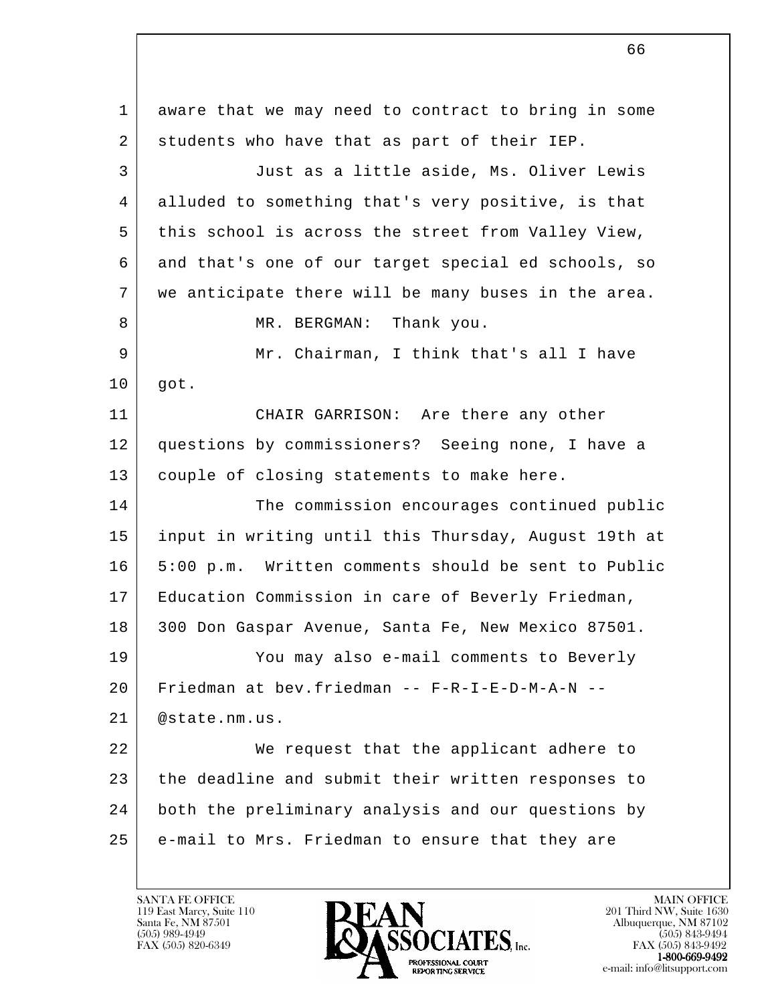l 1 aware that we may need to contract to bring in some 2 students who have that as part of their IEP. 3 Just as a little aside, Ms. Oliver Lewis 4 alluded to something that's very positive, is that 5 this school is across the street from Valley View, 6 and that's one of our target special ed schools, so 7 | we anticipate there will be many buses in the area. 8 MR. BERGMAN: Thank you. 9 Mr. Chairman, I think that's all I have 10 got. 11 | CHAIR GARRISON: Are there any other 12 questions by commissioners? Seeing none, I have a 13 couple of closing statements to make here. 14 The commission encourages continued public 15 input in writing until this Thursday, August 19th at 16 5:00 p.m. Written comments should be sent to Public 17 Education Commission in care of Beverly Friedman, 18 300 Don Gaspar Avenue, Santa Fe, New Mexico 87501. 19 You may also e-mail comments to Beverly 20 Friedman at bev.friedman -- F-R-I-E-D-M-A-N -- 21 @state.nm.us. 22 We request that the applicant adhere to 23 the deadline and submit their written responses to 24 both the preliminary analysis and our questions by 25 e-mail to Mrs. Friedman to ensure that they are

66

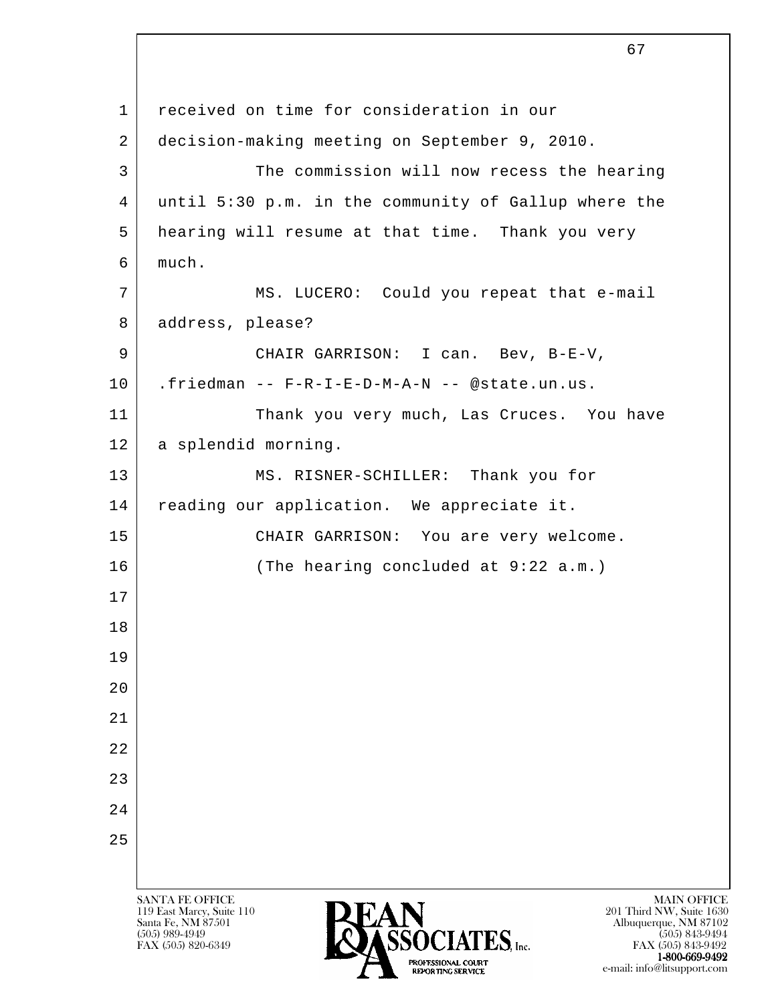l SANTA FE OFFICE MAIN OFFICE MAIN OFFICE MAIN OFFICE MAIN OFFICE 119 East Marcy, Suite 110<br>Santa Fe, NM 87501 Santa Fe, NM 87501 Albuquerque, NM 87102  $\overline{\text{S5OCIATES}}_{\text{Lnc.}}$  (505) 989-4949 (505) 843-9494 (505) 843-9494 (505) 843-9494 1 | received on time for consideration in our 2 decision-making meeting on September 9, 2010. 3 The commission will now recess the hearing 4 until 5:30 p.m. in the community of Gallup where the 5 hearing will resume at that time. Thank you very 6 much. 7 MS. LUCERO: Could you repeat that e-mail 8 address, please? 9 CHAIR GARRISON: I can. Bev, B-E-V, 10 .friedman -- F-R-I-E-D-M-A-N -- @state.un.us. 11 Thank you very much, Las Cruces. You have 12 | a splendid morning. 13 MS. RISNER-SCHILLER: Thank you for 14 | reading our application. We appreciate it. 15 | CHAIR GARRISON: You are very welcome. 16 (The hearing concluded at 9:22 a.m.) 17 18 19 20 21 22 23 24 25

FAX (505) 843-9492 1-800-669-9492 e-mail: info@litsupport.com